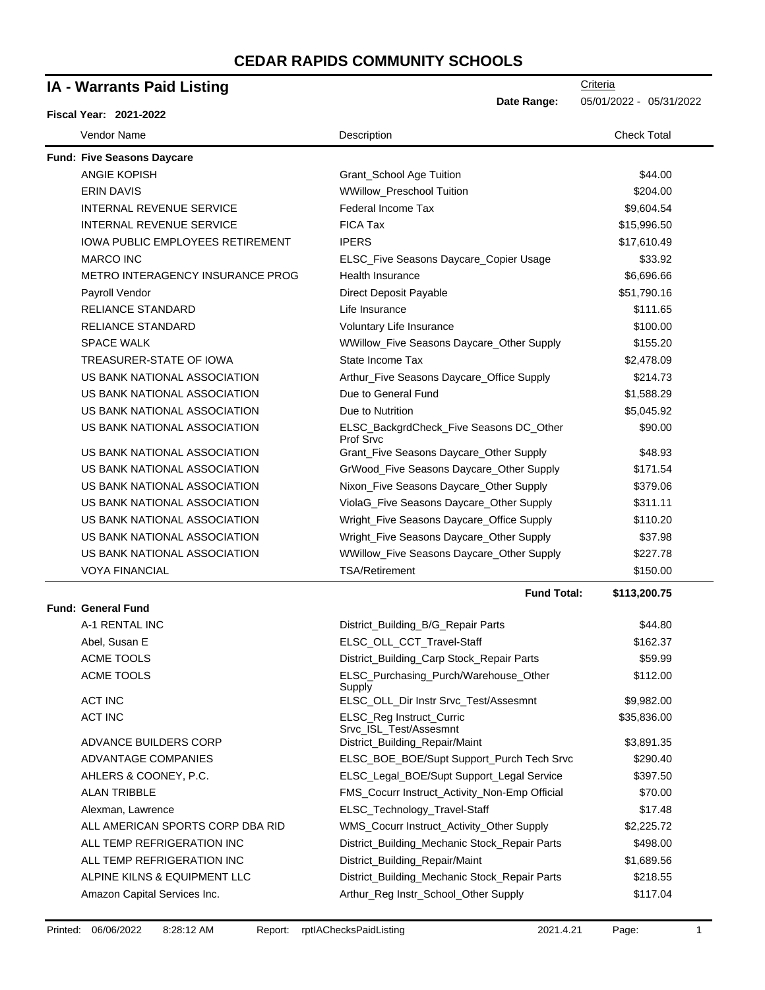| IA - Warrants Paid Listing              |                                                      | Criteria                |
|-----------------------------------------|------------------------------------------------------|-------------------------|
|                                         | Date Range:                                          | 05/01/2022 - 05/31/2022 |
| <b>Fiscal Year: 2021-2022</b>           |                                                      |                         |
| Vendor Name                             | Description                                          | <b>Check Total</b>      |
| <b>Fund: Five Seasons Daycare</b>       |                                                      |                         |
| <b>ANGIE KOPISH</b>                     | Grant_School Age Tuition                             | \$44.00                 |
| <b>ERIN DAVIS</b>                       | WWillow_Preschool Tuition                            | \$204.00                |
| INTERNAL REVENUE SERVICE                | Federal Income Tax                                   | \$9,604.54              |
| <b>INTERNAL REVENUE SERVICE</b>         | <b>FICA Tax</b>                                      | \$15,996.50             |
| <b>IOWA PUBLIC EMPLOYEES RETIREMENT</b> | <b>IPERS</b>                                         | \$17,610.49             |
| <b>MARCO INC</b>                        | ELSC_Five Seasons Daycare_Copier Usage               | \$33.92                 |
| METRO INTERAGENCY INSURANCE PROG        | Health Insurance                                     | \$6,696.66              |
| Payroll Vendor                          | Direct Deposit Payable                               | \$51,790.16             |
| <b>RELIANCE STANDARD</b>                | Life Insurance                                       | \$111.65                |
| <b>RELIANCE STANDARD</b>                | Voluntary Life Insurance                             | \$100.00                |
| <b>SPACE WALK</b>                       | WWillow_Five Seasons Daycare_Other Supply            | \$155.20                |
| TREASURER-STATE OF IOWA                 | State Income Tax                                     | \$2,478.09              |
| US BANK NATIONAL ASSOCIATION            | Arthur_Five Seasons Daycare_Office Supply            | \$214.73                |
| US BANK NATIONAL ASSOCIATION            | Due to General Fund                                  | \$1,588.29              |
| US BANK NATIONAL ASSOCIATION            | Due to Nutrition                                     | \$5,045.92              |
| US BANK NATIONAL ASSOCIATION            | ELSC_BackgrdCheck_Five Seasons DC_Other<br>Prof Srvc | \$90.00                 |
| US BANK NATIONAL ASSOCIATION            | Grant_Five Seasons Daycare_Other Supply              | \$48.93                 |
| US BANK NATIONAL ASSOCIATION            | GrWood_Five Seasons Daycare_Other Supply             | \$171.54                |
| US BANK NATIONAL ASSOCIATION            | Nixon_Five Seasons Daycare_Other Supply              | \$379.06                |
| US BANK NATIONAL ASSOCIATION            | ViolaG_Five Seasons Daycare_Other Supply             | \$311.11                |
| US BANK NATIONAL ASSOCIATION            | Wright_Five Seasons Daycare_Office Supply            | \$110.20                |
| US BANK NATIONAL ASSOCIATION            | Wright_Five Seasons Daycare_Other Supply             | \$37.98                 |
| US BANK NATIONAL ASSOCIATION            | WWillow_Five Seasons Daycare_Other Supply            | \$227.78                |
| <b>VOYA FINANCIAL</b>                   | <b>TSA/Retirement</b>                                | \$150.00                |
| <b>Fund: General Fund</b>               | <b>Fund Total:</b>                                   | \$113,200.75            |
| A-1 RENTAL INC                          |                                                      |                         |
|                                         | District_Building_B/G_Repair Parts                   | \$44.80                 |
| Abel, Susan E<br><b>ACME TOOLS</b>      | ELSC_OLL_CCT_Travel-Staff                            | \$162.37<br>\$59.99     |
|                                         | District_Building_Carp Stock_Repair Parts            |                         |
| ACME TOOLS                              | ELSC_Purchasing_Purch/Warehouse_Other<br>Supply      | \$112.00                |
| <b>ACT INC</b>                          | ELSC_OLL_Dir Instr Srvc_Test/Assesmnt                | \$9,982.00              |
| <b>ACT INC</b>                          | ELSC_Reg Instruct_Curric<br>Srvc_ISL_Test/Assesmnt   | \$35,836.00             |
| ADVANCE BUILDERS CORP                   | District_Building_Repair/Maint                       | \$3,891.35              |
| ADVANTAGE COMPANIES                     | ELSC_BOE_BOE/Supt Support_Purch Tech Srvc            | \$290.40                |
| AHLERS & COONEY, P.C.                   | ELSC_Legal_BOE/Supt Support_Legal Service            | \$397.50                |
| <b>ALAN TRIBBLE</b>                     | FMS_Cocurr Instruct_Activity_Non-Emp Official        | \$70.00                 |
| Alexman, Lawrence                       | ELSC_Technology_Travel-Staff                         | \$17.48                 |
| ALL AMERICAN SPORTS CORP DBA RID        | WMS_Cocurr Instruct_Activity_Other Supply            | \$2,225.72              |
| ALL TEMP REFRIGERATION INC              | District_Building_Mechanic Stock_Repair Parts        | \$498.00                |
| ALL TEMP REFRIGERATION INC              | District_Building_Repair/Maint                       | \$1,689.56              |
| ALPINE KILNS & EQUIPMENT LLC            | District_Building_Mechanic Stock_Repair Parts        | \$218.55                |
| Amazon Capital Services Inc.            | Arthur_Reg Instr_School_Other Supply                 | \$117.04                |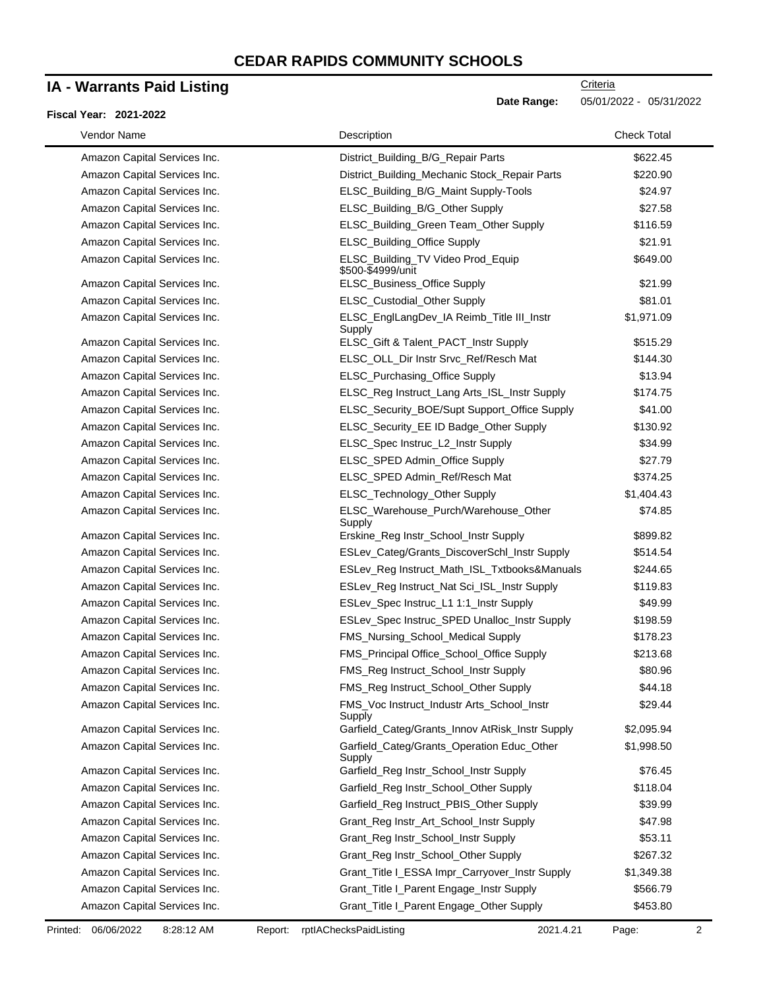### **IA - Warrants Paid Listing**

#### **Fiscal Year: 2021-2022**

| Vendor Name                  | Description                                            | <b>Check Total</b> |
|------------------------------|--------------------------------------------------------|--------------------|
| Amazon Capital Services Inc. | District_Building_B/G_Repair Parts                     | \$622.45           |
| Amazon Capital Services Inc. | District_Building_Mechanic Stock_Repair Parts          | \$220.90           |
| Amazon Capital Services Inc. | ELSC_Building_B/G_Maint Supply-Tools                   | \$24.97            |
| Amazon Capital Services Inc. | ELSC_Building_B/G_Other Supply                         | \$27.58            |
| Amazon Capital Services Inc. | ELSC_Building_Green Team_Other Supply                  | \$116.59           |
| Amazon Capital Services Inc. | ELSC_Building_Office Supply                            | \$21.91            |
| Amazon Capital Services Inc. | ELSC_Building_TV Video Prod_Equip<br>\$500-\$4999/unit | \$649.00           |
| Amazon Capital Services Inc. | ELSC_Business_Office Supply                            | \$21.99            |
| Amazon Capital Services Inc. | ELSC_Custodial_Other Supply                            | \$81.01            |
| Amazon Capital Services Inc. | ELSC_EnglLangDev_IA Reimb_Title III_Instr<br>Supply    | \$1,971.09         |
| Amazon Capital Services Inc. | ELSC_Gift & Talent_PACT_Instr Supply                   | \$515.29           |
| Amazon Capital Services Inc. | ELSC_OLL_Dir Instr Srvc_Ref/Resch Mat                  | \$144.30           |
| Amazon Capital Services Inc. | ELSC_Purchasing_Office Supply                          | \$13.94            |
| Amazon Capital Services Inc. | ELSC_Reg Instruct_Lang Arts_ISL_Instr Supply           | \$174.75           |
| Amazon Capital Services Inc. | ELSC_Security_BOE/Supt Support_Office Supply           | \$41.00            |
| Amazon Capital Services Inc. | ELSC_Security_EE ID Badge_Other Supply                 | \$130.92           |
| Amazon Capital Services Inc. | ELSC_Spec Instruc_L2_Instr Supply                      | \$34.99            |
| Amazon Capital Services Inc. | ELSC_SPED Admin_Office Supply                          | \$27.79            |
| Amazon Capital Services Inc. | ELSC_SPED Admin_Ref/Resch Mat                          | \$374.25           |
| Amazon Capital Services Inc. | ELSC_Technology_Other Supply                           | \$1,404.43         |
| Amazon Capital Services Inc. | ELSC_Warehouse_Purch/Warehouse_Other<br>Supply         | \$74.85            |
| Amazon Capital Services Inc. | Erskine_Reg Instr_School_Instr Supply                  | \$899.82           |
| Amazon Capital Services Inc. | ESLev_Categ/Grants_DiscoverSchl_Instr Supply           | \$514.54           |
| Amazon Capital Services Inc. | ESLev_Reg Instruct_Math_ISL_Txtbooks&Manuals           | \$244.65           |
| Amazon Capital Services Inc. | ESLev_Reg Instruct_Nat Sci_ISL_Instr Supply            | \$119.83           |
| Amazon Capital Services Inc. | ESLev_Spec Instruc_L1 1:1_Instr Supply                 | \$49.99            |
| Amazon Capital Services Inc. | ESLev_Spec Instruc_SPED Unalloc_Instr Supply           | \$198.59           |
| Amazon Capital Services Inc. | FMS_Nursing_School_Medical Supply                      | \$178.23           |
| Amazon Capital Services Inc. | FMS_Principal Office_School_Office Supply              | \$213.68           |
| Amazon Capital Services Inc. | FMS_Reg Instruct_School_Instr Supply                   | \$80.96            |
| Amazon Capital Services Inc. | FMS_Reg Instruct_School_Other Supply                   | \$44.18            |
| Amazon Capital Services Inc. | FMS_Voc Instruct_Industr Arts_School_Instr<br>Supply   | \$29.44            |
| Amazon Capital Services Inc. | Garfield_Categ/Grants_Innov AtRisk_Instr Supply        | \$2,095.94         |
| Amazon Capital Services Inc. | Garfield_Categ/Grants_Operation Educ_Other<br>Supply   | \$1,998.50         |
| Amazon Capital Services Inc. | Garfield_Reg Instr_School_Instr Supply                 | \$76.45            |
| Amazon Capital Services Inc. | Garfield_Reg Instr_School_Other Supply                 | \$118.04           |
| Amazon Capital Services Inc. | Garfield_Reg Instruct_PBIS_Other Supply                | \$39.99            |
| Amazon Capital Services Inc. | Grant_Reg Instr_Art_School_Instr Supply                | \$47.98            |
| Amazon Capital Services Inc. | Grant_Reg Instr_School_Instr Supply                    | \$53.11            |
| Amazon Capital Services Inc. | Grant_Reg Instr_School_Other Supply                    | \$267.32           |
| Amazon Capital Services Inc. | Grant_Title I_ESSA Impr_Carryover_Instr Supply         | \$1,349.38         |
| Amazon Capital Services Inc. | Grant_Title I_Parent Engage_Instr Supply               | \$566.79           |
| Amazon Capital Services Inc. | Grant_Title I_Parent Engage_Other Supply               | \$453.80           |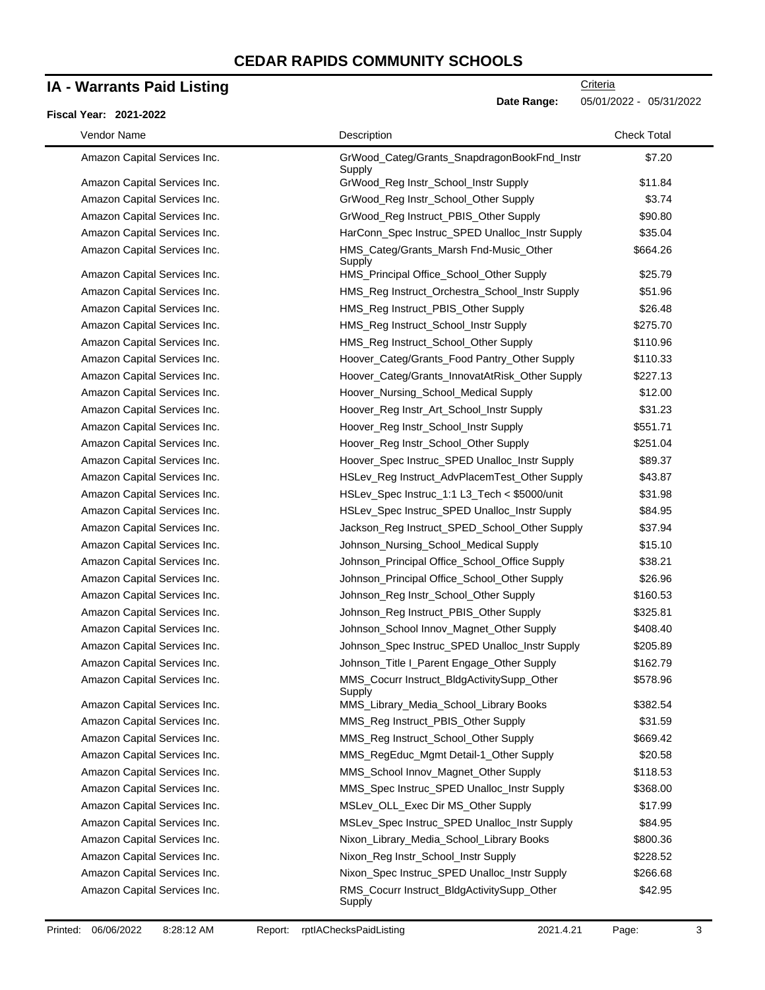### **IA - Warrants Paid Listing**

### **Fiscal Year: 2021-2022**

| Vendor Name                  | Description                                           | <b>Check Total</b> |
|------------------------------|-------------------------------------------------------|--------------------|
| Amazon Capital Services Inc. | GrWood_Categ/Grants_SnapdragonBookFnd_Instr<br>Supply | \$7.20             |
| Amazon Capital Services Inc. | GrWood_Reg Instr_School_Instr Supply                  | \$11.84            |
| Amazon Capital Services Inc. | GrWood_Reg Instr_School_Other Supply                  | \$3.74             |
| Amazon Capital Services Inc. | GrWood_Reg Instruct_PBIS_Other Supply                 | \$90.80            |
| Amazon Capital Services Inc. | HarConn_Spec Instruc_SPED Unalloc_Instr Supply        | \$35.04            |
| Amazon Capital Services Inc. | HMS_Categ/Grants_Marsh Fnd-Music_Other<br>Supply      | \$664.26           |
| Amazon Capital Services Inc. | HMS_Principal Office_School_Other Supply              | \$25.79            |
| Amazon Capital Services Inc. | HMS_Reg Instruct_Orchestra_School_Instr Supply        | \$51.96            |
| Amazon Capital Services Inc. | HMS_Reg Instruct_PBIS_Other Supply                    | \$26.48            |
| Amazon Capital Services Inc. | HMS_Reg Instruct_School_Instr Supply                  | \$275.70           |
| Amazon Capital Services Inc. | HMS_Reg Instruct_School_Other Supply                  | \$110.96           |
| Amazon Capital Services Inc. | Hoover_Categ/Grants_Food Pantry_Other Supply          | \$110.33           |
| Amazon Capital Services Inc. | Hoover_Categ/Grants_InnovatAtRisk_Other Supply        | \$227.13           |
| Amazon Capital Services Inc. | Hoover_Nursing_School_Medical Supply                  | \$12.00            |
| Amazon Capital Services Inc. | Hoover_Reg Instr_Art_School_Instr Supply              | \$31.23            |
| Amazon Capital Services Inc. | Hoover_Reg Instr_School_Instr Supply                  | \$551.71           |
| Amazon Capital Services Inc. | Hoover_Reg Instr_School_Other Supply                  | \$251.04           |
| Amazon Capital Services Inc. | Hoover_Spec Instruc_SPED Unalloc_Instr Supply         | \$89.37            |
| Amazon Capital Services Inc. | HSLev_Reg Instruct_AdvPlacemTest_Other Supply         | \$43.87            |
| Amazon Capital Services Inc. | HSLev_Spec Instruc_1:1 L3_Tech < \$5000/unit          | \$31.98            |
| Amazon Capital Services Inc. | HSLev_Spec Instruc_SPED Unalloc_Instr Supply          | \$84.95            |
| Amazon Capital Services Inc. | Jackson_Reg Instruct_SPED_School_Other Supply         | \$37.94            |
| Amazon Capital Services Inc. | Johnson_Nursing_School_Medical Supply                 | \$15.10            |
| Amazon Capital Services Inc. | Johnson_Principal Office_School_Office Supply         | \$38.21            |
| Amazon Capital Services Inc. | Johnson_Principal Office_School_Other Supply          | \$26.96            |
| Amazon Capital Services Inc. | Johnson_Reg Instr_School_Other Supply                 | \$160.53           |
| Amazon Capital Services Inc. | Johnson_Reg Instruct_PBIS_Other Supply                | \$325.81           |
| Amazon Capital Services Inc. | Johnson_School Innov_Magnet_Other Supply              | \$408.40           |
| Amazon Capital Services Inc. | Johnson_Spec Instruc_SPED Unalloc_Instr Supply        | \$205.89           |
| Amazon Capital Services Inc. | Johnson_Title I_Parent Engage_Other Supply            | \$162.79           |
| Amazon Capital Services Inc. | MMS_Cocurr Instruct_BldgActivitySupp_Other<br>Supply  | \$578.96           |
| Amazon Capital Services Inc. | MMS_Library_Media_School_Library Books                | \$382.54           |
| Amazon Capital Services Inc. | MMS_Reg Instruct_PBIS_Other Supply                    | \$31.59            |
| Amazon Capital Services Inc. | MMS_Reg Instruct_School_Other Supply                  | \$669.42           |
| Amazon Capital Services Inc. | MMS_RegEduc_Mgmt Detail-1_Other Supply                | \$20.58            |
| Amazon Capital Services Inc. | MMS_School Innov_Magnet_Other Supply                  | \$118.53           |
| Amazon Capital Services Inc. | MMS_Spec Instruc_SPED Unalloc_Instr Supply            | \$368.00           |
| Amazon Capital Services Inc. | MSLev_OLL_Exec Dir MS_Other Supply                    | \$17.99            |
| Amazon Capital Services Inc. | MSLev_Spec Instruc_SPED Unalloc_Instr Supply          | \$84.95            |
| Amazon Capital Services Inc. | Nixon_Library_Media_School_Library Books              | \$800.36           |
| Amazon Capital Services Inc. | Nixon_Reg Instr_School_Instr Supply                   | \$228.52           |
| Amazon Capital Services Inc. | Nixon_Spec Instruc_SPED Unalloc_Instr Supply          | \$266.68           |
| Amazon Capital Services Inc. | RMS_Cocurr Instruct_BldgActivitySupp_Other            | \$42.95            |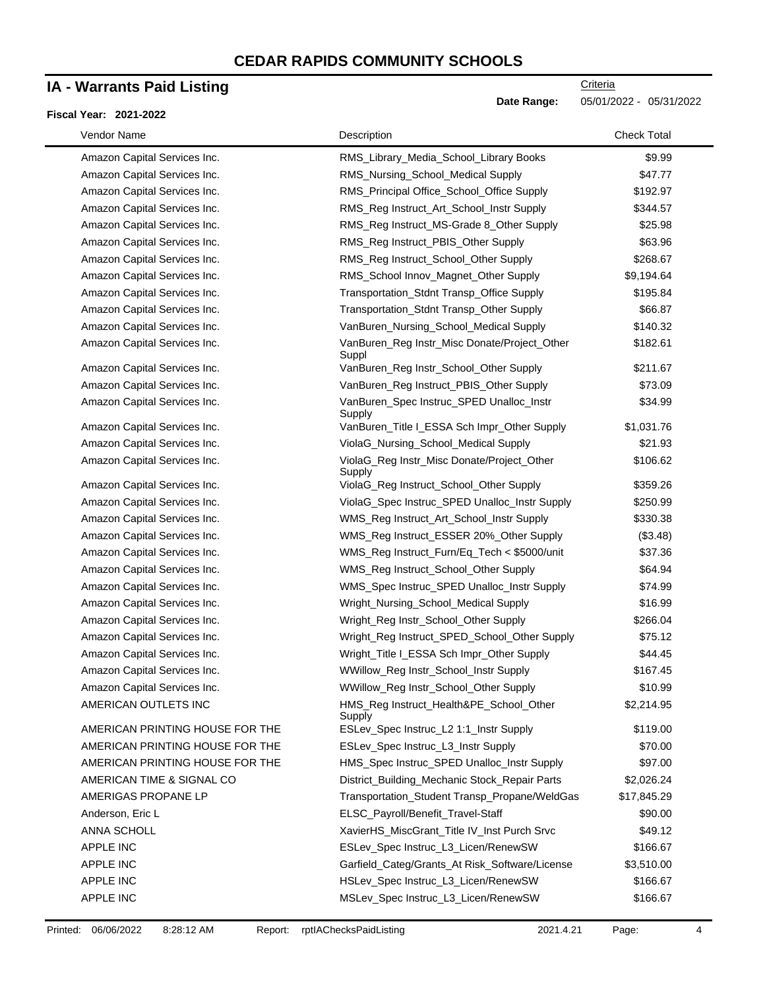### **IA - Warrants Paid Listing**

#### **Fiscal Year: 2021-2022**

 $\blacksquare$ 

| Vendor Name                     | Description                                           | <b>Check Total</b> |
|---------------------------------|-------------------------------------------------------|--------------------|
| Amazon Capital Services Inc.    | RMS_Library_Media_School_Library Books                | \$9.99             |
| Amazon Capital Services Inc.    | RMS_Nursing_School_Medical Supply                     | \$47.77            |
| Amazon Capital Services Inc.    | RMS_Principal Office_School_Office Supply             | \$192.97           |
| Amazon Capital Services Inc.    | RMS_Reg Instruct_Art_School_Instr Supply              | \$344.57           |
| Amazon Capital Services Inc.    | RMS_Reg Instruct_MS-Grade 8_Other Supply              | \$25.98            |
| Amazon Capital Services Inc.    | RMS_Reg Instruct_PBIS_Other Supply                    | \$63.96            |
| Amazon Capital Services Inc.    | RMS_Reg Instruct_School_Other Supply                  | \$268.67           |
| Amazon Capital Services Inc.    | RMS_School Innov_Magnet_Other Supply                  | \$9,194.64         |
| Amazon Capital Services Inc.    | Transportation_Stdnt Transp_Office Supply             | \$195.84           |
| Amazon Capital Services Inc.    | Transportation_Stdnt Transp_Other Supply              | \$66.87            |
| Amazon Capital Services Inc.    | VanBuren_Nursing_School_Medical Supply                | \$140.32           |
| Amazon Capital Services Inc.    | VanBuren_Reg Instr_Misc Donate/Project_Other<br>Suppl | \$182.61           |
| Amazon Capital Services Inc.    | VanBuren_Reg Instr_School_Other Supply                | \$211.67           |
| Amazon Capital Services Inc.    | VanBuren_Reg Instruct_PBIS_Other Supply               | \$73.09            |
| Amazon Capital Services Inc.    | VanBuren_Spec Instruc_SPED Unalloc_Instr<br>Supply    | \$34.99            |
| Amazon Capital Services Inc.    | VanBuren_Title I_ESSA Sch Impr_Other Supply           | \$1,031.76         |
| Amazon Capital Services Inc.    | ViolaG_Nursing_School_Medical Supply                  | \$21.93            |
| Amazon Capital Services Inc.    | ViolaG_Reg Instr_Misc Donate/Project_Other<br>Supply  | \$106.62           |
| Amazon Capital Services Inc.    | ViolaG_Reg Instruct_School_Other Supply               | \$359.26           |
| Amazon Capital Services Inc.    | ViolaG_Spec Instruc_SPED Unalloc_Instr Supply         | \$250.99           |
| Amazon Capital Services Inc.    | WMS_Reg Instruct_Art_School_Instr Supply              | \$330.38           |
| Amazon Capital Services Inc.    | WMS_Reg Instruct_ESSER 20%_Other Supply               | (\$3.48)           |
| Amazon Capital Services Inc.    | WMS_Reg Instruct_Furn/Eq_Tech < \$5000/unit           | \$37.36            |
| Amazon Capital Services Inc.    | WMS_Reg Instruct_School_Other Supply                  | \$64.94            |
| Amazon Capital Services Inc.    | WMS_Spec Instruc_SPED Unalloc_Instr Supply            | \$74.99            |
| Amazon Capital Services Inc.    | Wright_Nursing_School_Medical Supply                  | \$16.99            |
| Amazon Capital Services Inc.    | Wright_Reg Instr_School_Other Supply                  | \$266.04           |
| Amazon Capital Services Inc.    | Wright_Reg Instruct_SPED_School_Other Supply          | \$75.12            |
| Amazon Capital Services Inc.    | Wright_Title I_ESSA Sch Impr_Other Supply             | \$44.45            |
| Amazon Capital Services Inc.    | WWillow_Reg Instr_School_Instr Supply                 | \$167.45           |
| Amazon Capital Services Inc.    | WWillow_Reg Instr_School_Other Supply                 | \$10.99            |
| AMERICAN OUTLETS INC            | HMS_Reg Instruct_Health&PE_School_Other<br>Supply     | \$2,214.95         |
| AMERICAN PRINTING HOUSE FOR THE | ESLev_Spec Instruc_L2 1:1_Instr Supply                | \$119.00           |
| AMERICAN PRINTING HOUSE FOR THE | ESLev_Spec Instruc_L3_Instr Supply                    | \$70.00            |
| AMERICAN PRINTING HOUSE FOR THE | HMS_Spec Instruc_SPED Unalloc_Instr Supply            | \$97.00            |
| AMERICAN TIME & SIGNAL CO       | District_Building_Mechanic Stock_Repair Parts         | \$2,026.24         |
| AMERIGAS PROPANE LP             | Transportation_Student Transp_Propane/WeldGas         | \$17,845.29        |
| Anderson, Eric L                | ELSC_Payroll/Benefit_Travel-Staff                     | \$90.00            |
| <b>ANNA SCHOLL</b>              | XavierHS_MiscGrant_Title IV_Inst Purch Srvc           | \$49.12            |
| APPLE INC                       | ESLev_Spec Instruc_L3_Licen/RenewSW                   | \$166.67           |
| <b>APPLE INC</b>                | Garfield_Categ/Grants_At Risk_Software/License        | \$3,510.00         |
| APPLE INC                       | HSLev_Spec Instruc_L3_Licen/RenewSW                   | \$166.67           |
| APPLE INC                       | MSLev_Spec Instruc_L3_Licen/RenewSW                   | \$166.67           |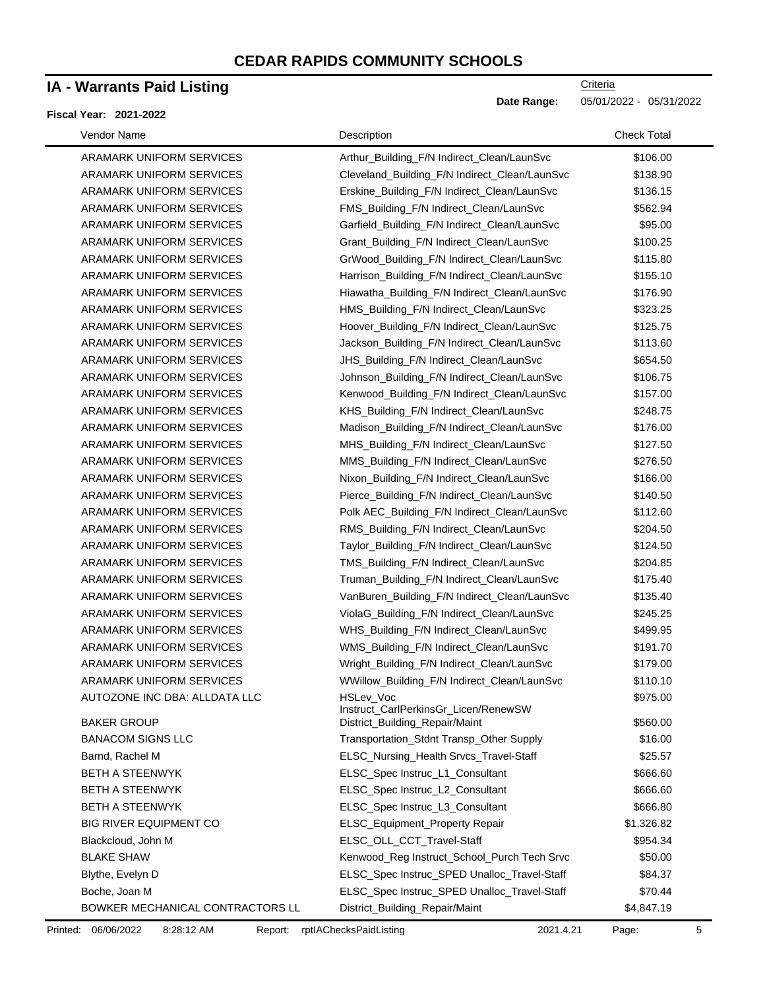### **IA - Warrants Paid Listing**

#### **Fiscal Year: 2021-2022**

| Vendor Name                      | Description                                       | <b>Check Total</b> |
|----------------------------------|---------------------------------------------------|--------------------|
| ARAMARK UNIFORM SERVICES         | Arthur_Building_F/N Indirect_Clean/LaunSvc        | \$106.00           |
| ARAMARK UNIFORM SERVICES         | Cleveland_Building_F/N Indirect_Clean/LaunSvc     | \$138.90           |
| ARAMARK UNIFORM SERVICES         | Erskine_Building_F/N Indirect_Clean/LaunSvc       | \$136.15           |
| ARAMARK UNIFORM SERVICES         | FMS_Building_F/N Indirect_Clean/LaunSvc           | \$562.94           |
| ARAMARK UNIFORM SERVICES         | Garfield_Building_F/N Indirect_Clean/LaunSvc      | \$95.00            |
| ARAMARK UNIFORM SERVICES         | Grant_Building_F/N Indirect_Clean/LaunSvc         | \$100.25           |
| ARAMARK UNIFORM SERVICES         | GrWood_Building_F/N Indirect_Clean/LaunSvc        | \$115.80           |
| ARAMARK UNIFORM SERVICES         | Harrison_Building_F/N Indirect_Clean/LaunSvc      | \$155.10           |
| ARAMARK UNIFORM SERVICES         | Hiawatha_Building_F/N Indirect_Clean/LaunSvc      | \$176.90           |
| ARAMARK UNIFORM SERVICES         | HMS_Building_F/N Indirect_Clean/LaunSvc           | \$323.25           |
| ARAMARK UNIFORM SERVICES         | Hoover_Building_F/N Indirect_Clean/LaunSvc        | \$125.75           |
| ARAMARK UNIFORM SERVICES         | Jackson_Building_F/N Indirect_Clean/LaunSvc       | \$113.60           |
| ARAMARK UNIFORM SERVICES         | JHS_Building_F/N Indirect_Clean/LaunSvc           | \$654.50           |
| ARAMARK UNIFORM SERVICES         | Johnson_Building_F/N Indirect_Clean/LaunSvc       | \$106.75           |
| ARAMARK UNIFORM SERVICES         | Kenwood_Building_F/N Indirect_Clean/LaunSvc       | \$157.00           |
| ARAMARK UNIFORM SERVICES         | KHS_Building_F/N Indirect_Clean/LaunSvc           | \$248.75           |
| ARAMARK UNIFORM SERVICES         | Madison_Building_F/N Indirect_Clean/LaunSvc       | \$176.00           |
| ARAMARK UNIFORM SERVICES         | MHS_Building_F/N Indirect_Clean/LaunSvc           | \$127.50           |
| ARAMARK UNIFORM SERVICES         | MMS_Building_F/N Indirect_Clean/LaunSvc           | \$276.50           |
| ARAMARK UNIFORM SERVICES         | Nixon_Building_F/N Indirect_Clean/LaunSvc         | \$166.00           |
| ARAMARK UNIFORM SERVICES         | Pierce_Building_F/N Indirect_Clean/LaunSvc        | \$140.50           |
| ARAMARK UNIFORM SERVICES         | Polk AEC_Building_F/N Indirect_Clean/LaunSvc      | \$112.60           |
| ARAMARK UNIFORM SERVICES         | RMS_Building_F/N Indirect_Clean/LaunSvc           | \$204.50           |
| ARAMARK UNIFORM SERVICES         | Taylor_Building_F/N Indirect_Clean/LaunSvc        | \$124.50           |
| ARAMARK UNIFORM SERVICES         | TMS_Building_F/N Indirect_Clean/LaunSvc           | \$204.85           |
| ARAMARK UNIFORM SERVICES         | Truman_Building_F/N Indirect_Clean/LaunSvc        | \$175.40           |
| ARAMARK UNIFORM SERVICES         | VanBuren_Building_F/N Indirect_Clean/LaunSvc      | \$135.40           |
| ARAMARK UNIFORM SERVICES         | ViolaG_Building_F/N Indirect_Clean/LaunSvc        | \$245.25           |
| ARAMARK UNIFORM SERVICES         | WHS_Building_F/N Indirect_Clean/LaunSvc           | \$499.95           |
| ARAMARK UNIFORM SERVICES         | WMS_Building_F/N Indirect_Clean/LaunSvc           | \$191.70           |
| ARAMARK UNIFORM SERVICES         | Wright_Building_F/N Indirect_Clean/LaunSvc        | \$179.00           |
| <b>ARAMARK UNIFORM SERVICES</b>  | WWillow_Building_F/N Indirect_Clean/LaunSvc       | \$110.10           |
| AUTOZONE INC DBA: ALLDATA LLC    | HSLev Voc<br>Instruct_CarlPerkinsGr_Licen/RenewSW | \$975.00           |
| <b>BAKER GROUP</b>               | District_Building_Repair/Maint                    | \$560.00           |
| <b>BANACOM SIGNS LLC</b>         | Transportation_Stdnt Transp_Other Supply          | \$16.00            |
| Barnd, Rachel M                  | ELSC_Nursing_Health Srvcs_Travel-Staff            | \$25.57            |
| <b>BETH A STEENWYK</b>           | ELSC_Spec Instruc_L1_Consultant                   | \$666.60           |
| <b>BETH A STEENWYK</b>           | ELSC_Spec Instruc_L2_Consultant                   | \$666.60           |
| <b>BETH A STEENWYK</b>           | ELSC_Spec Instruc_L3_Consultant                   | \$666.80           |
| <b>BIG RIVER EQUIPMENT CO</b>    | ELSC_Equipment_Property Repair                    | \$1,326.82         |
| Blackcloud, John M               | ELSC_OLL_CCT_Travel-Staff                         | \$954.34           |
| <b>BLAKE SHAW</b>                | Kenwood_Reg Instruct_School_Purch Tech Srvc       | \$50.00            |
| Blythe, Evelyn D                 | ELSC_Spec Instruc_SPED Unalloc_Travel-Staff       | \$84.37            |
| Boche, Joan M                    | ELSC_Spec Instruc_SPED Unalloc_Travel-Staff       | \$70.44            |
| BOWKER MECHANICAL CONTRACTORS LL | District_Building_Repair/Maint                    | \$4,847.19         |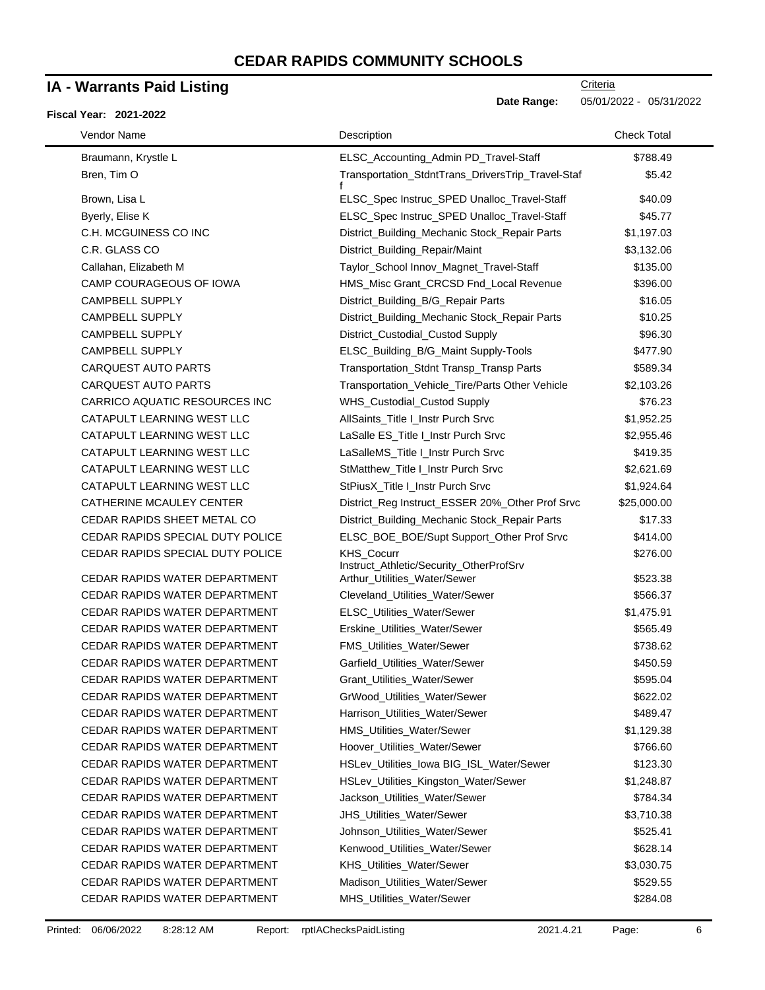### **IA - Warrants Paid Listing**

### **Fiscal Year: 2021-2022**

-

| Vendor Name                          | Description                                           | <b>Check Total</b> |  |
|--------------------------------------|-------------------------------------------------------|--------------------|--|
| Braumann, Krystle L                  | ELSC_Accounting_Admin PD_Travel-Staff                 | \$788.49           |  |
| Bren, Tim O                          | Transportation_StdntTrans_DriversTrip_Travel-Staf     | \$5.42             |  |
| Brown, Lisa L                        | ELSC_Spec Instruc_SPED Unalloc_Travel-Staff           | \$40.09            |  |
| Byerly, Elise K                      | ELSC_Spec Instruc_SPED Unalloc_Travel-Staff           | \$45.77            |  |
| C.H. MCGUINESS CO INC                | District_Building_Mechanic Stock_Repair Parts         | \$1,197.03         |  |
| C.R. GLASS CO                        | District_Building_Repair/Maint                        | \$3,132.06         |  |
| Callahan, Elizabeth M                | Taylor_School Innov_Magnet_Travel-Staff               | \$135.00           |  |
| CAMP COURAGEOUS OF IOWA              | HMS_Misc Grant_CRCSD Fnd_Local Revenue                | \$396.00           |  |
| <b>CAMPBELL SUPPLY</b>               | District_Building_B/G_Repair Parts                    | \$16.05            |  |
| <b>CAMPBELL SUPPLY</b>               | District_Building_Mechanic Stock_Repair Parts         | \$10.25            |  |
| <b>CAMPBELL SUPPLY</b>               | District_Custodial_Custod Supply                      | \$96.30            |  |
| <b>CAMPBELL SUPPLY</b>               | ELSC_Building_B/G_Maint Supply-Tools                  | \$477.90           |  |
| <b>CARQUEST AUTO PARTS</b>           | Transportation_Stdnt Transp_Transp Parts              | \$589.34           |  |
| <b>CARQUEST AUTO PARTS</b>           | Transportation_Vehicle_Tire/Parts Other Vehicle       | \$2,103.26         |  |
| <b>CARRICO AQUATIC RESOURCES INC</b> | WHS_Custodial_Custod Supply                           | \$76.23            |  |
| CATAPULT LEARNING WEST LLC           | AllSaints_Title I_Instr Purch Srvc                    | \$1,952.25         |  |
| CATAPULT LEARNING WEST LLC           | LaSalle ES_Title I_Instr Purch Srvc                   | \$2,955.46         |  |
| CATAPULT LEARNING WEST LLC           | LaSalleMS_Title I_Instr Purch Srvc                    | \$419.35           |  |
| CATAPULT LEARNING WEST LLC           | StMatthew_Title I_Instr Purch Srvc                    | \$2,621.69         |  |
| CATAPULT LEARNING WEST LLC           | StPiusX_Title I_Instr Purch Srvc                      | \$1,924.64         |  |
| CATHERINE MCAULEY CENTER             | District_Reg Instruct_ESSER 20%_Other Prof Srvc       | \$25,000.00        |  |
| CEDAR RAPIDS SHEET METAL CO          | District_Building_Mechanic Stock_Repair Parts         | \$17.33            |  |
| CEDAR RAPIDS SPECIAL DUTY POLICE     | ELSC_BOE_BOE/Supt Support_Other Prof Srvc             | \$414.00           |  |
| CEDAR RAPIDS SPECIAL DUTY POLICE     | KHS_Cocurr<br>Instruct_Athletic/Security_OtherProfSrv | \$276.00           |  |
| CEDAR RAPIDS WATER DEPARTMENT        | Arthur_Utilities_Water/Sewer                          | \$523.38           |  |
| CEDAR RAPIDS WATER DEPARTMENT        | Cleveland_Utilities_Water/Sewer                       | \$566.37           |  |
| CEDAR RAPIDS WATER DEPARTMENT        | ELSC_Utilities_Water/Sewer                            | \$1,475.91         |  |
| CEDAR RAPIDS WATER DEPARTMENT        | Erskine_Utilities_Water/Sewer                         | \$565.49           |  |
| CEDAR RAPIDS WATER DEPARTMENT        | FMS_Utilities_Water/Sewer                             | \$738.62           |  |
| CEDAR RAPIDS WATER DEPARTMENT        | Garfield_Utilities_Water/Sewer                        | \$450.59           |  |
| CEDAR RAPIDS WATER DEPARTMENT        | Grant_Utilities_Water/Sewer                           | \$595.04           |  |
| CEDAR RAPIDS WATER DEPARTMENT        | GrWood_Utilities_Water/Sewer                          | \$622.02           |  |
| CEDAR RAPIDS WATER DEPARTMENT        | Harrison_Utilities_Water/Sewer                        | \$489.47           |  |
| CEDAR RAPIDS WATER DEPARTMENT        | HMS_Utilities_Water/Sewer                             | \$1,129.38         |  |
| CEDAR RAPIDS WATER DEPARTMENT        | Hoover_Utilities_Water/Sewer                          | \$766.60           |  |
| CEDAR RAPIDS WATER DEPARTMENT        | HSLev_Utilities_lowa BIG_ISL_Water/Sewer              | \$123.30           |  |
| CEDAR RAPIDS WATER DEPARTMENT        | HSLev_Utilities_Kingston_Water/Sewer                  | \$1,248.87         |  |
| CEDAR RAPIDS WATER DEPARTMENT        | Jackson_Utilities_Water/Sewer                         | \$784.34           |  |
| CEDAR RAPIDS WATER DEPARTMENT        | JHS_Utilities_Water/Sewer                             | \$3,710.38         |  |
| CEDAR RAPIDS WATER DEPARTMENT        | Johnson_Utilities_Water/Sewer                         | \$525.41           |  |
| CEDAR RAPIDS WATER DEPARTMENT        | Kenwood_Utilities_Water/Sewer                         | \$628.14           |  |
| CEDAR RAPIDS WATER DEPARTMENT        | KHS_Utilities_Water/Sewer                             | \$3,030.75         |  |
| CEDAR RAPIDS WATER DEPARTMENT        | Madison_Utilities_Water/Sewer                         | \$529.55           |  |
| CEDAR RAPIDS WATER DEPARTMENT        | MHS_Utilities_Water/Sewer                             | \$284.08           |  |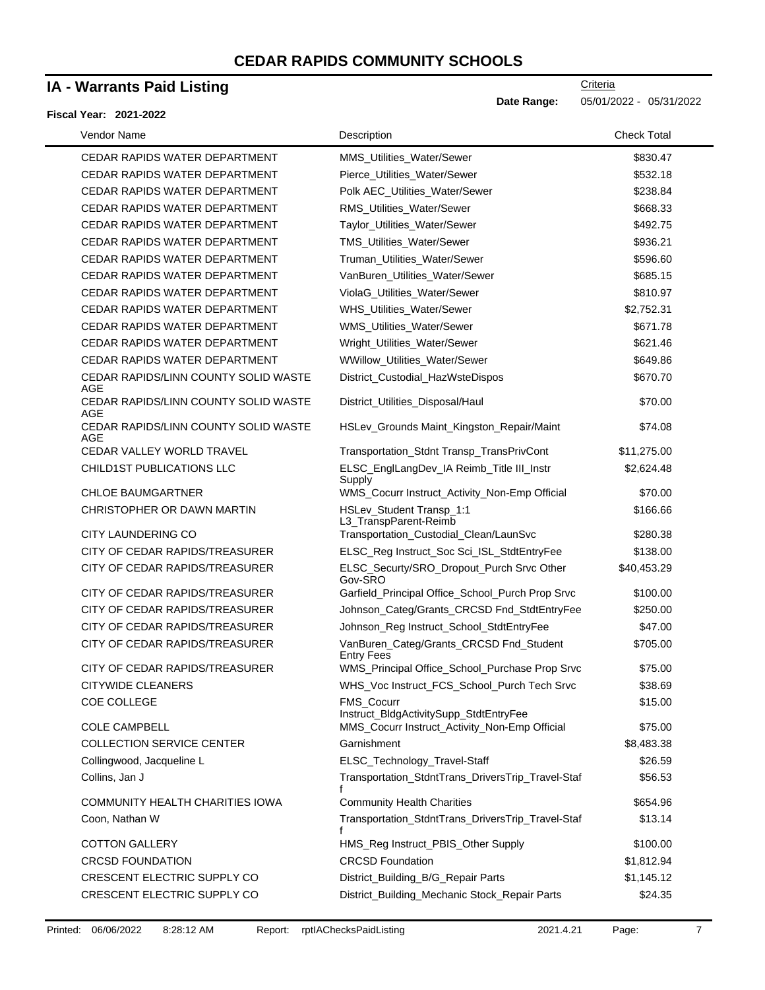# **IA - Warrants Paid Listing**

#### **Fisc**

| cal Year: 2021-2022                         | υαι <del>ο</del> παιιγο.                                                                | UJIU IIZUZZ T UJIJ IIZUZZ |
|---------------------------------------------|-----------------------------------------------------------------------------------------|---------------------------|
| Vendor Name                                 | Description                                                                             | <b>Check Total</b>        |
| <b>CEDAR RAPIDS WATER DEPARTMENT</b>        | MMS Utilities Water/Sewer                                                               | \$830.47                  |
| CEDAR RAPIDS WATER DEPARTMENT               | Pierce_Utilities_Water/Sewer                                                            | \$532.18                  |
| <b>CEDAR RAPIDS WATER DEPARTMENT</b>        | Polk AEC_Utilities_Water/Sewer                                                          | \$238.84                  |
| <b>CEDAR RAPIDS WATER DEPARTMENT</b>        | RMS_Utilities_Water/Sewer                                                               | \$668.33                  |
| CEDAR RAPIDS WATER DEPARTMENT               | Taylor_Utilities_Water/Sewer                                                            | \$492.75                  |
| CEDAR RAPIDS WATER DEPARTMENT               | TMS_Utilities_Water/Sewer                                                               | \$936.21                  |
| CEDAR RAPIDS WATER DEPARTMENT               | Truman_Utilities_Water/Sewer                                                            | \$596.60                  |
| <b>CEDAR RAPIDS WATER DEPARTMENT</b>        | VanBuren_Utilities_Water/Sewer                                                          | \$685.15                  |
| <b>CEDAR RAPIDS WATER DEPARTMENT</b>        | ViolaG_Utilities_Water/Sewer                                                            | \$810.97                  |
| <b>CEDAR RAPIDS WATER DEPARTMENT</b>        | WHS_Utilities_Water/Sewer                                                               | \$2,752.31                |
| <b>CEDAR RAPIDS WATER DEPARTMENT</b>        | WMS_Utilities_Water/Sewer                                                               | \$671.78                  |
| CEDAR RAPIDS WATER DEPARTMENT               | Wright_Utilities_Water/Sewer                                                            | \$621.46                  |
| <b>CEDAR RAPIDS WATER DEPARTMENT</b>        | WWillow_Utilities_Water/Sewer                                                           | \$649.86                  |
| CEDAR RAPIDS/LINN COUNTY SOLID WASTE<br>AGE | District_Custodial_HazWsteDispos                                                        | \$670.70                  |
| CEDAR RAPIDS/LINN COUNTY SOLID WASTE<br>AGE | District_Utilities_Disposal/Haul                                                        | \$70.00                   |
| CEDAR RAPIDS/LINN COUNTY SOLID WASTE<br>AGE | HSLev_Grounds Maint_Kingston_Repair/Maint                                               | \$74.08                   |
| CEDAR VALLEY WORLD TRAVEL                   | Transportation_Stdnt Transp_TransPrivCont                                               | \$11,275.00               |
| <b>CHILD1ST PUBLICATIONS LLC</b>            | ELSC_EnglLangDev_IA Reimb_Title III_Instr<br>Supply                                     | \$2,624.48                |
| <b>CHLOE BAUMGARTNER</b>                    | WMS_Cocurr Instruct_Activity_Non-Emp Official                                           | \$70.00                   |
| CHRISTOPHER OR DAWN MARTIN                  | HSLev_Student Transp_1:1<br>L3_TranspParent-Reimb                                       | \$166.66                  |
| <b>CITY LAUNDERING CO</b>                   | Transportation_Custodial_Clean/LaunSvc                                                  | \$280.38                  |
| CITY OF CEDAR RAPIDS/TREASURER              | ELSC_Reg Instruct_Soc Sci_ISL_StdtEntryFee                                              | \$138.00                  |
| CITY OF CEDAR RAPIDS/TREASURER              | ELSC_Securty/SRO_Dropout_Purch Srvc Other<br>Gov-SRO                                    | \$40,453.29               |
| CITY OF CEDAR RAPIDS/TREASURER              | Garfield_Principal Office_School_Purch Prop Srvc                                        | \$100.00                  |
| CITY OF CEDAR RAPIDS/TREASURER              | Johnson_Categ/Grants_CRCSD Fnd_StdtEntryFee                                             | \$250.00                  |
| CITY OF CEDAR RAPIDS/TREASURER              | Johnson_Reg Instruct_School_StdtEntryFee                                                | \$47.00                   |
| CITY OF CEDAR RAPIDS/TREASURER              | VanBuren_Categ/Grants_CRCSD Fnd_Student<br><b>Entry Fees</b>                            | \$705.00                  |
| CITY OF CEDAR RAPIDS/TREASURER              | WMS_Principal Office_School_Purchase Prop Srvc                                          | \$75.00                   |
| <b>CITYWIDE CLEANERS</b><br>COE COLLEGE     | WHS_Voc Instruct_FCS_School_Purch Tech Srvc<br><b>FMS Cocurr</b>                        | \$38.69<br>\$15.00        |
| <b>COLE CAMPBELL</b>                        | Instruct_BldgActivitySupp_StdtEntryFee<br>MMS_Cocurr Instruct_Activity_Non-Emp Official | \$75.00                   |
| <b>COLLECTION SERVICE CENTER</b>            | Garnishment                                                                             | \$8,483.38                |
| Collingwood, Jacqueline L                   | ELSC_Technology_Travel-Staff                                                            | \$26.59                   |
| Collins, Jan J                              | Transportation_StdntTrans_DriversTrip_Travel-Staf<br>f                                  | \$56.53                   |
| COMMUNITY HEALTH CHARITIES IOWA             | <b>Community Health Charities</b>                                                       | \$654.96                  |
| Coon, Nathan W                              | Transportation_StdntTrans_DriversTrip_Travel-Staf<br>f                                  | \$13.14                   |
| <b>COTTON GALLERY</b>                       | HMS_Reg Instruct_PBIS_Other Supply                                                      | \$100.00                  |
| <b>CRCSD FOUNDATION</b>                     | <b>CRCSD Foundation</b>                                                                 | \$1,812.94                |
| CRESCENT ELECTRIC SUPPLY CO                 | District_Building_B/G_Repair Parts                                                      | \$1,145.12                |
| CRESCENT ELECTRIC SUPPLY CO                 | District_Building_Mechanic Stock_Repair Parts                                           | \$24.35                   |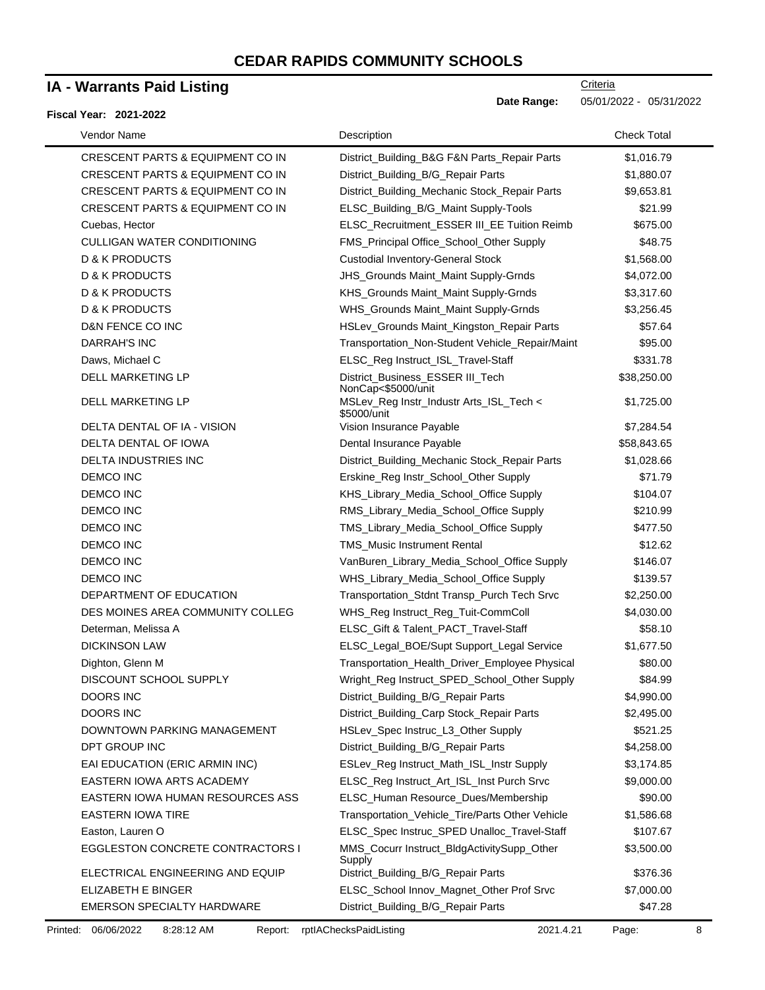### **IA - Warrants Paid Listing**

#### **Fiscal Year: 2021-2022**

| Vendor Name                                 | Description                                            | <b>Check Total</b> |
|---------------------------------------------|--------------------------------------------------------|--------------------|
| <b>CRESCENT PARTS &amp; EQUIPMENT CO IN</b> | District_Building_B&G F&N Parts_Repair Parts           | \$1,016.79         |
| CRESCENT PARTS & EQUIPMENT CO IN            | District_Building_B/G_Repair Parts                     | \$1,880.07         |
| CRESCENT PARTS & EQUIPMENT CO IN            | District_Building_Mechanic Stock_Repair Parts          | \$9,653.81         |
| CRESCENT PARTS & EQUIPMENT CO IN            | ELSC_Building_B/G_Maint Supply-Tools                   | \$21.99            |
| Cuebas, Hector                              | ELSC_Recruitment_ESSER III_EE Tuition Reimb            | \$675.00           |
| <b>CULLIGAN WATER CONDITIONING</b>          | FMS_Principal Office_School_Other Supply               | \$48.75            |
| <b>D &amp; K PRODUCTS</b>                   | <b>Custodial Inventory-General Stock</b>               | \$1,568.00         |
| <b>D &amp; K PRODUCTS</b>                   | JHS_Grounds Maint_Maint Supply-Grnds                   | \$4,072.00         |
| <b>D &amp; K PRODUCTS</b>                   | KHS_Grounds Maint_Maint Supply-Grnds                   | \$3,317.60         |
| <b>D &amp; K PRODUCTS</b>                   | WHS_Grounds Maint_Maint Supply-Grnds                   | \$3,256.45         |
| D&N FENCE CO INC                            | HSLev_Grounds Maint_Kingston_Repair Parts              | \$57.64            |
| <b>DARRAH'S INC</b>                         | Transportation_Non-Student Vehicle_Repair/Maint        | \$95.00            |
| Daws, Michael C                             | ELSC_Reg Instruct_ISL_Travel-Staff                     | \$331.78           |
| DELL MARKETING LP                           | District_Business_ESSER III_Tech<br>NonCap<\$5000/unit | \$38,250.00        |
| <b>DELL MARKETING LP</b>                    | MSLev_Reg Instr_Industr Arts_ISL_Tech <<br>\$5000/unit | \$1,725.00         |
| DELTA DENTAL OF IA - VISION                 | Vision Insurance Payable                               | \$7,284.54         |
| DELTA DENTAL OF IOWA                        | Dental Insurance Payable                               | \$58,843.65        |
| <b>DELTA INDUSTRIES INC</b>                 | District_Building_Mechanic Stock_Repair Parts          | \$1,028.66         |
| <b>DEMCO INC</b>                            | Erskine_Reg Instr_School_Other Supply                  | \$71.79            |
| <b>DEMCO INC</b>                            | KHS_Library_Media_School_Office Supply                 | \$104.07           |
| <b>DEMCO INC</b>                            | RMS_Library_Media_School_Office Supply                 | \$210.99           |
| <b>DEMCO INC</b>                            | TMS_Library_Media_School_Office Supply                 | \$477.50           |
| <b>DEMCO INC</b>                            | <b>TMS_Music Instrument Rental</b>                     | \$12.62            |
| <b>DEMCO INC</b>                            | VanBuren_Library_Media_School_Office Supply            | \$146.07           |
| <b>DEMCO INC</b>                            | WHS_Library_Media_School_Office Supply                 | \$139.57           |
| DEPARTMENT OF EDUCATION                     | Transportation_Stdnt Transp_Purch Tech Srvc            | \$2,250.00         |
| DES MOINES AREA COMMUNITY COLLEG            | WHS_Reg Instruct_Reg_Tuit-CommColl                     | \$4,030.00         |
| Determan, Melissa A                         | ELSC_Gift & Talent_PACT_Travel-Staff                   | \$58.10            |
| <b>DICKINSON LAW</b>                        | ELSC_Legal_BOE/Supt Support_Legal Service              | \$1,677.50         |
| Dighton, Glenn M                            | Transportation_Health_Driver_Employee Physical         | \$80.00            |
| DISCOUNT SCHOOL SUPPLY                      | Wright_Reg Instruct_SPED_School_Other Supply           | \$84.99            |
| DOORS INC                                   | District_Building_B/G_Repair Parts                     | \$4,990.00         |
| <b>DOORS INC</b>                            | District_Building_Carp Stock_Repair Parts              | \$2,495.00         |
| DOWNTOWN PARKING MANAGEMENT                 | HSLev_Spec Instruc_L3_Other Supply                     | \$521.25           |
| DPT GROUP INC                               | District_Building_B/G_Repair Parts                     | \$4,258.00         |
| EAI EDUCATION (ERIC ARMIN INC)              | ESLev_Reg Instruct_Math_ISL_Instr Supply               | \$3,174.85         |
| EASTERN IOWA ARTS ACADEMY                   | ELSC_Reg Instruct_Art_ISL_Inst Purch Srvc              | \$9,000.00         |
| EASTERN IOWA HUMAN RESOURCES ASS            | ELSC_Human Resource_Dues/Membership                    | \$90.00            |
| <b>EASTERN IOWA TIRE</b>                    | Transportation_Vehicle_Tire/Parts Other Vehicle        | \$1,586.68         |
| Easton, Lauren O                            | ELSC_Spec Instruc_SPED Unalloc_Travel-Staff            | \$107.67           |
| <b>EGGLESTON CONCRETE CONTRACTORS I</b>     | MMS_Cocurr Instruct_BldgActivitySupp_Other<br>Supply   | \$3,500.00         |
| ELECTRICAL ENGINEERING AND EQUIP            | District_Building_B/G_Repair Parts                     | \$376.36           |
| ELIZABETH E BINGER                          | ELSC_School Innov_Magnet_Other Prof Srvc               | \$7,000.00         |
| EMERSON SPECIALTY HARDWARE                  | District_Building_B/G_Repair Parts                     | \$47.28            |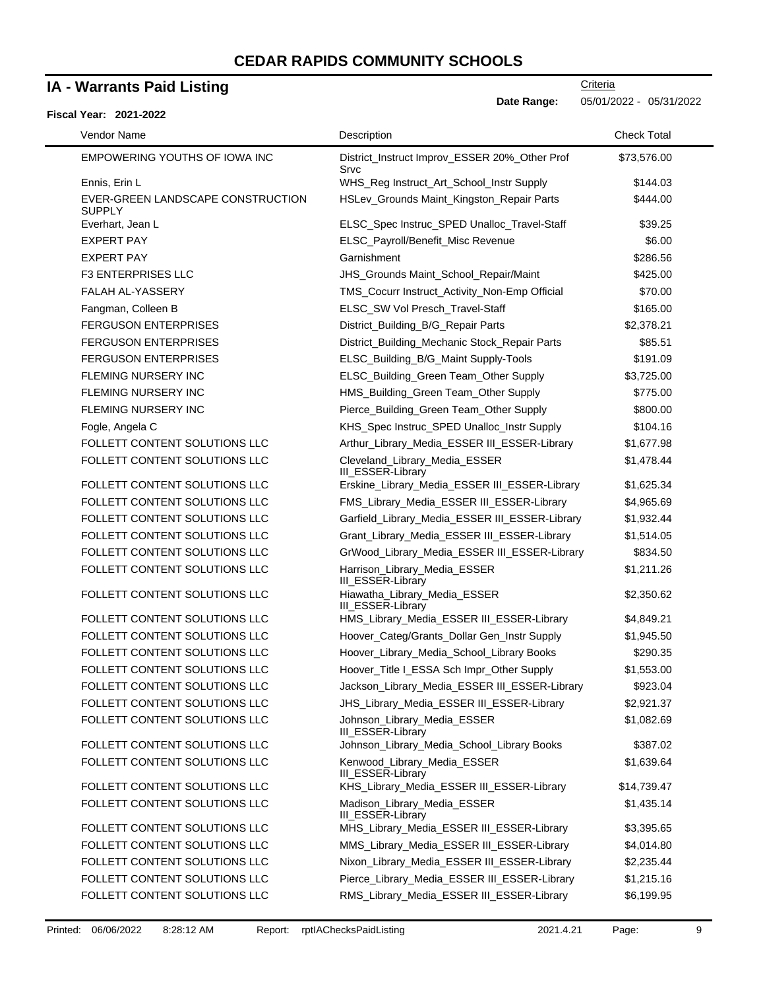### **IA - Warrants Paid Listing**

### **Fiscal Year: 2021-2022**

**Criteria** 

**Date Range:** 05/01/2022 - 05/31/2022

| Vendor Name                                        | Description                                           | <b>Check Total</b> |
|----------------------------------------------------|-------------------------------------------------------|--------------------|
| EMPOWERING YOUTHS OF IOWA INC                      | District_Instruct Improv_ESSER 20%_Other Prof<br>Srvc | \$73,576.00        |
| Ennis, Erin L                                      | WHS_Reg Instruct_Art_School_Instr Supply              | \$144.03           |
| EVER-GREEN LANDSCAPE CONSTRUCTION<br><b>SUPPLY</b> | HSLev_Grounds Maint_Kingston_Repair Parts             | \$444.00           |
| Everhart, Jean L                                   | ELSC_Spec Instruc_SPED Unalloc_Travel-Staff           | \$39.25            |
| <b>EXPERT PAY</b>                                  | ELSC_Payroll/Benefit_Misc Revenue                     | \$6.00             |
| <b>EXPERT PAY</b>                                  | Garnishment                                           | \$286.56           |
| <b>F3 ENTERPRISES LLC</b>                          | JHS_Grounds Maint_School_Repair/Maint                 | \$425.00           |
| FALAH AL-YASSERY                                   | TMS_Cocurr Instruct_Activity_Non-Emp Official         | \$70.00            |
| Fangman, Colleen B                                 | ELSC_SW Vol Presch_Travel-Staff                       | \$165.00           |
| <b>FERGUSON ENTERPRISES</b>                        | District_Building_B/G_Repair Parts                    | \$2,378.21         |
| <b>FERGUSON ENTERPRISES</b>                        | District_Building_Mechanic Stock_Repair Parts         | \$85.51            |
| <b>FERGUSON ENTERPRISES</b>                        | ELSC_Building_B/G_Maint Supply-Tools                  | \$191.09           |
| FLEMING NURSERY INC                                | ELSC_Building_Green Team_Other Supply                 | \$3,725.00         |
| <b>FLEMING NURSERY INC</b>                         | HMS_Building_Green Team_Other Supply                  | \$775.00           |
| <b>FLEMING NURSERY INC</b>                         | Pierce_Building_Green Team_Other Supply               | \$800.00           |
| Fogle, Angela C                                    | KHS_Spec Instruc_SPED Unalloc_Instr Supply            | \$104.16           |
| FOLLETT CONTENT SOLUTIONS LLC                      | Arthur_Library_Media_ESSER III_ESSER-Library          | \$1,677.98         |
| FOLLETT CONTENT SOLUTIONS LLC                      | Cleveland_Library_Media_ESSER<br>III_ESSER-Library    | \$1,478.44         |
| FOLLETT CONTENT SOLUTIONS LLC                      | Erskine_Library_Media_ESSER III_ESSER-Library         | \$1,625.34         |
| FOLLETT CONTENT SOLUTIONS LLC                      | FMS_Library_Media_ESSER III_ESSER-Library             | \$4,965.69         |
| FOLLETT CONTENT SOLUTIONS LLC                      | Garfield_Library_Media_ESSER III_ESSER-Library        | \$1,932.44         |
| FOLLETT CONTENT SOLUTIONS LLC                      | Grant_Library_Media_ESSER III_ESSER-Library           | \$1,514.05         |
| FOLLETT CONTENT SOLUTIONS LLC                      | GrWood_Library_Media_ESSER III_ESSER-Library          | \$834.50           |
| FOLLETT CONTENT SOLUTIONS LLC                      | Harrison_Library_Media_ESSER<br>III_ESSER-Library     | \$1,211.26         |
| FOLLETT CONTENT SOLUTIONS LLC                      | Hiawatha_Library_Media_ESSER<br>III_ESSER-Library     | \$2,350.62         |
| FOLLETT CONTENT SOLUTIONS LLC                      | HMS_Library_Media_ESSER III_ESSER-Library             | \$4,849.21         |
| FOLLETT CONTENT SOLUTIONS LLC                      | Hoover_Categ/Grants_Dollar Gen_Instr Supply           | \$1,945.50         |
| FOLLETT CONTENT SOLUTIONS LLC                      | Hoover_Library_Media_School_Library Books             | \$290.35           |
| FOLLETT CONTENT SOLUTIONS LLC                      | Hoover_Title I_ESSA Sch Impr_Other Supply             | \$1,553.00         |
| FOLLETT CONTENT SOLUTIONS LLC                      | Jackson_Library_Media_ESSER III_ESSER-Library         | \$923.04           |
| FOLLETT CONTENT SOLUTIONS LLC                      | JHS_Library_Media_ESSER III_ESSER-Library             | \$2,921.37         |
| FOLLETT CONTENT SOLUTIONS LLC                      | Johnson_Library_Media_ESSER<br>III_ESSER-Library      | \$1,082.69         |
| FOLLETT CONTENT SOLUTIONS LLC                      | Johnson_Library_Media_School_Library Books            | \$387.02           |
| FOLLETT CONTENT SOLUTIONS LLC                      | Kenwood_Library_Media_ESSER<br>III_ESSER-Library      | \$1,639.64         |
| FOLLETT CONTENT SOLUTIONS LLC                      | KHS_Library_Media_ESSER III_ESSER-Library             | \$14,739.47        |
| FOLLETT CONTENT SOLUTIONS LLC                      | Madison_Library_Media_ESSER<br>III_ESSER-Library      | \$1,435.14         |
| FOLLETT CONTENT SOLUTIONS LLC                      | MHS_Library_Media_ESSER III_ESSER-Library             | \$3,395.65         |
| FOLLETT CONTENT SOLUTIONS LLC                      | MMS_Library_Media_ESSER III_ESSER-Library             | \$4,014.80         |
| FOLLETT CONTENT SOLUTIONS LLC                      | Nixon_Library_Media_ESSER III_ESSER-Library           | \$2,235.44         |
| FOLLETT CONTENT SOLUTIONS LLC                      | Pierce_Library_Media_ESSER III_ESSER-Library          | \$1,215.16         |
| FOLLETT CONTENT SOLUTIONS LLC                      | RMS_Library_Media_ESSER III_ESSER-Library             | \$6,199.95         |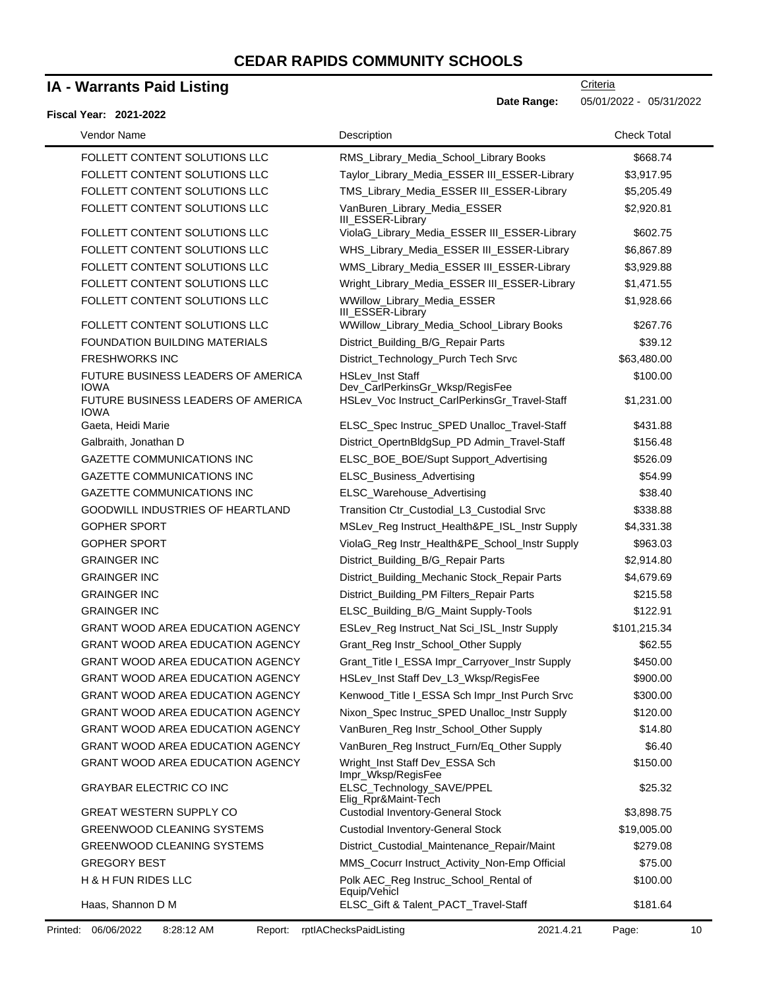### **IA - Warrants Paid Listing**

#### **Fiscal Year: 2021-2022**

**Date Range:** 05/01/2022 - 05/31/2022

| Vendor Name                                       | Description                                                | <b>Check Total</b> |
|---------------------------------------------------|------------------------------------------------------------|--------------------|
| FOLLETT CONTENT SOLUTIONS LLC                     | RMS_Library_Media_School_Library Books                     | \$668.74           |
| FOLLETT CONTENT SOLUTIONS LLC                     | Taylor_Library_Media_ESSER III_ESSER-Library               | \$3,917.95         |
| FOLLETT CONTENT SOLUTIONS LLC                     | TMS_Library_Media_ESSER III_ESSER-Library                  | \$5,205.49         |
| FOLLETT CONTENT SOLUTIONS LLC                     | VanBuren_Library_Media_ESSER<br>III_ESSER-Library          | \$2,920.81         |
| FOLLETT CONTENT SOLUTIONS LLC                     | ViolaG_Library_Media_ESSER III_ESSER-Library               | \$602.75           |
| FOLLETT CONTENT SOLUTIONS LLC                     | WHS_Library_Media_ESSER III_ESSER-Library                  | \$6,867.89         |
| FOLLETT CONTENT SOLUTIONS LLC                     | WMS_Library_Media_ESSER III_ESSER-Library                  | \$3,929.88         |
| FOLLETT CONTENT SOLUTIONS LLC                     | Wright_Library_Media_ESSER III_ESSER-Library               | \$1,471.55         |
| FOLLETT CONTENT SOLUTIONS LLC                     | WWillow_Library_Media_ESSER<br>III_ESSER-Library           | \$1,928.66         |
| FOLLETT CONTENT SOLUTIONS LLC                     | WWillow_Library_Media_School_Library Books                 | \$267.76           |
| <b>FOUNDATION BUILDING MATERIALS</b>              | District_Building_B/G_Repair Parts                         | \$39.12            |
| <b>FRESHWORKS INC</b>                             | District_Technology_Purch Tech Srvc                        | \$63,480.00        |
| FUTURE BUSINESS LEADERS OF AMERICA<br><b>IOWA</b> | <b>HSLev_Inst Staff</b><br>Dev_CarlPerkinsGr_Wksp/RegisFee | \$100.00           |
| FUTURE BUSINESS LEADERS OF AMERICA<br><b>IOWA</b> | HSLev_Voc Instruct_CarlPerkinsGr_Travel-Staff              | \$1,231.00         |
| Gaeta, Heidi Marie                                | ELSC_Spec Instruc_SPED Unalloc_Travel-Staff                | \$431.88           |
| Galbraith, Jonathan D                             | District_OpertnBldgSup_PD Admin_Travel-Staff               | \$156.48           |
| <b>GAZETTE COMMUNICATIONS INC</b>                 | ELSC_BOE_BOE/Supt Support_Advertising                      | \$526.09           |
| <b>GAZETTE COMMUNICATIONS INC</b>                 | ELSC_Business_Advertising                                  | \$54.99            |
| <b>GAZETTE COMMUNICATIONS INC</b>                 | ELSC_Warehouse_Advertising                                 | \$38.40            |
| GOODWILL INDUSTRIES OF HEARTLAND                  | Transition Ctr_Custodial_L3_Custodial Srvc                 | \$338.88           |
| <b>GOPHER SPORT</b>                               | MSLev_Reg Instruct_Health&PE_ISL_Instr Supply              | \$4,331.38         |
| <b>GOPHER SPORT</b>                               | ViolaG_Reg Instr_Health&PE_School_Instr Supply             | \$963.03           |
| <b>GRAINGER INC</b>                               | District_Building_B/G_Repair Parts                         | \$2,914.80         |
| <b>GRAINGER INC</b>                               | District_Building_Mechanic Stock_Repair Parts              | \$4,679.69         |
| <b>GRAINGER INC</b>                               | District_Building_PM Filters_Repair Parts                  | \$215.58           |
| <b>GRAINGER INC</b>                               | ELSC_Building_B/G_Maint Supply-Tools                       | \$122.91           |
| <b>GRANT WOOD AREA EDUCATION AGENCY</b>           | ESLev_Reg Instruct_Nat Sci_ISL_Instr Supply                | \$101,215.34       |
| <b>GRANT WOOD AREA EDUCATION AGENCY</b>           | Grant_Reg Instr_School_Other Supply                        | \$62.55            |
| GRANT WOOD AREA EDUCATION AGENCY                  | Grant_Title I_ESSA Impr_Carryover_Instr Supply             | \$450.00           |
| GRANT WOOD AREA EDUCATION AGENCY                  | HSLev_Inst Staff Dev_L3_Wksp/RegisFee                      | \$900.00           |
| <b>GRANT WOOD AREA EDUCATION AGENCY</b>           | Kenwood_Title I_ESSA Sch Impr_Inst Purch Srvc              | \$300.00           |
| <b>GRANT WOOD AREA EDUCATION AGENCY</b>           | Nixon_Spec Instruc_SPED Unalloc_Instr Supply               | \$120.00           |
| <b>GRANT WOOD AREA EDUCATION AGENCY</b>           | VanBuren_Reg Instr_School_Other Supply                     | \$14.80            |
| <b>GRANT WOOD AREA EDUCATION AGENCY</b>           | VanBuren_Reg Instruct_Furn/Eq_Other Supply                 | \$6.40             |
| GRANT WOOD AREA EDUCATION AGENCY                  | Wright_Inst Staff Dev_ESSA Sch<br>Impr_Wksp/RegisFee       | \$150.00           |
| GRAYBAR ELECTRIC CO INC                           | ELSC_Technology_SAVE/PPEL<br>Elig_Rpr&Maint-Tech           | \$25.32            |
| <b>GREAT WESTERN SUPPLY CO</b>                    | <b>Custodial Inventory-General Stock</b>                   | \$3,898.75         |
| <b>GREENWOOD CLEANING SYSTEMS</b>                 | <b>Custodial Inventory-General Stock</b>                   | \$19,005.00        |
| <b>GREENWOOD CLEANING SYSTEMS</b>                 | District_Custodial_Maintenance_Repair/Maint                | \$279.08           |
| <b>GREGORY BEST</b>                               | MMS_Cocurr Instruct_Activity_Non-Emp Official              | \$75.00            |
| H & H FUN RIDES LLC                               | Polk AEC_Reg Instruc_School_Rental of<br>Equip/Vehicl      | \$100.00           |
| Haas, Shannon D M                                 | ELSC_Gift & Talent_PACT_Travel-Staff                       | \$181.64           |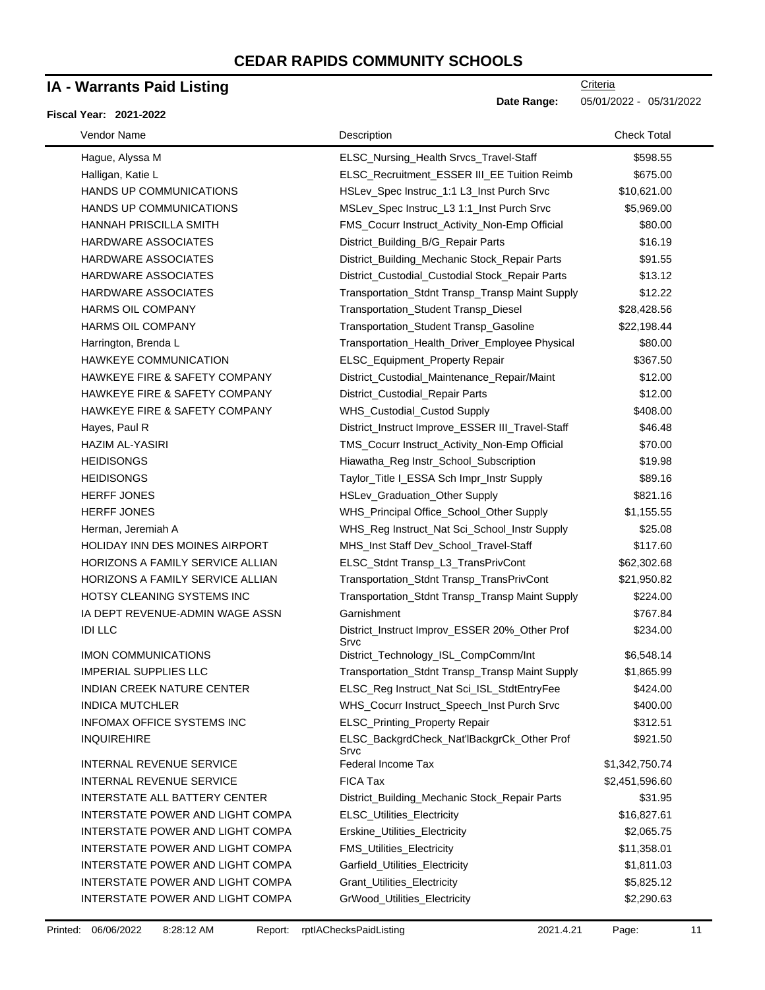### **IA - Warrants Paid Listing**

#### **Fiscal Year: 2021-2022**

| Vendor Name                          | Description                                           | <b>Check Total</b> |
|--------------------------------------|-------------------------------------------------------|--------------------|
| Hague, Alyssa M                      | ELSC_Nursing_Health Srvcs_Travel-Staff                | \$598.55           |
| Halligan, Katie L                    | ELSC_Recruitment_ESSER III_EE Tuition Reimb           | \$675.00           |
| HANDS UP COMMUNICATIONS              | HSLev_Spec Instruc_1:1 L3_Inst Purch Srvc             | \$10,621.00        |
| HANDS UP COMMUNICATIONS              | MSLev_Spec Instruc_L3 1:1_Inst Purch Srvc             | \$5,969.00         |
| HANNAH PRISCILLA SMITH               | FMS_Cocurr Instruct_Activity_Non-Emp Official         | \$80.00            |
| HARDWARE ASSOCIATES                  | District_Building_B/G_Repair Parts                    | \$16.19            |
| HARDWARE ASSOCIATES                  | District_Building_Mechanic Stock_Repair Parts         | \$91.55            |
| HARDWARE ASSOCIATES                  | District_Custodial_Custodial Stock_Repair Parts       | \$13.12            |
| HARDWARE ASSOCIATES                  | Transportation_Stdnt Transp_Transp Maint Supply       | \$12.22            |
| <b>HARMS OIL COMPANY</b>             | Transportation_Student Transp_Diesel                  | \$28,428.56        |
| <b>HARMS OIL COMPANY</b>             | Transportation_Student Transp_Gasoline                | \$22,198.44        |
| Harrington, Brenda L                 | Transportation_Health_Driver_Employee Physical        | \$80.00            |
| HAWKEYE COMMUNICATION                | ELSC_Equipment_Property Repair                        | \$367.50           |
| HAWKEYE FIRE & SAFETY COMPANY        | District_Custodial_Maintenance_Repair/Maint           | \$12.00            |
| HAWKEYE FIRE & SAFETY COMPANY        | District_Custodial_Repair Parts                       | \$12.00            |
| HAWKEYE FIRE & SAFETY COMPANY        | WHS_Custodial_Custod Supply                           | \$408.00           |
| Hayes, Paul R                        | District_Instruct Improve_ESSER III_Travel-Staff      | \$46.48            |
| <b>HAZIM AL-YASIRI</b>               | TMS_Cocurr Instruct_Activity_Non-Emp Official         | \$70.00            |
| <b>HEIDISONGS</b>                    | Hiawatha_Reg Instr_School_Subscription                | \$19.98            |
| <b>HEIDISONGS</b>                    | Taylor_Title I_ESSA Sch Impr_Instr Supply             | \$89.16            |
| <b>HERFF JONES</b>                   | HSLev_Graduation_Other Supply                         | \$821.16           |
| <b>HERFF JONES</b>                   | WHS_Principal Office_School_Other Supply              | \$1,155.55         |
| Herman, Jeremiah A                   | WHS_Reg Instruct_Nat Sci_School_Instr Supply          | \$25.08            |
| HOLIDAY INN DES MOINES AIRPORT       | MHS_Inst Staff Dev_School_Travel-Staff                | \$117.60           |
| HORIZONS A FAMILY SERVICE ALLIAN     | ELSC_Stdnt Transp_L3_TransPrivCont                    | \$62,302.68        |
| HORIZONS A FAMILY SERVICE ALLIAN     | Transportation_Stdnt Transp_TransPrivCont             | \$21,950.82        |
| HOTSY CLEANING SYSTEMS INC           | Transportation_Stdnt Transp_Transp Maint Supply       | \$224.00           |
| IA DEPT REVENUE-ADMIN WAGE ASSN      | Garnishment                                           | \$767.84           |
| <b>IDI LLC</b>                       | District_Instruct Improv_ESSER 20%_Other Prof<br>Srvc | \$234.00           |
| <b>IMON COMMUNICATIONS</b>           | District_Technology_ISL_CompComm/Int                  | \$6,548.14         |
| <b>IMPERIAL SUPPLIES LLC</b>         | Transportation_Stdnt Transp_Transp Maint Supply       | \$1,865.99         |
| <b>INDIAN CREEK NATURE CENTER</b>    | ELSC_Reg Instruct_Nat Sci_ISL_StdtEntryFee            | \$424.00           |
| <b>INDICA MUTCHLER</b>               | WHS_Cocurr Instruct_Speech_Inst Purch Srvc            | \$400.00           |
| <b>INFOMAX OFFICE SYSTEMS INC</b>    | ELSC_Printing_Property Repair                         | \$312.51           |
| <b>INQUIREHIRE</b>                   | ELSC_BackgrdCheck_Nat'lBackgrCk_Other Prof<br>Srvc    | \$921.50           |
| <b>INTERNAL REVENUE SERVICE</b>      | Federal Income Tax                                    | \$1,342,750.74     |
| INTERNAL REVENUE SERVICE             | FICA Tax                                              | \$2,451,596.60     |
| <b>INTERSTATE ALL BATTERY CENTER</b> | District_Building_Mechanic Stock_Repair Parts         | \$31.95            |
| INTERSTATE POWER AND LIGHT COMPA     | ELSC_Utilities_Electricity                            | \$16,827.61        |
| INTERSTATE POWER AND LIGHT COMPA     | Erskine_Utilities_Electricity                         | \$2,065.75         |
| INTERSTATE POWER AND LIGHT COMPA     | FMS_Utilities_Electricity                             | \$11,358.01        |
| INTERSTATE POWER AND LIGHT COMPA     | Garfield_Utilities_Electricity                        | \$1,811.03         |
| INTERSTATE POWER AND LIGHT COMPA     | Grant_Utilities_Electricity                           | \$5,825.12         |
| INTERSTATE POWER AND LIGHT COMPA     | GrWood_Utilities_Electricity                          | \$2,290.63         |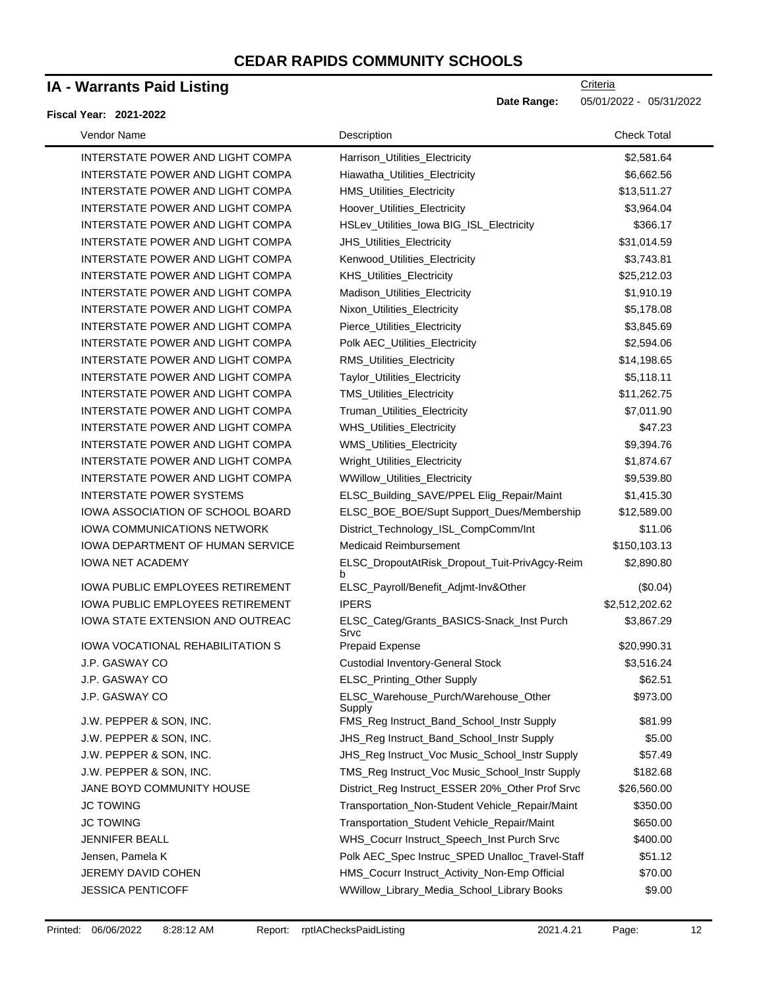### **IA - Warrants Paid Listing**

### **Fiscal Year: 2021-2022**

**Criteria** 

**Date Range:** 05/01/2022 - 05/31/2022

| Vendor Name                             | Description                                       | <b>Check Total</b> |
|-----------------------------------------|---------------------------------------------------|--------------------|
| INTERSTATE POWER AND LIGHT COMPA        | Harrison_Utilities_Electricity                    | \$2,581.64         |
| INTERSTATE POWER AND LIGHT COMPA        | Hiawatha Utilities Electricity                    | \$6,662.56         |
| INTERSTATE POWER AND LIGHT COMPA        | HMS_Utilities_Electricity                         | \$13,511.27        |
| INTERSTATE POWER AND LIGHT COMPA        | Hoover_Utilities_Electricity                      | \$3,964.04         |
| INTERSTATE POWER AND LIGHT COMPA        | HSLev_Utilities_lowa BIG_ISL_Electricity          | \$366.17           |
| INTERSTATE POWER AND LIGHT COMPA        | JHS_Utilities_Electricity                         | \$31,014.59        |
| INTERSTATE POWER AND LIGHT COMPA        | Kenwood_Utilities_Electricity                     | \$3,743.81         |
| INTERSTATE POWER AND LIGHT COMPA        | KHS_Utilities_Electricity                         | \$25,212.03        |
| INTERSTATE POWER AND LIGHT COMPA        | Madison_Utilities_Electricity                     | \$1,910.19         |
| INTERSTATE POWER AND LIGHT COMPA        | Nixon_Utilities_Electricity                       | \$5,178.08         |
| INTERSTATE POWER AND LIGHT COMPA        | Pierce_Utilities_Electricity                      | \$3,845.69         |
| INTERSTATE POWER AND LIGHT COMPA        | Polk AEC_Utilities_Electricity                    | \$2,594.06         |
| INTERSTATE POWER AND LIGHT COMPA        | RMS_Utilities_Electricity                         | \$14,198.65        |
| INTERSTATE POWER AND LIGHT COMPA        | Taylor_Utilities_Electricity                      | \$5,118.11         |
| INTERSTATE POWER AND LIGHT COMPA        | TMS_Utilities_Electricity                         | \$11,262.75        |
| INTERSTATE POWER AND LIGHT COMPA        | Truman_Utilities_Electricity                      | \$7,011.90         |
| INTERSTATE POWER AND LIGHT COMPA        | <b>WHS_Utilities_Electricity</b>                  | \$47.23            |
| INTERSTATE POWER AND LIGHT COMPA        | WMS_Utilities_Electricity                         | \$9,394.76         |
| INTERSTATE POWER AND LIGHT COMPA        | Wright_Utilities_Electricity                      | \$1,874.67         |
| INTERSTATE POWER AND LIGHT COMPA        | WWillow_Utilities_Electricity                     | \$9,539.80         |
| <b>INTERSTATE POWER SYSTEMS</b>         | ELSC_Building_SAVE/PPEL Elig_Repair/Maint         | \$1,415.30         |
| IOWA ASSOCIATION OF SCHOOL BOARD        | ELSC_BOE_BOE/Supt Support_Dues/Membership         | \$12,589.00        |
| IOWA COMMUNICATIONS NETWORK             | District_Technology_ISL_CompComm/Int              | \$11.06            |
| IOWA DEPARTMENT OF HUMAN SERVICE        | <b>Medicaid Reimbursement</b>                     | \$150,103.13       |
| <b>IOWA NET ACADEMY</b>                 | ELSC_DropoutAtRisk_Dropout_Tuit-PrivAgcy-Reim     | \$2,890.80         |
| <b>IOWA PUBLIC EMPLOYEES RETIREMENT</b> | h<br>ELSC_Payroll/Benefit_Adjmt-Inv&Other         | (\$0.04)           |
| <b>IOWA PUBLIC EMPLOYEES RETIREMENT</b> | <b>IPERS</b>                                      | \$2,512,202.62     |
| IOWA STATE EXTENSION AND OUTREAC        | ELSC_Categ/Grants_BASICS-Snack_Inst Purch<br>Srvc | \$3,867.29         |
| <b>IOWA VOCATIONAL REHABILITATION S</b> | Prepaid Expense                                   | \$20,990.31        |
| J.P. GASWAY CO                          | <b>Custodial Inventory-General Stock</b>          | \$3,516.24         |
| J.P. GASWAY CO                          | ELSC_Printing_Other Supply                        | \$62.51            |
| J.P. GASWAY CO                          | ELSC_Warehouse_Purch/Warehouse_Other<br>Supply    | \$973.00           |
| J.W. PEPPER & SON, INC.                 | FMS_Reg Instruct_Band_School_Instr Supply         | \$81.99            |
| J.W. PEPPER & SON, INC.                 | JHS_Reg Instruct_Band_School_Instr Supply         | \$5.00             |
| J.W. PEPPER & SON, INC.                 | JHS_Reg Instruct_Voc Music_School_Instr Supply    | \$57.49            |
| J.W. PEPPER & SON, INC.                 | TMS_Reg Instruct_Voc Music_School_Instr Supply    | \$182.68           |
| JANE BOYD COMMUNITY HOUSE               | District_Reg Instruct_ESSER 20%_Other Prof Srvc   | \$26,560.00        |
| <b>JC TOWING</b>                        | Transportation_Non-Student Vehicle_Repair/Maint   | \$350.00           |
| <b>JC TOWING</b>                        | Transportation_Student Vehicle_Repair/Maint       | \$650.00           |
| <b>JENNIFER BEALL</b>                   | WHS_Cocurr Instruct_Speech_Inst Purch Srvc        | \$400.00           |
| Jensen, Pamela K                        | Polk AEC_Spec Instruc_SPED Unalloc_Travel-Staff   | \$51.12            |
| JEREMY DAVID COHEN                      | HMS_Cocurr Instruct_Activity_Non-Emp Official     | \$70.00            |
| <b>JESSICA PENTICOFF</b>                | WWillow_Library_Media_School_Library Books        | \$9.00             |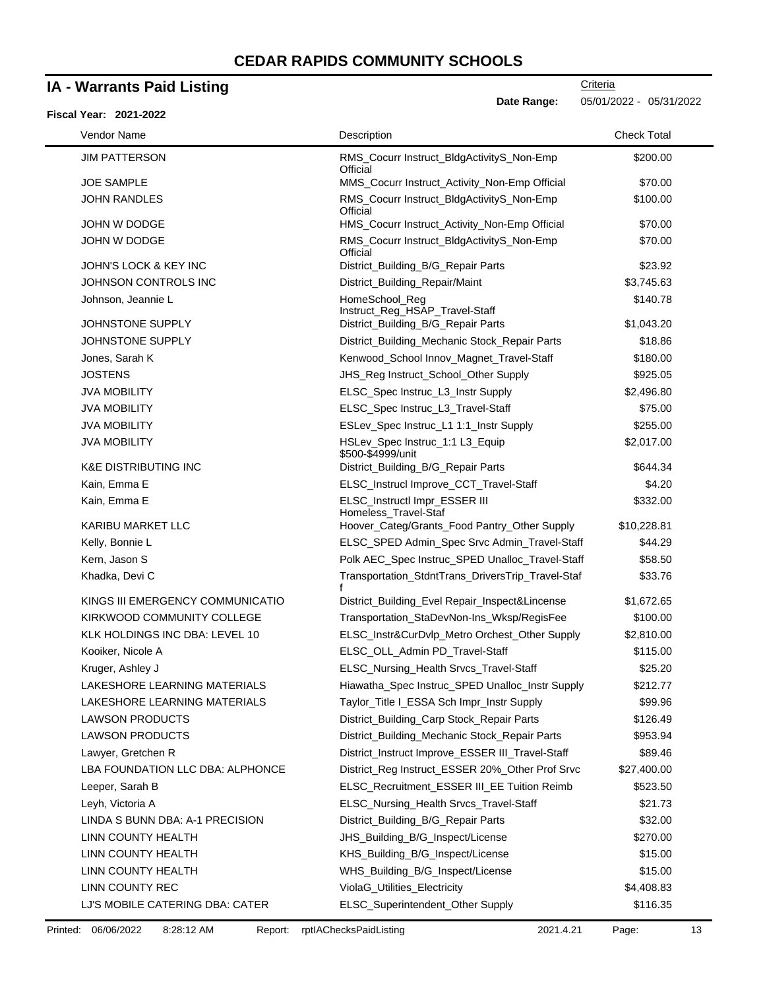# **IA - Warrants Paid Listing**

| <b>Fiscal Year: 2021-2022</b>    | Date Range:                                           | 05/01/2022 - 05/31/2022 |
|----------------------------------|-------------------------------------------------------|-------------------------|
| Vendor Name                      | Description                                           | <b>Check Total</b>      |
| <b>JIM PATTERSON</b>             | RMS_Cocurr Instruct_BldgActivityS_Non-Emp<br>Official | \$200.00                |
| <b>JOE SAMPLE</b>                | MMS_Cocurr Instruct_Activity_Non-Emp Official         | \$70.00                 |
| <b>JOHN RANDLES</b>              | RMS_Cocurr Instruct_BldgActivityS_Non-Emp<br>Official | \$100.00                |
| JOHN W DODGE                     | HMS_Cocurr Instruct_Activity_Non-Emp Official         | \$70.00                 |
| JOHN W DODGE                     | RMS_Cocurr Instruct_BldgActivityS_Non-Emp<br>Official | \$70.00                 |
| JOHN'S LOCK & KEY INC            | District_Building_B/G_Repair Parts                    | \$23.92                 |
| JOHNSON CONTROLS INC             | District_Building_Repair/Maint                        | \$3,745.63              |
| Johnson, Jeannie L               | HomeSchool_Reg<br>Instruct_Reg_HSAP_Travel-Staff      | \$140.78                |
| JOHNSTONE SUPPLY                 | District_Building_B/G_Repair Parts                    | \$1,043.20              |
| JOHNSTONE SUPPLY                 | District_Building_Mechanic Stock_Repair Parts         | \$18.86                 |
| Jones, Sarah K                   | Kenwood_School Innov_Magnet_Travel-Staff              | \$180.00                |
| <b>JOSTENS</b>                   | JHS_Reg Instruct_School_Other Supply                  | \$925.05                |
| <b>JVA MOBILITY</b>              | ELSC_Spec Instruc_L3_Instr Supply                     | \$2,496.80              |
| <b>JVA MOBILITY</b>              | ELSC_Spec Instruc_L3_Travel-Staff                     | \$75.00                 |
| <b>JVA MOBILITY</b>              | ESLev_Spec Instruc_L1 1:1_Instr Supply                | \$255.00                |
| <b>JVA MOBILITY</b>              | HSLev_Spec Instruc_1:1 L3_Equip<br>\$500-\$4999/unit  | \$2,017.00              |
| <b>K&amp;E DISTRIBUTING INC</b>  | District_Building_B/G_Repair Parts                    | \$644.34                |
| Kain, Emma E                     | ELSC_Instrucl Improve_CCT_Travel-Staff                | \$4.20                  |
| Kain, Emma E                     | ELSC_Instructl Impr_ESSER III<br>Homeless_Travel-Staf | \$332.00                |
| KARIBU MARKET LLC                | Hoover_Categ/Grants_Food Pantry_Other Supply          | \$10,228.81             |
| Kelly, Bonnie L                  | ELSC_SPED Admin_Spec Srvc Admin_Travel-Staff          | \$44.29                 |
| Kern, Jason S                    | Polk AEC_Spec Instruc_SPED Unalloc_Travel-Staff       | \$58.50                 |
| Khadka, Devi C                   | Transportation_StdntTrans_DriversTrip_Travel-Staf     | \$33.76                 |
| KINGS III EMERGENCY COMMUNICATIO | District_Building_Evel Repair_Inspect&Lincense        | \$1,672.65              |
| KIRKWOOD COMMUNITY COLLEGE       | Transportation_StaDevNon-Ins_Wksp/RegisFee            | \$100.00                |
| KLK HOLDINGS INC DBA: LEVEL 10   | ELSC_Instr&CurDvlp_Metro Orchest_Other Supply         | \$2,810.00              |
| Kooiker, Nicole A                | ELSC_OLL_Admin PD_Travel-Staff                        | \$115.00                |
| Kruger, Ashley J                 | ELSC_Nursing_Health Srvcs_Travel-Staff                | \$25.20                 |
| LAKESHORE LEARNING MATERIALS     | Hiawatha_Spec Instruc_SPED Unalloc_Instr Supply       | \$212.77                |
| LAKESHORE LEARNING MATERIALS     | Taylor_Title I_ESSA Sch Impr_Instr Supply             | \$99.96                 |
| <b>LAWSON PRODUCTS</b>           | District_Building_Carp Stock_Repair Parts             | \$126.49                |
| <b>LAWSON PRODUCTS</b>           | District_Building_Mechanic Stock_Repair Parts         | \$953.94                |
| Lawyer, Gretchen R               | District_Instruct Improve_ESSER III_Travel-Staff      | \$89.46                 |
| LBA FOUNDATION LLC DBA: ALPHONCE | District_Reg Instruct_ESSER 20%_Other Prof Srvc       | \$27,400.00             |
| Leeper, Sarah B                  | ELSC_Recruitment_ESSER III_EE Tuition Reimb           | \$523.50                |
| Leyh, Victoria A                 | ELSC_Nursing_Health Srvcs_Travel-Staff                | \$21.73                 |
| LINDA S BUNN DBA: A-1 PRECISION  | District_Building_B/G_Repair Parts                    | \$32.00                 |
| LINN COUNTY HEALTH               | JHS_Building_B/G_Inspect/License                      | \$270.00                |
| LINN COUNTY HEALTH               | KHS_Building_B/G_Inspect/License                      | \$15.00                 |
| LINN COUNTY HEALTH               | WHS_Building_B/G_Inspect/License                      | \$15.00                 |
| LINN COUNTY REC                  | ViolaG_Utilities_Electricity                          | \$4,408.83              |
| LJ'S MOBILE CATERING DBA: CATER  | ELSC_Superintendent_Other Supply                      | \$116.35                |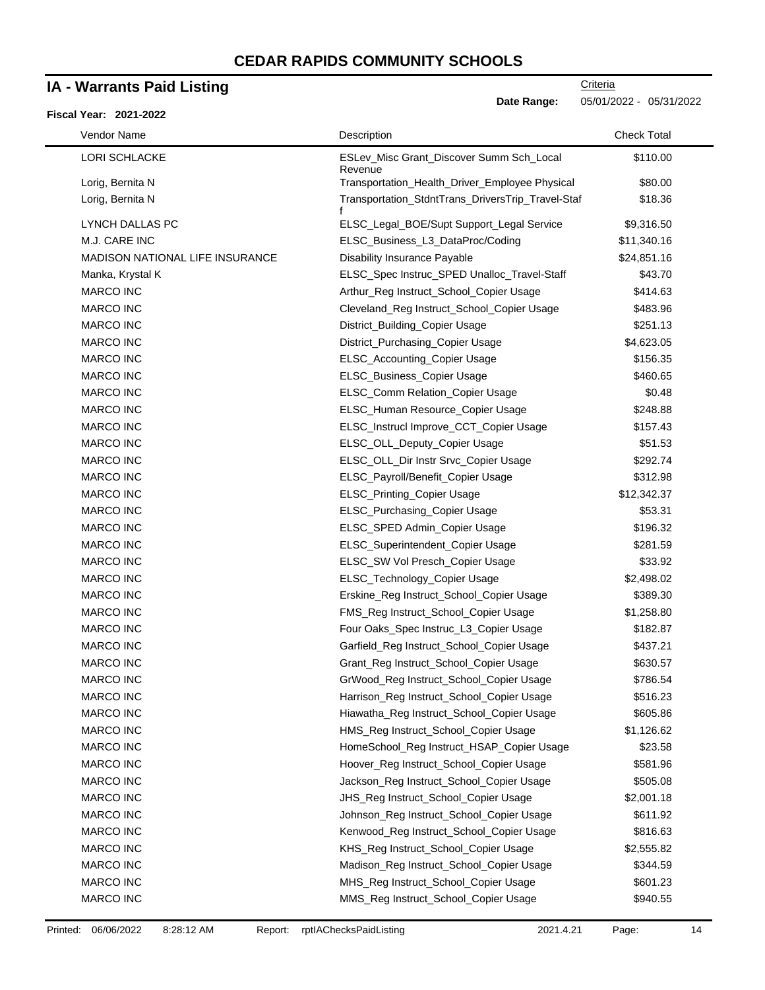### **IA - Warrants Paid Listing**

#### **Fiscal Year: 2021-2022**

**Date Range:** 05/01/2022 - 05/31/2022

| Vendor Name                            | Description                                         | <b>Check Total</b> |
|----------------------------------------|-----------------------------------------------------|--------------------|
| <b>LORI SCHLACKE</b>                   | ESLev_Misc Grant_Discover Summ Sch_Local<br>Revenue | \$110.00           |
| Lorig, Bernita N                       | Transportation_Health_Driver_Employee Physical      | \$80.00            |
| Lorig, Bernita N                       | Transportation_StdntTrans_DriversTrip_Travel-Staf   | \$18.36            |
| LYNCH DALLAS PC                        | ELSC_Legal_BOE/Supt Support_Legal Service           | \$9,316.50         |
| M.J. CARE INC                          | ELSC_Business_L3_DataProc/Coding                    | \$11,340.16        |
| <b>MADISON NATIONAL LIFE INSURANCE</b> | <b>Disability Insurance Payable</b>                 | \$24,851.16        |
| Manka, Krystal K                       | ELSC_Spec Instruc_SPED Unalloc_Travel-Staff         | \$43.70            |
| <b>MARCO INC</b>                       | Arthur_Reg Instruct_School_Copier Usage             | \$414.63           |
| <b>MARCO INC</b>                       | Cleveland_Reg Instruct_School_Copier Usage          | \$483.96           |
| <b>MARCO INC</b>                       | District_Building_Copier Usage                      | \$251.13           |
| <b>MARCO INC</b>                       | District_Purchasing_Copier Usage                    | \$4,623.05         |
| <b>MARCO INC</b>                       | ELSC_Accounting_Copier Usage                        | \$156.35           |
| MARCO INC                              | ELSC_Business_Copier Usage                          | \$460.65           |
| <b>MARCO INC</b>                       | ELSC_Comm Relation_Copier Usage                     | \$0.48             |
| <b>MARCO INC</b>                       | ELSC_Human Resource_Copier Usage                    | \$248.88           |
| <b>MARCO INC</b>                       | ELSC_Instrucl Improve_CCT_Copier Usage              | \$157.43           |
| <b>MARCO INC</b>                       | ELSC_OLL_Deputy_Copier Usage                        | \$51.53            |
| <b>MARCO INC</b>                       | ELSC_OLL_Dir Instr Srvc_Copier Usage                | \$292.74           |
| <b>MARCO INC</b>                       | ELSC_Payroll/Benefit_Copier Usage                   | \$312.98           |
| <b>MARCO INC</b>                       | ELSC_Printing_Copier Usage                          | \$12,342.37        |
| MARCO INC                              | ELSC_Purchasing_Copier Usage                        | \$53.31            |
| <b>MARCO INC</b>                       | ELSC_SPED Admin_Copier Usage                        | \$196.32           |
| <b>MARCO INC</b>                       | ELSC_Superintendent_Copier Usage                    | \$281.59           |
| <b>MARCO INC</b>                       | ELSC_SW Vol Presch_Copier Usage                     | \$33.92            |
| <b>MARCO INC</b>                       | ELSC_Technology_Copier Usage                        | \$2,498.02         |
| <b>MARCO INC</b>                       | Erskine_Reg Instruct_School_Copier Usage            | \$389.30           |
| <b>MARCO INC</b>                       | FMS_Reg Instruct_School_Copier Usage                | \$1,258.80         |
| <b>MARCO INC</b>                       | Four Oaks_Spec Instruc_L3_Copier Usage              | \$182.87           |
| <b>MARCO INC</b>                       | Garfield_Reg Instruct_School_Copier Usage           | \$437.21           |
| <b>MARCO INC</b>                       | Grant_Reg Instruct_School_Copier Usage              | \$630.57           |
| <b>MARCO INC</b>                       | GrWood_Reg Instruct_School_Copier Usage             | \$786.54           |
| <b>MARCO INC</b>                       | Harrison_Reg Instruct_School_Copier Usage           | \$516.23           |
| MARCO INC                              | Hiawatha_Reg Instruct_School_Copier Usage           | \$605.86           |
| MARCO INC                              | HMS_Reg Instruct_School_Copier Usage                | \$1,126.62         |
| <b>MARCO INC</b>                       | HomeSchool_Reg Instruct_HSAP_Copier Usage           | \$23.58            |
| <b>MARCO INC</b>                       | Hoover_Reg Instruct_School_Copier Usage             | \$581.96           |
| MARCO INC                              | Jackson_Reg Instruct_School_Copier Usage            | \$505.08           |
| MARCO INC                              | JHS_Reg Instruct_School_Copier Usage                | \$2,001.18         |
| <b>MARCO INC</b>                       | Johnson_Reg Instruct_School_Copier Usage            | \$611.92           |
| MARCO INC                              | Kenwood_Reg Instruct_School_Copier Usage            | \$816.63           |
| MARCO INC                              | KHS_Reg Instruct_School_Copier Usage                | \$2,555.82         |
| MARCO INC                              | Madison_Reg Instruct_School_Copier Usage            | \$344.59           |
| MARCO INC                              | MHS_Reg Instruct_School_Copier Usage                | \$601.23           |
|                                        | MMS_Reg Instruct_School_Copier Usage                | \$940.55           |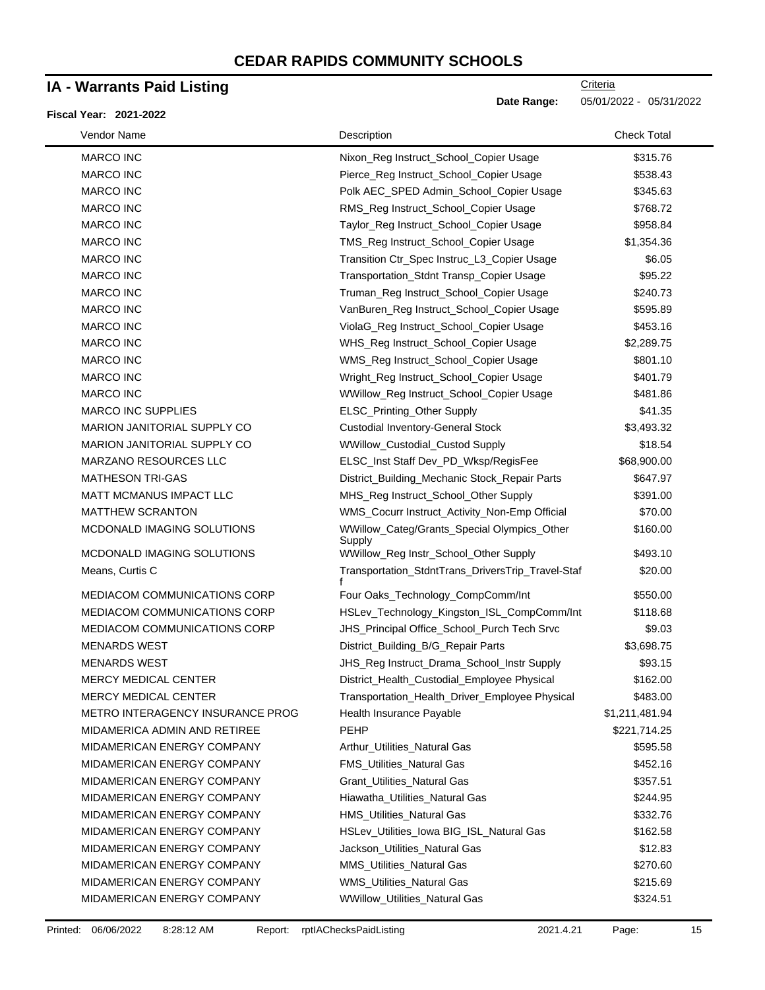### **IA - Warrants Paid Listing**

#### **Fiscal Year: 2021-2022**

| Vendor Name                         | Description                                           | <b>Check Total</b> |
|-------------------------------------|-------------------------------------------------------|--------------------|
| <b>MARCO INC</b>                    | Nixon_Reg Instruct_School_Copier Usage                | \$315.76           |
| <b>MARCO INC</b>                    | Pierce_Reg Instruct_School_Copier Usage               | \$538.43           |
| <b>MARCO INC</b>                    | Polk AEC_SPED Admin_School_Copier Usage               | \$345.63           |
| <b>MARCO INC</b>                    | RMS_Reg Instruct_School_Copier Usage                  | \$768.72           |
| <b>MARCO INC</b>                    | Taylor_Reg Instruct_School_Copier Usage               | \$958.84           |
| <b>MARCO INC</b>                    | TMS_Reg Instruct_School_Copier Usage                  | \$1,354.36         |
| MARCO INC                           | Transition Ctr_Spec Instruc_L3_Copier Usage           | \$6.05             |
| <b>MARCO INC</b>                    | Transportation_Stdnt Transp_Copier Usage              | \$95.22            |
| <b>MARCO INC</b>                    | Truman_Reg Instruct_School_Copier Usage               | \$240.73           |
| <b>MARCO INC</b>                    | VanBuren_Reg Instruct_School_Copier Usage             | \$595.89           |
| MARCO INC                           | ViolaG_Reg Instruct_School_Copier Usage               | \$453.16           |
| <b>MARCO INC</b>                    | WHS_Reg Instruct_School_Copier Usage                  | \$2,289.75         |
| <b>MARCO INC</b>                    | WMS_Reg Instruct_School_Copier Usage                  | \$801.10           |
| <b>MARCO INC</b>                    | Wright_Reg Instruct_School_Copier Usage               | \$401.79           |
| MARCO INC                           | WWillow_Reg Instruct_School_Copier Usage              | \$481.86           |
| <b>MARCO INC SUPPLIES</b>           | ELSC_Printing_Other Supply                            | \$41.35            |
| MARION JANITORIAL SUPPLY CO         | <b>Custodial Inventory-General Stock</b>              | \$3,493.32         |
| MARION JANITORIAL SUPPLY CO         | WWillow_Custodial_Custod Supply                       | \$18.54            |
| <b>MARZANO RESOURCES LLC</b>        | ELSC_Inst Staff Dev_PD_Wksp/RegisFee                  | \$68,900.00        |
| <b>MATHESON TRI-GAS</b>             | District_Building_Mechanic Stock_Repair Parts         | \$647.97           |
| <b>MATT MCMANUS IMPACT LLC</b>      | MHS_Reg Instruct_School_Other Supply                  | \$391.00           |
| <b>MATTHEW SCRANTON</b>             | WMS_Cocurr Instruct_Activity_Non-Emp Official         | \$70.00            |
| MCDONALD IMAGING SOLUTIONS          | WWillow_Categ/Grants_Special Olympics_Other<br>Supply | \$160.00           |
| MCDONALD IMAGING SOLUTIONS          | WWillow_Reg Instr_School_Other Supply                 | \$493.10           |
| Means, Curtis C                     | Transportation_StdntTrans_DriversTrip_Travel-Staf     | \$20.00            |
| MEDIACOM COMMUNICATIONS CORP        | Four Oaks_Technology_CompComm/Int                     | \$550.00           |
| <b>MEDIACOM COMMUNICATIONS CORP</b> | HSLev_Technology_Kingston_ISL_CompComm/Int            | \$118.68           |
| MEDIACOM COMMUNICATIONS CORP        | JHS_Principal Office_School_Purch Tech Srvc           | \$9.03             |
| <b>MENARDS WEST</b>                 | District_Building_B/G_Repair Parts                    | \$3,698.75         |
| <b>MENARDS WEST</b>                 | JHS_Reg Instruct_Drama_School_Instr Supply            | \$93.15            |
| MERCY MEDICAL CENTER                | District_Health_Custodial_Employee Physical           | \$162.00           |
| <b>MERCY MEDICAL CENTER</b>         | Transportation_Health_Driver_Employee Physical        | \$483.00           |
| METRO INTERAGENCY INSURANCE PROG    | Health Insurance Payable                              | \$1,211,481.94     |
| MIDAMERICA ADMIN AND RETIREE        | <b>PEHP</b>                                           | \$221,714.25       |
| MIDAMERICAN ENERGY COMPANY          | Arthur_Utilities_Natural Gas                          | \$595.58           |
| MIDAMERICAN ENERGY COMPANY          | FMS_Utilities_Natural Gas                             | \$452.16           |
| MIDAMERICAN ENERGY COMPANY          | <b>Grant_Utilities_Natural Gas</b>                    | \$357.51           |
| MIDAMERICAN ENERGY COMPANY          | Hiawatha_Utilities_Natural Gas                        | \$244.95           |
| MIDAMERICAN ENERGY COMPANY          | HMS_Utilities_Natural Gas                             | \$332.76           |
| MIDAMERICAN ENERGY COMPANY          | HSLev_Utilities_Iowa BIG_ISL_Natural Gas              | \$162.58           |
| MIDAMERICAN ENERGY COMPANY          | Jackson_Utilities_Natural Gas                         | \$12.83            |
| MIDAMERICAN ENERGY COMPANY          | <b>MMS_Utilities_Natural Gas</b>                      | \$270.60           |
| MIDAMERICAN ENERGY COMPANY          | WMS_Utilities_Natural Gas                             | \$215.69           |
| MIDAMERICAN ENERGY COMPANY          | WWillow_Utilities_Natural Gas                         | \$324.51           |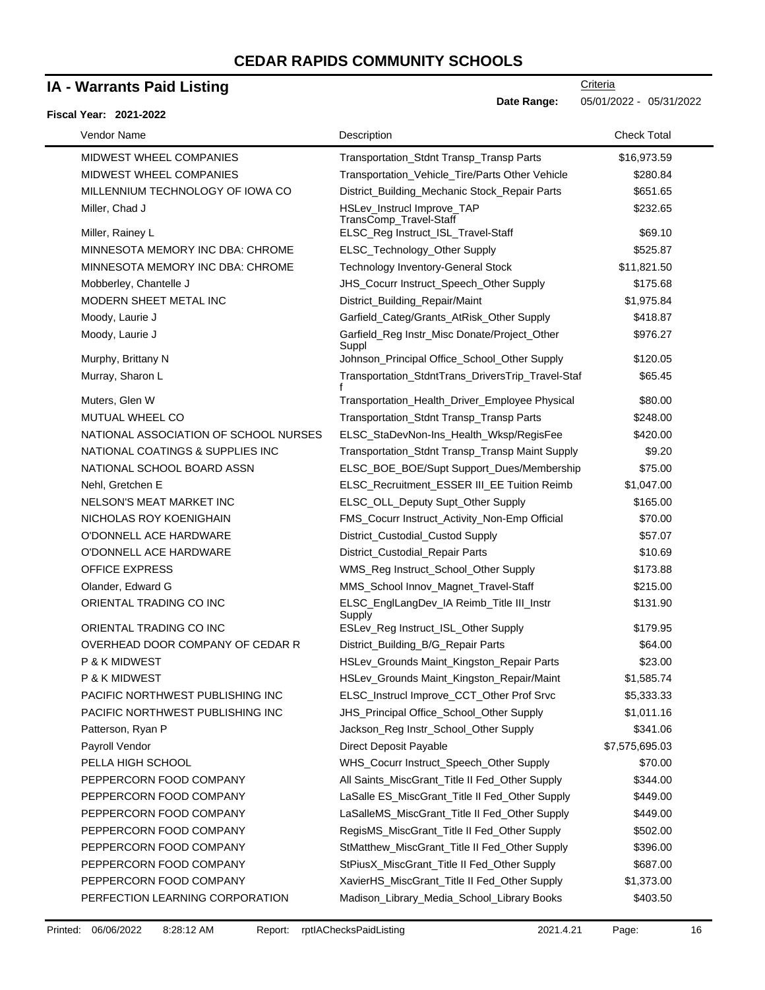### **IA - Warrants Paid Listing**

#### **Fiscal Year: 2021-2022**

| Vendor Name                           | Description                                           | <b>Check Total</b> |
|---------------------------------------|-------------------------------------------------------|--------------------|
| MIDWEST WHEEL COMPANIES               | <b>Transportation Stdnt Transp Transp Parts</b>       | \$16,973.59        |
| MIDWEST WHEEL COMPANIES               | Transportation_Vehicle_Tire/Parts Other Vehicle       | \$280.84           |
| MILLENNIUM TECHNOLOGY OF IOWA CO      | District_Building_Mechanic Stock_Repair Parts         | \$651.65           |
| Miller, Chad J                        | HSLev_Instrucl Improve_TAP<br>TransComp_Travel-Staff  | \$232.65           |
| Miller, Rainey L                      | ELSC_Reg Instruct_ISL_Travel-Staff                    | \$69.10            |
| MINNESOTA MEMORY INC DBA: CHROME      | ELSC_Technology_Other Supply                          | \$525.87           |
| MINNESOTA MEMORY INC DBA: CHROME      | <b>Technology Inventory-General Stock</b>             | \$11,821.50        |
| Mobberley, Chantelle J                | JHS_Cocurr Instruct_Speech_Other Supply               | \$175.68           |
| MODERN SHEET METAL INC                | District_Building_Repair/Maint                        | \$1,975.84         |
| Moody, Laurie J                       | Garfield_Categ/Grants_AtRisk_Other Supply             | \$418.87           |
| Moody, Laurie J                       | Garfield_Reg Instr_Misc Donate/Project_Other<br>Suppl | \$976.27           |
| Murphy, Brittany N                    | Johnson_Principal Office_School_Other Supply          | \$120.05           |
| Murray, Sharon L                      | Transportation_StdntTrans_DriversTrip_Travel-Staf     | \$65.45            |
| Muters, Glen W                        | Transportation_Health_Driver_Employee Physical        | \$80.00            |
| MUTUAL WHEEL CO                       | Transportation_Stdnt Transp_Transp Parts              | \$248.00           |
| NATIONAL ASSOCIATION OF SCHOOL NURSES | ELSC_StaDevNon-Ins_Health_Wksp/RegisFee               | \$420.00           |
| NATIONAL COATINGS & SUPPLIES INC      | Transportation_Stdnt Transp_Transp Maint Supply       | \$9.20             |
| NATIONAL SCHOOL BOARD ASSN            | ELSC_BOE_BOE/Supt Support_Dues/Membership             | \$75.00            |
| Nehl, Gretchen E                      | ELSC_Recruitment_ESSER III_EE Tuition Reimb           | \$1,047.00         |
| NELSON'S MEAT MARKET INC              | ELSC_OLL_Deputy Supt_Other Supply                     | \$165.00           |
| NICHOLAS ROY KOENIGHAIN               | FMS_Cocurr Instruct_Activity_Non-Emp Official         | \$70.00            |
| O'DONNELL ACE HARDWARE                | District_Custodial_Custod Supply                      | \$57.07            |
| O'DONNELL ACE HARDWARE                | District_Custodial_Repair Parts                       | \$10.69            |
| <b>OFFICE EXPRESS</b>                 | WMS_Reg Instruct_School_Other Supply                  | \$173.88           |
| Olander, Edward G                     | MMS_School Innov_Magnet_Travel-Staff                  | \$215.00           |
| ORIENTAL TRADING CO INC               | ELSC_EnglLangDev_IA Reimb_Title III_Instr<br>Supply   | \$131.90           |
| ORIENTAL TRADING CO INC               | ESLev_Reg Instruct_ISL_Other Supply                   | \$179.95           |
| OVERHEAD DOOR COMPANY OF CEDAR R      | District_Building_B/G_Repair Parts                    | \$64.00            |
| P & K MIDWEST                         | HSLev_Grounds Maint_Kingston_Repair Parts             | \$23.00            |
| P & K MIDWEST                         | HSLev Grounds Maint Kingston Repair/Maint             | \$1,585.74         |
| PACIFIC NORTHWEST PUBLISHING INC      | ELSC_Instrucl Improve_CCT_Other Prof Srvc             | \$5,333.33         |
| PACIFIC NORTHWEST PUBLISHING INC      | JHS_Principal Office_School_Other Supply              | \$1,011.16         |
| Patterson, Ryan P                     | Jackson_Reg Instr_School_Other Supply                 | \$341.06           |
| Payroll Vendor                        | Direct Deposit Payable                                | \$7,575,695.03     |
| PELLA HIGH SCHOOL                     | WHS_Cocurr Instruct_Speech_Other Supply               | \$70.00            |
| PEPPERCORN FOOD COMPANY               | All Saints_MiscGrant_Title II Fed_Other Supply        | \$344.00           |
| PEPPERCORN FOOD COMPANY               | LaSalle ES_MiscGrant_Title II Fed_Other Supply        | \$449.00           |
| PEPPERCORN FOOD COMPANY               | LaSalleMS_MiscGrant_Title II Fed_Other Supply         | \$449.00           |
| PEPPERCORN FOOD COMPANY               | RegisMS_MiscGrant_Title II Fed_Other Supply           | \$502.00           |
| PEPPERCORN FOOD COMPANY               | StMatthew_MiscGrant_Title II Fed_Other Supply         | \$396.00           |
| PEPPERCORN FOOD COMPANY               | StPiusX_MiscGrant_Title II Fed_Other Supply           | \$687.00           |
| PEPPERCORN FOOD COMPANY               | XavierHS_MiscGrant_Title II Fed_Other Supply          | \$1,373.00         |
| PERFECTION LEARNING CORPORATION       | Madison_Library_Media_School_Library Books            | \$403.50           |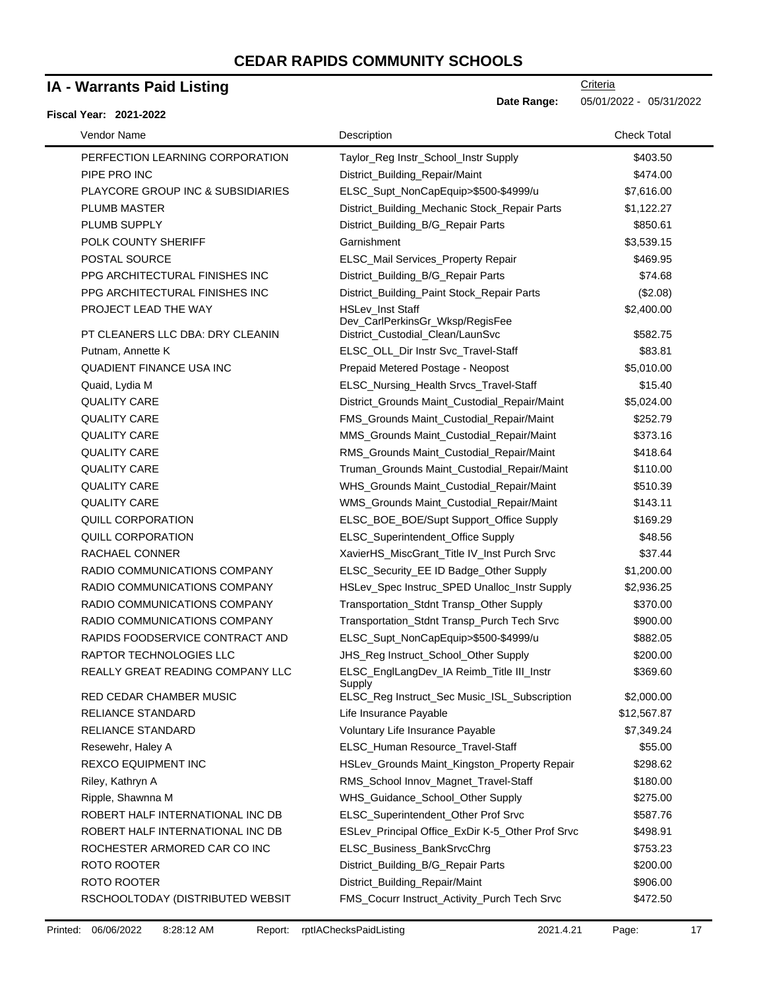### **IA - Warrants Paid Listing**

#### **Fiscal Year: 2021-2022**

| Vendor Name                                   | Description                                                                             | <b>Check Total</b>     |
|-----------------------------------------------|-----------------------------------------------------------------------------------------|------------------------|
| PERFECTION LEARNING CORPORATION               | Taylor_Reg Instr_School_Instr Supply                                                    | \$403.50               |
| PIPE PRO INC                                  | District_Building_Repair/Maint                                                          | \$474.00               |
| PLAYCORE GROUP INC & SUBSIDIARIES             | ELSC_Supt_NonCapEquip>\$500-\$4999/u                                                    | \$7,616.00             |
| <b>PLUMB MASTER</b>                           | District_Building_Mechanic Stock_Repair Parts                                           | \$1,122.27             |
| PLUMB SUPPLY                                  | District_Building_B/G_Repair Parts                                                      | \$850.61               |
| POLK COUNTY SHERIFF                           | Garnishment                                                                             | \$3,539.15             |
| POSTAL SOURCE                                 | ELSC_Mail Services_Property Repair                                                      | \$469.95               |
| PPG ARCHITECTURAL FINISHES INC                | District_Building_B/G_Repair Parts                                                      | \$74.68                |
| PPG ARCHITECTURAL FINISHES INC                | District_Building_Paint Stock_Repair Parts                                              | (\$2.08)               |
| PROJECT LEAD THE WAY                          | HSLev_Inst Staff                                                                        | \$2,400.00             |
| PT CLEANERS LLC DBA: DRY CLEANIN              | Dev_CarlPerkinsGr_Wksp/RegisFee                                                         |                        |
|                                               | District_Custodial_Clean/LaunSvc                                                        | \$582.75               |
| Putnam, Annette K<br>QUADIENT FINANCE USA INC | ELSC_OLL_Dir Instr Svc_Travel-Staff<br>Prepaid Metered Postage - Neopost                | \$83.81<br>\$5,010.00  |
| Quaid, Lydia M                                | ELSC_Nursing_Health Srvcs_Travel-Staff                                                  | \$15.40                |
| <b>QUALITY CARE</b>                           | District_Grounds Maint_Custodial_Repair/Maint                                           |                        |
| <b>QUALITY CARE</b>                           | FMS_Grounds Maint_Custodial_Repair/Maint                                                | \$5,024.00<br>\$252.79 |
| <b>QUALITY CARE</b>                           | MMS_Grounds Maint_Custodial_Repair/Maint                                                | \$373.16               |
| <b>QUALITY CARE</b>                           |                                                                                         | \$418.64               |
| <b>QUALITY CARE</b>                           | RMS_Grounds Maint_Custodial_Repair/Maint<br>Truman_Grounds Maint_Custodial_Repair/Maint | \$110.00               |
| <b>QUALITY CARE</b>                           | WHS_Grounds Maint_Custodial_Repair/Maint                                                | \$510.39               |
| <b>QUALITY CARE</b>                           | WMS_Grounds Maint_Custodial_Repair/Maint                                                | \$143.11               |
| QUILL CORPORATION                             | ELSC_BOE_BOE/Supt Support_Office Supply                                                 | \$169.29               |
| <b>QUILL CORPORATION</b>                      | ELSC_Superintendent_Office Supply                                                       | \$48.56                |
| RACHAEL CONNER                                | XavierHS_MiscGrant_Title IV_Inst Purch Srvc                                             | \$37.44                |
| RADIO COMMUNICATIONS COMPANY                  | ELSC_Security_EE ID Badge_Other Supply                                                  | \$1,200.00             |
| RADIO COMMUNICATIONS COMPANY                  | HSLev_Spec Instruc_SPED Unalloc_Instr Supply                                            | \$2,936.25             |
| RADIO COMMUNICATIONS COMPANY                  | Transportation_Stdnt Transp_Other Supply                                                | \$370.00               |
| RADIO COMMUNICATIONS COMPANY                  | Transportation_Stdnt Transp_Purch Tech Srvc                                             | \$900.00               |
| RAPIDS FOODSERVICE CONTRACT AND               | ELSC_Supt_NonCapEquip>\$500-\$4999/u                                                    | \$882.05               |
| RAPTOR TECHNOLOGIES LLC                       | JHS_Reg Instruct_School_Other Supply                                                    | \$200.00               |
| <b>REALLY GREAT READING COMPANY LLC</b>       | ELSC_EnglLangDev_IA Reimb_Title III_Instr<br>Supply                                     | \$369.60               |
| RED CEDAR CHAMBER MUSIC                       | ELSC_Reg Instruct_Sec Music_ISL_Subscription                                            | \$2,000.00             |
| RELIANCE STANDARD                             | Life Insurance Payable                                                                  | \$12,567.87            |
| <b>RELIANCE STANDARD</b>                      | Voluntary Life Insurance Payable                                                        | \$7,349.24             |
| Resewehr, Haley A                             | ELSC_Human Resource_Travel-Staff                                                        | \$55.00                |
| REXCO EQUIPMENT INC                           | HSLev_Grounds Maint_Kingston_Property Repair                                            | \$298.62               |
| Riley, Kathryn A                              | RMS_School Innov_Magnet_Travel-Staff                                                    | \$180.00               |
| Ripple, Shawnna M                             | WHS_Guidance_School_Other Supply                                                        | \$275.00               |
| ROBERT HALF INTERNATIONAL INC DB              | ELSC_Superintendent_Other Prof Srvc                                                     | \$587.76               |
| ROBERT HALF INTERNATIONAL INC DB              | ESLev_Principal Office_ExDir K-5_Other Prof Srvc                                        | \$498.91               |
| ROCHESTER ARMORED CAR CO INC                  | ELSC_Business_BankSrvcChrg                                                              | \$753.23               |
| ROTO ROOTER                                   | District_Building_B/G_Repair Parts                                                      | \$200.00               |
| ROTO ROOTER                                   | District_Building_Repair/Maint                                                          | \$906.00               |
| RSCHOOLTODAY (DISTRIBUTED WEBSIT              | FMS_Cocurr Instruct_Activity_Purch Tech Srvc                                            | \$472.50               |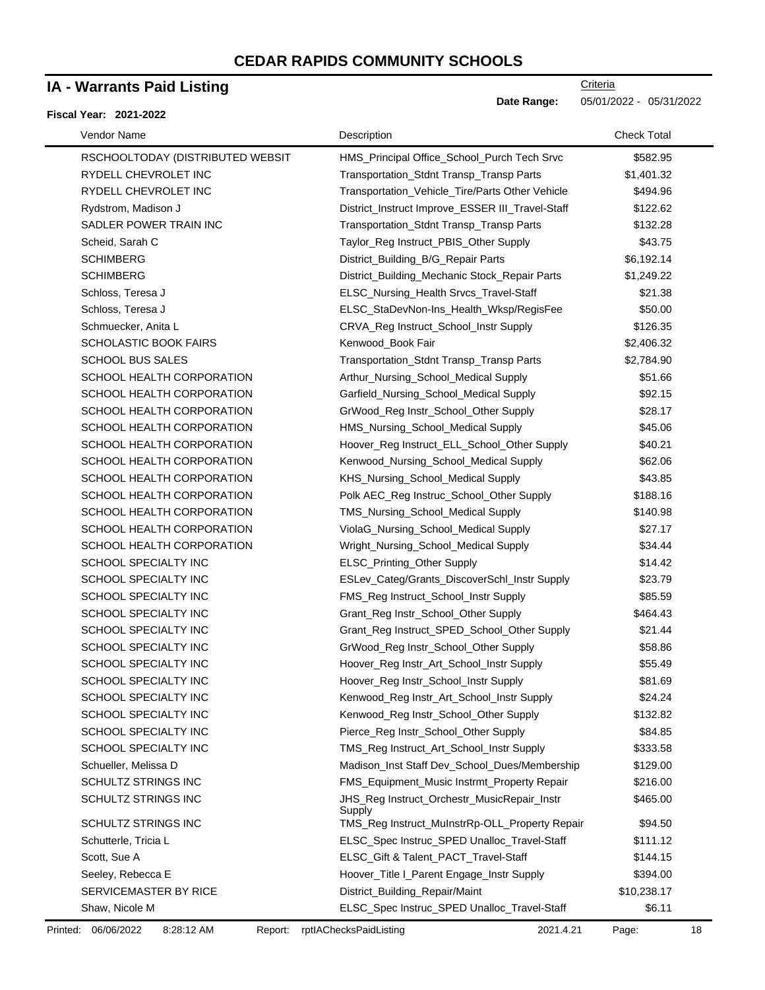### **IA - Warrants Paid Listing**

#### **Fiscal Year: 2021-2022**

| Vendor Name                      | Description                                              | <b>Check Total</b> |
|----------------------------------|----------------------------------------------------------|--------------------|
| RSCHOOLTODAY (DISTRIBUTED WEBSIT | HMS_Principal Office_School_Purch Tech Srvc              | \$582.95           |
| RYDELL CHEVROLET INC             | Transportation_Stdnt Transp_Transp Parts                 | \$1,401.32         |
| RYDELL CHEVROLET INC             | Transportation_Vehicle_Tire/Parts Other Vehicle          | \$494.96           |
| Rydstrom, Madison J              | District_Instruct Improve_ESSER III_Travel-Staff         | \$122.62           |
| SADLER POWER TRAIN INC           | Transportation_Stdnt Transp_Transp Parts                 | \$132.28           |
| Scheid, Sarah C                  | Taylor_Reg Instruct_PBIS_Other Supply                    | \$43.75            |
| <b>SCHIMBERG</b>                 | District_Building_B/G_Repair Parts                       | \$6,192.14         |
| <b>SCHIMBERG</b>                 | District_Building_Mechanic Stock_Repair Parts            | \$1,249.22         |
| Schloss, Teresa J                | ELSC_Nursing_Health Srvcs_Travel-Staff                   | \$21.38            |
| Schloss, Teresa J                | ELSC_StaDevNon-Ins_Health_Wksp/RegisFee                  | \$50.00            |
| Schmuecker, Anita L              | CRVA_Reg Instruct_School_Instr Supply                    | \$126.35           |
| <b>SCHOLASTIC BOOK FAIRS</b>     | Kenwood_Book Fair                                        | \$2,406.32         |
| <b>SCHOOL BUS SALES</b>          | Transportation_Stdnt Transp_Transp Parts                 | \$2,784.90         |
| SCHOOL HEALTH CORPORATION        | Arthur_Nursing_School_Medical Supply                     | \$51.66            |
| SCHOOL HEALTH CORPORATION        | Garfield_Nursing_School_Medical Supply                   | \$92.15            |
| SCHOOL HEALTH CORPORATION        | GrWood_Reg Instr_School_Other Supply                     | \$28.17            |
| SCHOOL HEALTH CORPORATION        | HMS_Nursing_School_Medical Supply                        | \$45.06            |
| SCHOOL HEALTH CORPORATION        | Hoover_Reg Instruct_ELL_School_Other Supply              | \$40.21            |
| SCHOOL HEALTH CORPORATION        | Kenwood_Nursing_School_Medical Supply                    | \$62.06            |
| SCHOOL HEALTH CORPORATION        | KHS_Nursing_School_Medical Supply                        | \$43.85            |
| SCHOOL HEALTH CORPORATION        | Polk AEC_Reg Instruc_School_Other Supply                 | \$188.16           |
| SCHOOL HEALTH CORPORATION        | TMS_Nursing_School_Medical Supply                        | \$140.98           |
| SCHOOL HEALTH CORPORATION        | ViolaG_Nursing_School_Medical Supply                     | \$27.17            |
| SCHOOL HEALTH CORPORATION        | Wright_Nursing_School_Medical Supply                     | \$34.44            |
| SCHOOL SPECIALTY INC             | ELSC_Printing_Other Supply                               | \$14.42            |
| SCHOOL SPECIALTY INC             | ESLev_Categ/Grants_DiscoverSchl_Instr Supply             | \$23.79            |
| SCHOOL SPECIALTY INC             | FMS_Reg Instruct_School_Instr Supply                     | \$85.59            |
| SCHOOL SPECIALTY INC             | Grant_Reg Instr_School_Other Supply                      | \$464.43           |
| SCHOOL SPECIALTY INC             | Grant_Reg Instruct_SPED_School_Other Supply              | \$21.44            |
| SCHOOL SPECIALTY INC             | GrWood_Reg Instr_School_Other Supply                     | \$58.86            |
| SCHOOL SPECIALTY INC             | Hoover_Reg Instr_Art_School_Instr Supply                 | \$55.49            |
| SCHOOL SPECIALTY INC             | Hoover_Reg Instr_School_Instr Supply                     | \$81.69            |
| SCHOOL SPECIALTY INC             | Kenwood_Reg Instr_Art_School_Instr Supply                | \$24.24            |
| SCHOOL SPECIALTY INC             | Kenwood_Reg Instr_School_Other Supply                    | \$132.82           |
| SCHOOL SPECIALTY INC             | Pierce_Reg Instr_School_Other Supply                     | \$84.85            |
| SCHOOL SPECIALTY INC             | TMS_Reg Instruct_Art_School_Instr Supply                 | \$333.58           |
| Schueller, Melissa D             | Madison_Inst Staff Dev_School_Dues/Membership            | \$129.00           |
| SCHULTZ STRINGS INC              | FMS_Equipment_Music Instrmt_Property Repair              | \$216.00           |
| SCHULTZ STRINGS INC              | JHS_Reg Instruct_Orchestr_MusicRepair_Instr              | \$465.00           |
| SCHULTZ STRINGS INC              | Supply<br>TMS_Reg Instruct_MuInstrRp-OLL_Property Repair | \$94.50            |
| Schutterle, Tricia L             | ELSC_Spec Instruc_SPED Unalloc_Travel-Staff              | \$111.12           |
| Scott, Sue A                     | ELSC_Gift & Talent_PACT_Travel-Staff                     | \$144.15           |
| Seeley, Rebecca E                | Hoover_Title I_Parent Engage_Instr Supply                | \$394.00           |
| SERVICEMASTER BY RICE            | District_Building_Repair/Maint                           | \$10,238.17        |
| Shaw, Nicole M                   | ELSC_Spec Instruc_SPED Unalloc_Travel-Staff              | \$6.11             |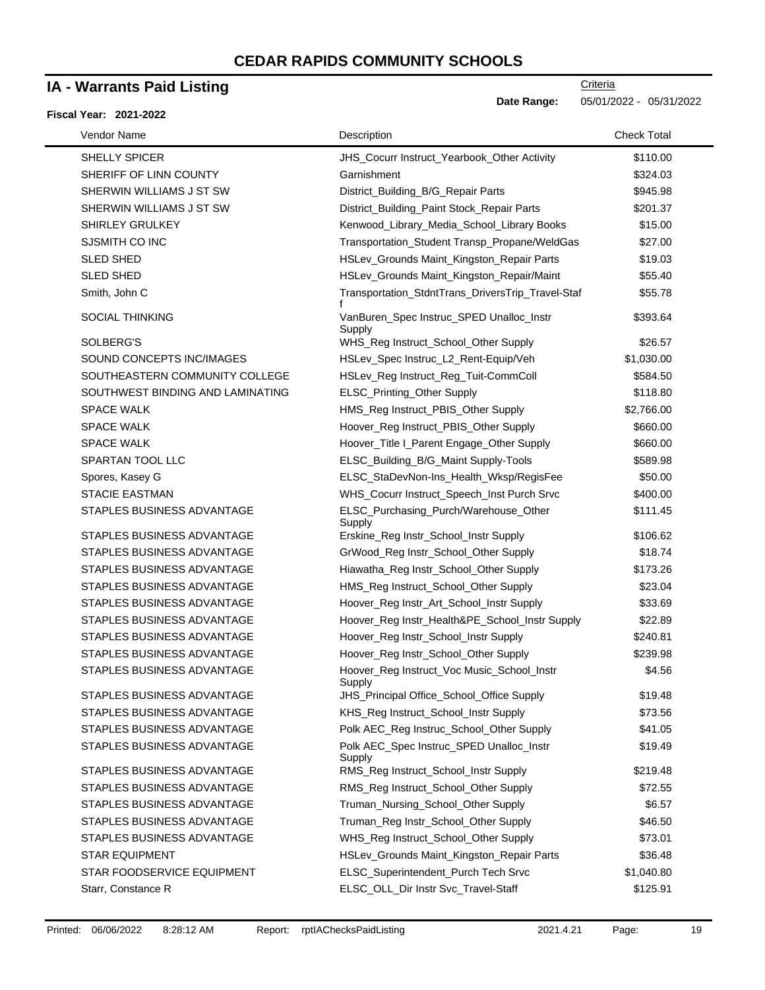### **IA - Warrants Paid Listing**

#### **Fiscal Year: 2021-2022**

**Date Range:** 05/01/2022 - 05/31/2022

| Vendor Name                      | Description                                          | <b>Check Total</b> |
|----------------------------------|------------------------------------------------------|--------------------|
| <b>SHELLY SPICER</b>             | JHS_Cocurr Instruct_Yearbook_Other Activity          | \$110.00           |
| SHERIFF OF LINN COUNTY           | Garnishment                                          | \$324.03           |
| SHERWIN WILLIAMS J ST SW         | District_Building_B/G_Repair Parts                   | \$945.98           |
| SHERWIN WILLIAMS J ST SW         | District_Building_Paint Stock_Repair Parts           | \$201.37           |
| SHIRLEY GRULKEY                  | Kenwood_Library_Media_School_Library Books           | \$15.00            |
| SJSMITH CO INC                   | Transportation_Student Transp_Propane/WeldGas        | \$27.00            |
| <b>SLED SHED</b>                 | HSLev_Grounds Maint_Kingston_Repair Parts            | \$19.03            |
| <b>SLED SHED</b>                 | HSLev_Grounds Maint_Kingston_Repair/Maint            | \$55.40            |
| Smith, John C                    | Transportation_StdntTrans_DriversTrip_Travel-Staf    | \$55.78            |
| <b>SOCIAL THINKING</b>           | VanBuren_Spec Instruc_SPED Unalloc_Instr<br>Supply   | \$393.64           |
| SOLBERG'S                        | WHS_Reg Instruct_School_Other Supply                 | \$26.57            |
| SOUND CONCEPTS INC/IMAGES        | HSLev_Spec Instruc_L2_Rent-Equip/Veh                 | \$1,030.00         |
| SOUTHEASTERN COMMUNITY COLLEGE   | HSLev_Reg Instruct_Reg_Tuit-CommColl                 | \$584.50           |
| SOUTHWEST BINDING AND LAMINATING | ELSC_Printing_Other Supply                           | \$118.80           |
| <b>SPACE WALK</b>                | HMS_Reg Instruct_PBIS_Other Supply                   | \$2,766.00         |
| <b>SPACE WALK</b>                | Hoover_Reg Instruct_PBIS_Other Supply                | \$660.00           |
| <b>SPACE WALK</b>                | Hoover_Title I_Parent Engage_Other Supply            | \$660.00           |
| SPARTAN TOOL LLC                 | ELSC_Building_B/G_Maint Supply-Tools                 | \$589.98           |
| Spores, Kasey G                  | ELSC_StaDevNon-Ins_Health_Wksp/RegisFee              | \$50.00            |
| <b>STACIE EASTMAN</b>            | WHS_Cocurr Instruct_Speech_Inst Purch Srvc           | \$400.00           |
| STAPLES BUSINESS ADVANTAGE       | ELSC_Purchasing_Purch/Warehouse_Other<br>Supply      | \$111.45           |
| STAPLES BUSINESS ADVANTAGE       | Erskine_Reg Instr_School_Instr Supply                | \$106.62           |
| STAPLES BUSINESS ADVANTAGE       | GrWood_Reg Instr_School_Other Supply                 | \$18.74            |
| STAPLES BUSINESS ADVANTAGE       | Hiawatha_Reg Instr_School_Other Supply               | \$173.26           |
| STAPLES BUSINESS ADVANTAGE       | HMS_Reg Instruct_School_Other Supply                 | \$23.04            |
| STAPLES BUSINESS ADVANTAGE       | Hoover_Reg Instr_Art_School_Instr Supply             | \$33.69            |
| STAPLES BUSINESS ADVANTAGE       | Hoover_Reg Instr_Health&PE_School_Instr Supply       | \$22.89            |
| STAPLES BUSINESS ADVANTAGE       | Hoover_Reg Instr_School_Instr Supply                 | \$240.81           |
| STAPLES BUSINESS ADVANTAGE       | Hoover_Reg Instr_School_Other Supply                 | \$239.98           |
| STAPLES BUSINESS ADVANTAGE       | Hoover_Reg Instruct_Voc Music_School_Instr<br>Supply | \$4.56             |
| STAPLES BUSINESS ADVANTAGE       | JHS_Principal Office_School_Office Supply            | \$19.48            |
| STAPLES BUSINESS ADVANTAGE       | KHS_Reg Instruct_School_Instr Supply                 | \$73.56            |
| STAPLES BUSINESS ADVANTAGE       | Polk AEC_Reg Instruc_School_Other Supply             | \$41.05            |
| STAPLES BUSINESS ADVANTAGE       | Polk AEC_Spec Instruc_SPED Unalloc_Instr<br>Supply   | \$19.49            |
| STAPLES BUSINESS ADVANTAGE       | RMS_Reg Instruct_School_Instr Supply                 | \$219.48           |
| STAPLES BUSINESS ADVANTAGE       | RMS_Reg Instruct_School_Other Supply                 | \$72.55            |
| STAPLES BUSINESS ADVANTAGE       | Truman_Nursing_School_Other Supply                   | \$6.57             |
| STAPLES BUSINESS ADVANTAGE       | Truman_Reg Instr_School_Other Supply                 | \$46.50            |
| STAPLES BUSINESS ADVANTAGE       | WHS_Reg Instruct_School_Other Supply                 | \$73.01            |
| <b>STAR EQUIPMENT</b>            | HSLev_Grounds Maint_Kingston_Repair Parts            | \$36.48            |
| STAR FOODSERVICE EQUIPMENT       | ELSC_Superintendent_Purch Tech Srvc                  | \$1,040.80         |
| Starr, Constance R               | ELSC_OLL_Dir Instr Svc_Travel-Staff                  | \$125.91           |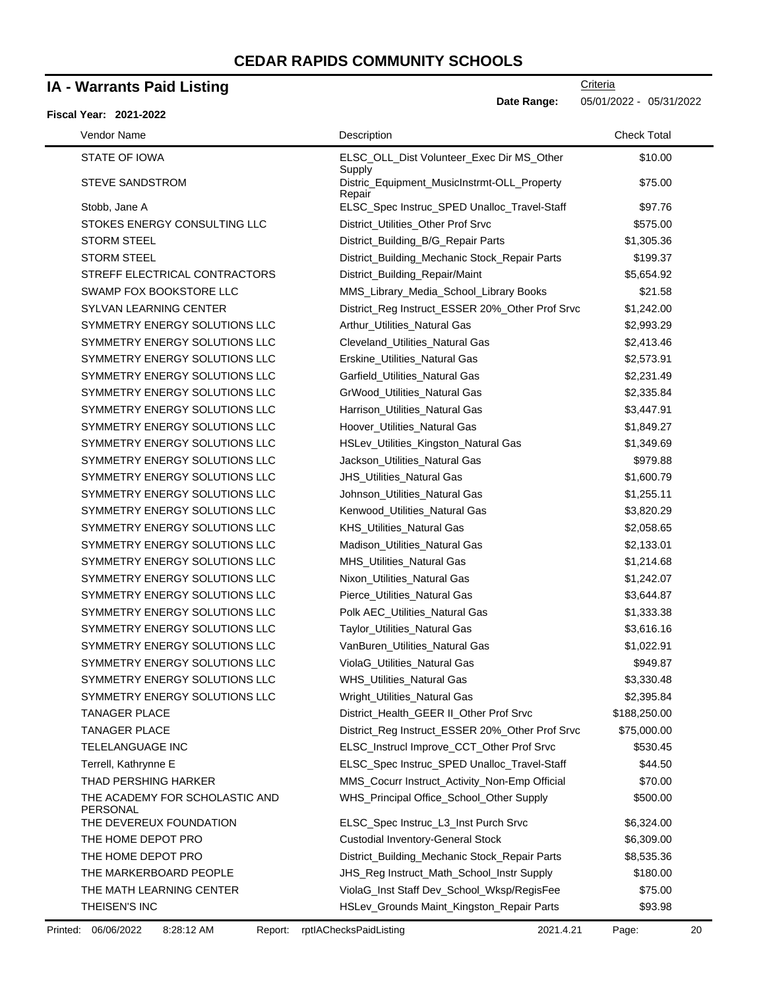### **IA - Warrants Paid Listing**

#### **Fiscal Year: 2021-2022**

 $\blacksquare$ 

**Date Range:** 05/01/2022 - 05/31/2022

| Vendor Name                                | Description                                           | <b>Check Total</b> |
|--------------------------------------------|-------------------------------------------------------|--------------------|
| STATE OF IOWA                              | ELSC_OLL_Dist Volunteer_Exec Dir MS_Other<br>Supply   | \$10.00            |
| <b>STEVE SANDSTROM</b>                     | Distric_Equipment_MusicInstrmt-OLL_Property<br>Repair | \$75.00            |
| Stobb, Jane A                              | ELSC_Spec Instruc_SPED Unalloc_Travel-Staff           | \$97.76            |
| STOKES ENERGY CONSULTING LLC               | District_Utilities_Other Prof Srvc                    | \$575.00           |
| <b>STORM STEEL</b>                         | District_Building_B/G_Repair Parts                    | \$1,305.36         |
| <b>STORM STEEL</b>                         | District_Building_Mechanic Stock_Repair Parts         | \$199.37           |
| STREFF ELECTRICAL CONTRACTORS              | District_Building_Repair/Maint                        | \$5,654.92         |
| SWAMP FOX BOOKSTORE LLC                    | MMS_Library_Media_School_Library Books                | \$21.58            |
| SYLVAN LEARNING CENTER                     | District_Reg Instruct_ESSER 20%_Other Prof Srvc       | \$1,242.00         |
| SYMMETRY ENERGY SOLUTIONS LLC              | Arthur_Utilities_Natural Gas                          | \$2,993.29         |
| SYMMETRY ENERGY SOLUTIONS LLC              | Cleveland_Utilities_Natural Gas                       | \$2,413.46         |
| SYMMETRY ENERGY SOLUTIONS LLC              | Erskine_Utilities_Natural Gas                         | \$2,573.91         |
| SYMMETRY ENERGY SOLUTIONS LLC              | Garfield_Utilities_Natural Gas                        | \$2,231.49         |
| SYMMETRY ENERGY SOLUTIONS LLC              | GrWood_Utilities_Natural Gas                          | \$2,335.84         |
| SYMMETRY ENERGY SOLUTIONS LLC              | Harrison_Utilities_Natural Gas                        | \$3,447.91         |
| SYMMETRY ENERGY SOLUTIONS LLC              | Hoover_Utilities_Natural Gas                          | \$1,849.27         |
| SYMMETRY ENERGY SOLUTIONS LLC              | HSLev_Utilities_Kingston_Natural Gas                  | \$1,349.69         |
| SYMMETRY ENERGY SOLUTIONS LLC              | Jackson_Utilities_Natural Gas                         | \$979.88           |
| SYMMETRY ENERGY SOLUTIONS LLC              | JHS_Utilities_Natural Gas                             | \$1,600.79         |
| SYMMETRY ENERGY SOLUTIONS LLC              | Johnson_Utilities_Natural Gas                         | \$1,255.11         |
| SYMMETRY ENERGY SOLUTIONS LLC              | Kenwood_Utilities_Natural Gas                         | \$3,820.29         |
| SYMMETRY ENERGY SOLUTIONS LLC              | KHS_Utilities_Natural Gas                             | \$2,058.65         |
| SYMMETRY ENERGY SOLUTIONS LLC              | Madison_Utilities_Natural Gas                         | \$2,133.01         |
| SYMMETRY ENERGY SOLUTIONS LLC              | MHS_Utilities_Natural Gas                             | \$1,214.68         |
| SYMMETRY ENERGY SOLUTIONS LLC              | Nixon_Utilities_Natural Gas                           | \$1,242.07         |
| SYMMETRY ENERGY SOLUTIONS LLC              | Pierce_Utilities_Natural Gas                          | \$3,644.87         |
| SYMMETRY ENERGY SOLUTIONS LLC              | Polk AEC_Utilities_Natural Gas                        | \$1,333.38         |
| SYMMETRY ENERGY SOLUTIONS LLC              | Taylor_Utilities_Natural Gas                          | \$3,616.16         |
| SYMMETRY ENERGY SOLUTIONS LLC              | VanBuren_Utilities_Natural Gas                        | \$1,022.91         |
| SYMMETRY ENERGY SOLUTIONS LLC              | ViolaG_Utilities_Natural Gas                          | \$949.87           |
| SYMMETRY ENERGY SOLUTIONS LLC              | WHS_Utilities_Natural Gas                             | \$3,330.48         |
| SYMMETRY ENERGY SOLUTIONS LLC              | Wright_Utilities_Natural Gas                          | \$2,395.84         |
| <b>TANAGER PLACE</b>                       | District_Health_GEER II_Other Prof Srvc               | \$188,250.00       |
| <b>TANAGER PLACE</b>                       | District_Reg Instruct_ESSER 20%_Other Prof Srvc       | \$75,000.00        |
| TELELANGUAGE INC                           | ELSC_Instrucl Improve_CCT_Other Prof Srvc             | \$530.45           |
| Terrell, Kathrynne E                       | ELSC_Spec Instruc_SPED Unalloc_Travel-Staff           | \$44.50            |
| THAD PERSHING HARKER                       | MMS_Cocurr Instruct_Activity_Non-Emp Official         | \$70.00            |
| THE ACADEMY FOR SCHOLASTIC AND<br>PERSONAL | WHS_Principal Office_School_Other Supply              | \$500.00           |
| THE DEVEREUX FOUNDATION                    | ELSC_Spec Instruc_L3_Inst Purch Srvc                  | \$6,324.00         |
| THE HOME DEPOT PRO                         | <b>Custodial Inventory-General Stock</b>              | \$6,309.00         |
| THE HOME DEPOT PRO                         | District_Building_Mechanic Stock_Repair Parts         | \$8,535.36         |
| THE MARKERBOARD PEOPLE                     | JHS_Reg Instruct_Math_School_Instr Supply             | \$180.00           |
| THE MATH LEARNING CENTER                   | ViolaG_Inst Staff Dev_School_Wksp/RegisFee            | \$75.00            |
| THEISEN'S INC                              | HSLev_Grounds Maint_Kingston_Repair Parts             | \$93.98            |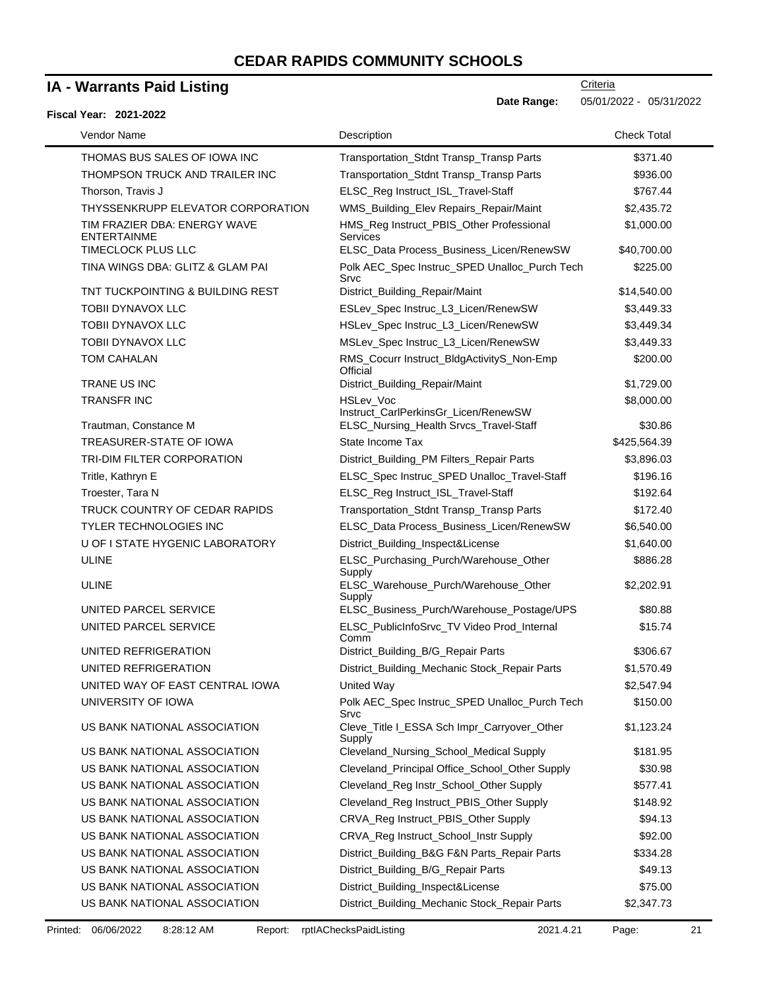### **IA - Warrants Paid Listing**

### **Fiscal Year: 2021-2022**

| iscai fear: zuz i-zuzz                             |                                                          |                    |
|----------------------------------------------------|----------------------------------------------------------|--------------------|
| Vendor Name                                        | Description                                              | <b>Check Total</b> |
| THOMAS BUS SALES OF IOWA INC                       | Transportation_Stdnt Transp_Transp Parts                 | \$371.40           |
| THOMPSON TRUCK AND TRAILER INC                     | Transportation_Stdnt Transp_Transp Parts                 | \$936.00           |
| Thorson, Travis J                                  | ELSC_Reg Instruct_ISL_Travel-Staff                       | \$767.44           |
| THYSSENKRUPP ELEVATOR CORPORATION                  | WMS_Building_Elev Repairs_Repair/Maint                   | \$2,435.72         |
| TIM FRAZIER DBA: ENERGY WAVE<br><b>ENTERTAINME</b> | HMS_Reg Instruct_PBIS_Other Professional<br>Services     | \$1,000.00         |
| <b>TIMECLOCK PLUS LLC</b>                          | ELSC_Data Process_Business_Licen/RenewSW                 | \$40,700.00        |
| TINA WINGS DBA: GLITZ & GLAM PAI                   | Polk AEC_Spec Instruc_SPED Unalloc_Purch Tech<br>Srvc    | \$225.00           |
| TNT TUCKPOINTING & BUILDING REST                   | District_Building_Repair/Maint                           | \$14,540.00        |
| <b>TOBII DYNAVOX LLC</b>                           | ESLev_Spec Instruc_L3_Licen/RenewSW                      | \$3,449.33         |
| TOBII DYNAVOX LLC                                  | HSLev_Spec Instruc_L3_Licen/RenewSW                      | \$3,449.34         |
| <b>TOBII DYNAVOX LLC</b>                           | MSLev_Spec Instruc_L3_Licen/RenewSW                      | \$3,449.33         |
| <b>TOM CAHALAN</b>                                 | RMS_Cocurr Instruct_BldgActivityS_Non-Emp<br>Official    | \$200.00           |
| <b>TRANE US INC</b>                                | District_Building_Repair/Maint                           | \$1,729.00         |
| <b>TRANSFR INC</b>                                 | <b>HSLev Voc</b><br>Instruct_CarlPerkinsGr_Licen/RenewSW | \$8,000.00         |
| Trautman, Constance M                              | ELSC_Nursing_Health Srvcs_Travel-Staff                   | \$30.86            |
| TREASURER-STATE OF IOWA                            | State Income Tax                                         | \$425,564.39       |
| TRI-DIM FILTER CORPORATION                         | District_Building_PM Filters_Repair Parts                | \$3,896.03         |
| Tritle, Kathryn E                                  | ELSC_Spec Instruc_SPED Unalloc_Travel-Staff              | \$196.16           |
| Troester, Tara N                                   | ELSC_Reg Instruct_ISL_Travel-Staff                       | \$192.64           |
| TRUCK COUNTRY OF CEDAR RAPIDS                      | Transportation_Stdnt Transp_Transp Parts                 | \$172.40           |
| <b>TYLER TECHNOLOGIES INC</b>                      | ELSC_Data Process_Business_Licen/RenewSW                 | \$6,540.00         |
| U OF I STATE HYGENIC LABORATORY                    | District_Building_Inspect&License                        | \$1,640.00         |
| <b>ULINE</b>                                       | ELSC_Purchasing_Purch/Warehouse_Other<br>Supply          | \$886.28           |
| <b>ULINE</b>                                       | ELSC_Warehouse_Purch/Warehouse_Other<br>Supply           | \$2,202.91         |
| UNITED PARCEL SERVICE                              | ELSC_Business_Purch/Warehouse_Postage/UPS                | \$80.88            |
| UNITED PARCEL SERVICE                              | ELSC_PublicInfoSrvc_TV Video Prod_Internal<br>Comm       | \$15.74            |
| UNITED REFRIGERATION                               | District_Building_B/G_Repair Parts                       | \$306.67           |
| UNITED REFRIGERATION                               | District_Building_Mechanic Stock_Repair Parts            | \$1,570.49         |
| UNITED WAY OF EAST CENTRAL IOWA                    | United Way                                               | \$2,547.94         |
| UNIVERSITY OF IOWA                                 | Polk AEC_Spec Instruc_SPED Unalloc_Purch Tech<br>Srvc    | \$150.00           |
| US BANK NATIONAL ASSOCIATION                       | Cleve_Title I_ESSA Sch Impr_Carryover_Other<br>Supply    | \$1,123.24         |
| US BANK NATIONAL ASSOCIATION                       | Cleveland_Nursing_School_Medical Supply                  | \$181.95           |
| US BANK NATIONAL ASSOCIATION                       | Cleveland_Principal Office_School_Other Supply           | \$30.98            |
| US BANK NATIONAL ASSOCIATION                       | Cleveland_Reg Instr_School_Other Supply                  | \$577.41           |
| US BANK NATIONAL ASSOCIATION                       | Cleveland_Reg Instruct_PBIS_Other Supply                 | \$148.92           |
| US BANK NATIONAL ASSOCIATION                       | CRVA_Reg Instruct_PBIS_Other Supply                      | \$94.13            |
| US BANK NATIONAL ASSOCIATION                       | CRVA_Reg Instruct_School_Instr Supply                    | \$92.00            |
| US BANK NATIONAL ASSOCIATION                       | District_Building_B&G F&N Parts_Repair Parts             | \$334.28           |
| US BANK NATIONAL ASSOCIATION                       | District_Building_B/G_Repair Parts                       | \$49.13            |
| US BANK NATIONAL ASSOCIATION                       | District_Building_Inspect&License                        | \$75.00            |
| US BANK NATIONAL ASSOCIATION                       | District_Building_Mechanic Stock_Repair Parts            | \$2,347.73         |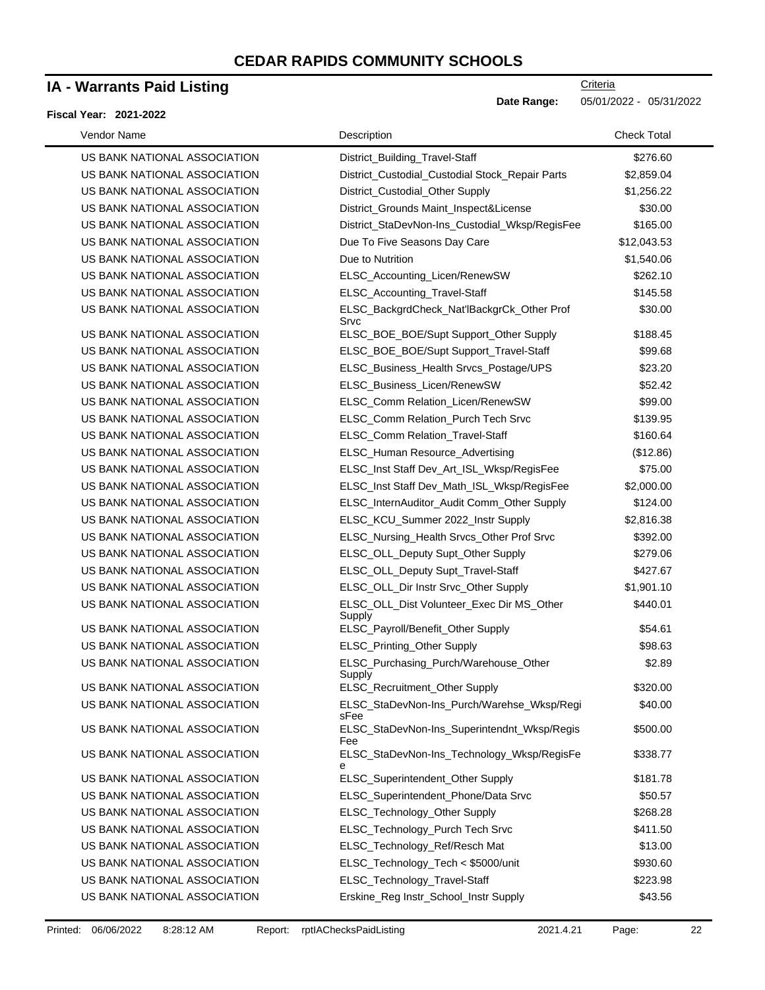### **IA - Warrants Paid Listing**

#### **Fiscal Year: 2021-2022**

| Vendor Name                  | Description                                         | <b>Check Total</b> |
|------------------------------|-----------------------------------------------------|--------------------|
| US BANK NATIONAL ASSOCIATION | District_Building_Travel-Staff                      | \$276.60           |
| US BANK NATIONAL ASSOCIATION | District_Custodial_Custodial Stock_Repair Parts     | \$2,859.04         |
| US BANK NATIONAL ASSOCIATION | District_Custodial_Other Supply                     | \$1,256.22         |
| US BANK NATIONAL ASSOCIATION | District_Grounds Maint_Inspect&License              | \$30.00            |
| US BANK NATIONAL ASSOCIATION | District_StaDevNon-Ins_Custodial_Wksp/RegisFee      | \$165.00           |
| US BANK NATIONAL ASSOCIATION | Due To Five Seasons Day Care                        | \$12,043.53        |
| US BANK NATIONAL ASSOCIATION | Due to Nutrition                                    | \$1,540.06         |
| US BANK NATIONAL ASSOCIATION | ELSC_Accounting_Licen/RenewSW                       | \$262.10           |
| US BANK NATIONAL ASSOCIATION | ELSC_Accounting_Travel-Staff                        | \$145.58           |
| US BANK NATIONAL ASSOCIATION | ELSC_BackgrdCheck_Nat'lBackgrCk_Other Prof<br>Srvc  | \$30.00            |
| US BANK NATIONAL ASSOCIATION | ELSC_BOE_BOE/Supt Support_Other Supply              | \$188.45           |
| US BANK NATIONAL ASSOCIATION | ELSC_BOE_BOE/Supt Support_Travel-Staff              | \$99.68            |
| US BANK NATIONAL ASSOCIATION | ELSC_Business_Health Srvcs_Postage/UPS              | \$23.20            |
| US BANK NATIONAL ASSOCIATION | ELSC_Business_Licen/RenewSW                         | \$52.42            |
| US BANK NATIONAL ASSOCIATION | ELSC_Comm Relation_Licen/RenewSW                    | \$99.00            |
| US BANK NATIONAL ASSOCIATION | ELSC_Comm Relation_Purch Tech Srvc                  | \$139.95           |
| US BANK NATIONAL ASSOCIATION | ELSC_Comm Relation_Travel-Staff                     | \$160.64           |
| US BANK NATIONAL ASSOCIATION | ELSC_Human Resource_Advertising                     | (\$12.86)          |
| US BANK NATIONAL ASSOCIATION | ELSC_Inst Staff Dev_Art_ISL_Wksp/RegisFee           | \$75.00            |
| US BANK NATIONAL ASSOCIATION | ELSC_Inst Staff Dev_Math_ISL_Wksp/RegisFee          | \$2,000.00         |
| US BANK NATIONAL ASSOCIATION | ELSC_InternAuditor_Audit Comm_Other Supply          | \$124.00           |
| US BANK NATIONAL ASSOCIATION | ELSC_KCU_Summer 2022_Instr Supply                   | \$2,816.38         |
| US BANK NATIONAL ASSOCIATION | ELSC_Nursing_Health Srvcs_Other Prof Srvc           | \$392.00           |
| US BANK NATIONAL ASSOCIATION | ELSC_OLL_Deputy Supt_Other Supply                   | \$279.06           |
| US BANK NATIONAL ASSOCIATION | ELSC_OLL_Deputy Supt_Travel-Staff                   | \$427.67           |
| US BANK NATIONAL ASSOCIATION | ELSC_OLL_Dir Instr Srvc_Other Supply                | \$1,901.10         |
| US BANK NATIONAL ASSOCIATION | ELSC_OLL_Dist Volunteer_Exec Dir MS_Other<br>Supply | \$440.01           |
| US BANK NATIONAL ASSOCIATION | ELSC_Payroll/Benefit_Other Supply                   | \$54.61            |
| US BANK NATIONAL ASSOCIATION | ELSC_Printing_Other Supply                          | \$98.63            |
| US BANK NATIONAL ASSOCIATION | ELSC_Purchasing_Purch/Warehouse_Other<br>Supply     | \$2.89             |
| US BANK NATIONAL ASSOCIATION | ELSC_Recruitment_Other Supply                       | \$320.00           |
| US BANK NATIONAL ASSOCIATION | ELSC_StaDevNon-Ins_Purch/Warehse_Wksp/Regi<br>sFee  | \$40.00            |
| US BANK NATIONAL ASSOCIATION | ELSC_StaDevNon-Ins_Superintendnt_Wksp/Regis<br>Fee  | \$500.00           |
| US BANK NATIONAL ASSOCIATION | ELSC_StaDevNon-Ins_Technology_Wksp/RegisFe<br>е     | \$338.77           |
| US BANK NATIONAL ASSOCIATION | ELSC_Superintendent_Other Supply                    | \$181.78           |
| US BANK NATIONAL ASSOCIATION | ELSC_Superintendent_Phone/Data Srvc                 | \$50.57            |
| US BANK NATIONAL ASSOCIATION | ELSC_Technology_Other Supply                        | \$268.28           |
| US BANK NATIONAL ASSOCIATION | ELSC_Technology_Purch Tech Srvc                     | \$411.50           |
| US BANK NATIONAL ASSOCIATION | ELSC_Technology_Ref/Resch Mat                       | \$13.00            |
| US BANK NATIONAL ASSOCIATION | ELSC_Technology_Tech < \$5000/unit                  | \$930.60           |
| US BANK NATIONAL ASSOCIATION | ELSC_Technology_Travel-Staff                        | \$223.98           |
| US BANK NATIONAL ASSOCIATION | Erskine_Reg Instr_School_Instr Supply               | \$43.56            |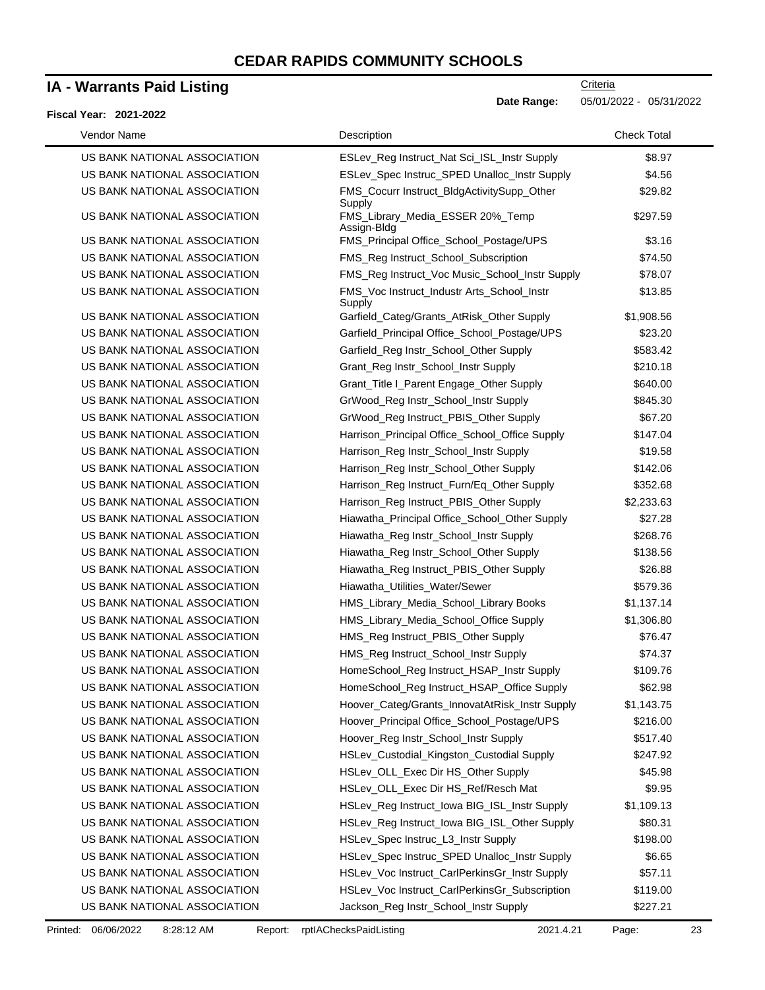### **IA - Warrants Paid Listing**

#### **Fiscal Year: 2021-2022**

**Criteria** 

**Date Range:** 05/01/2022 - 05/31/2022

| Vendor Name                  | Description                                               | <b>Check Total</b> |
|------------------------------|-----------------------------------------------------------|--------------------|
| US BANK NATIONAL ASSOCIATION | ESLev_Reg Instruct_Nat Sci_ISL_Instr Supply               | \$8.97             |
| US BANK NATIONAL ASSOCIATION | ESLev_Spec Instruc_SPED Unalloc_Instr Supply              | \$4.56             |
| US BANK NATIONAL ASSOCIATION | FMS_Cocurr Instruct_BldgActivitySupp_Other                | \$29.82            |
| US BANK NATIONAL ASSOCIATION | Supply<br>FMS_Library_Media_ESSER 20%_Temp<br>Assign-Bldg | \$297.59           |
| US BANK NATIONAL ASSOCIATION | FMS_Principal Office_School_Postage/UPS                   | \$3.16             |
| US BANK NATIONAL ASSOCIATION | FMS_Reg Instruct_School_Subscription                      | \$74.50            |
| US BANK NATIONAL ASSOCIATION | FMS_Reg Instruct_Voc Music_School_Instr Supply            | \$78.07            |
| US BANK NATIONAL ASSOCIATION | FMS_Voc Instruct_Industr Arts_School_Instr                | \$13.85            |
| US BANK NATIONAL ASSOCIATION | Supply<br>Garfield_Categ/Grants_AtRisk_Other Supply       | \$1,908.56         |
| US BANK NATIONAL ASSOCIATION | Garfield_Principal Office_School_Postage/UPS              | \$23.20            |
| US BANK NATIONAL ASSOCIATION | Garfield_Reg Instr_School_Other Supply                    | \$583.42           |
| US BANK NATIONAL ASSOCIATION | Grant_Reg Instr_School_Instr Supply                       | \$210.18           |
| US BANK NATIONAL ASSOCIATION | Grant_Title I_Parent Engage_Other Supply                  | \$640.00           |
| US BANK NATIONAL ASSOCIATION | GrWood_Reg Instr_School_Instr Supply                      | \$845.30           |
| US BANK NATIONAL ASSOCIATION | GrWood_Reg Instruct_PBIS_Other Supply                     | \$67.20            |
| US BANK NATIONAL ASSOCIATION | Harrison_Principal Office_School_Office Supply            | \$147.04           |
| US BANK NATIONAL ASSOCIATION | Harrison_Reg Instr_School_Instr Supply                    | \$19.58            |
| US BANK NATIONAL ASSOCIATION | Harrison_Reg Instr_School_Other Supply                    | \$142.06           |
| US BANK NATIONAL ASSOCIATION | Harrison_Reg Instruct_Furn/Eq_Other Supply                | \$352.68           |
| US BANK NATIONAL ASSOCIATION | Harrison_Reg Instruct_PBIS_Other Supply                   | \$2,233.63         |
| US BANK NATIONAL ASSOCIATION | Hiawatha_Principal Office_School_Other Supply             | \$27.28            |
| US BANK NATIONAL ASSOCIATION | Hiawatha_Reg Instr_School_Instr Supply                    | \$268.76           |
| US BANK NATIONAL ASSOCIATION | Hiawatha_Reg Instr_School_Other Supply                    | \$138.56           |
| US BANK NATIONAL ASSOCIATION | Hiawatha_Reg Instruct_PBIS_Other Supply                   | \$26.88            |
| US BANK NATIONAL ASSOCIATION | Hiawatha_Utilities_Water/Sewer                            | \$579.36           |
| US BANK NATIONAL ASSOCIATION | HMS_Library_Media_School_Library Books                    | \$1,137.14         |
| US BANK NATIONAL ASSOCIATION | HMS_Library_Media_School_Office Supply                    | \$1,306.80         |
| US BANK NATIONAL ASSOCIATION | HMS_Reg Instruct_PBIS_Other Supply                        | \$76.47            |
| US BANK NATIONAL ASSOCIATION | HMS_Reg Instruct_School_Instr Supply                      | \$74.37            |
| US BANK NATIONAL ASSOCIATION | HomeSchool_Reg Instruct_HSAP_Instr Supply                 | \$109.76           |
| US BANK NATIONAL ASSOCIATION | HomeSchool_Reg Instruct_HSAP_Office Supply                | \$62.98            |
| US BANK NATIONAL ASSOCIATION | Hoover_Categ/Grants_InnovatAtRisk_Instr Supply            | \$1,143.75         |
| US BANK NATIONAL ASSOCIATION | Hoover_Principal Office_School_Postage/UPS                | \$216.00           |
| US BANK NATIONAL ASSOCIATION | Hoover_Reg Instr_School_Instr Supply                      | \$517.40           |
| US BANK NATIONAL ASSOCIATION | HSLev_Custodial_Kingston_Custodial Supply                 | \$247.92           |
| US BANK NATIONAL ASSOCIATION | HSLev_OLL_Exec Dir HS_Other Supply                        | \$45.98            |
| US BANK NATIONAL ASSOCIATION | HSLev_OLL_Exec Dir HS_Ref/Resch Mat                       | \$9.95             |
| US BANK NATIONAL ASSOCIATION | HSLev_Reg Instruct_Iowa BIG_ISL_Instr Supply              | \$1,109.13         |
| US BANK NATIONAL ASSOCIATION | HSLev_Reg Instruct_Iowa BIG_ISL_Other Supply              | \$80.31            |
| US BANK NATIONAL ASSOCIATION | HSLev_Spec Instruc_L3_Instr Supply                        | \$198.00           |
| US BANK NATIONAL ASSOCIATION | HSLev_Spec Instruc_SPED Unalloc_Instr Supply              | \$6.65             |
| US BANK NATIONAL ASSOCIATION | HSLev_Voc Instruct_CarlPerkinsGr_Instr Supply             | \$57.11            |
| US BANK NATIONAL ASSOCIATION | HSLev_Voc Instruct_CarlPerkinsGr_Subscription             | \$119.00           |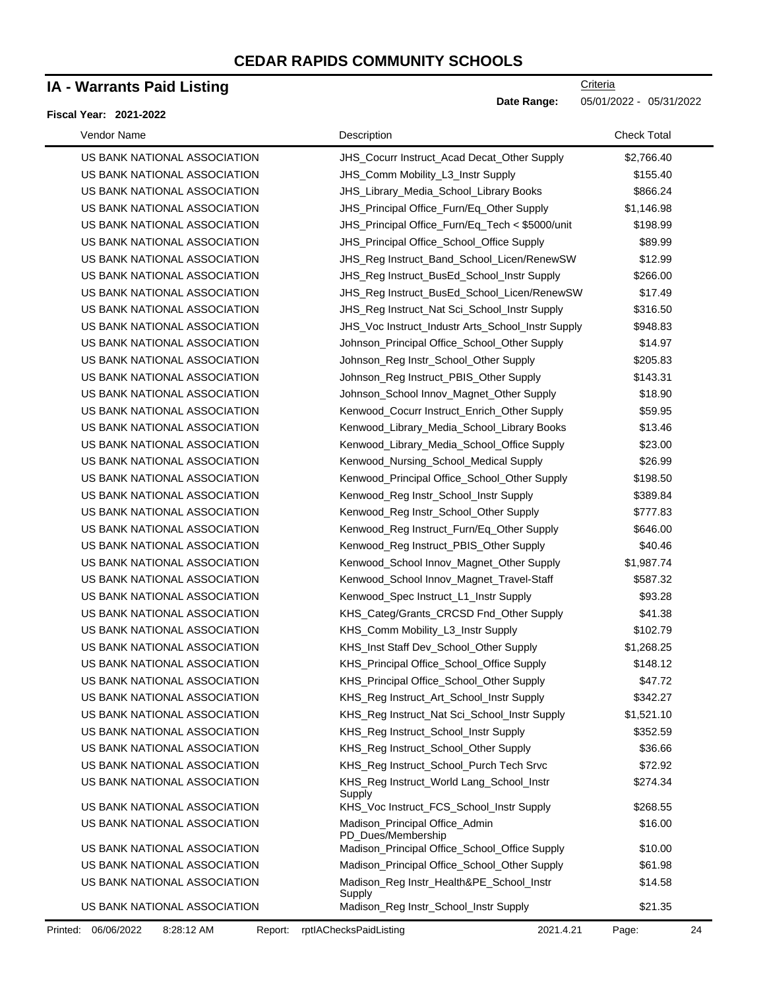### **IA - Warrants Paid Listing**

#### **Fiscal Year: 2021-2022**

**Criteria** 

**Date Range:** 05/01/2022 - 05/31/2022

| Vendor Name                  | Description                                          | <b>Check Total</b> |
|------------------------------|------------------------------------------------------|--------------------|
| US BANK NATIONAL ASSOCIATION | JHS_Cocurr Instruct_Acad Decat_Other Supply          | \$2,766.40         |
| US BANK NATIONAL ASSOCIATION | JHS_Comm Mobility_L3_Instr Supply                    | \$155.40           |
| US BANK NATIONAL ASSOCIATION | JHS_Library_Media_School_Library Books               | \$866.24           |
| US BANK NATIONAL ASSOCIATION | JHS_Principal Office_Furn/Eq_Other Supply            | \$1,146.98         |
| US BANK NATIONAL ASSOCIATION | JHS_Principal Office_Furn/Eq_Tech < \$5000/unit      | \$198.99           |
| US BANK NATIONAL ASSOCIATION | JHS_Principal Office_School_Office Supply            | \$89.99            |
| US BANK NATIONAL ASSOCIATION | JHS_Reg Instruct_Band_School_Licen/RenewSW           | \$12.99            |
| US BANK NATIONAL ASSOCIATION | JHS_Reg Instruct_BusEd_School_Instr Supply           | \$266.00           |
| US BANK NATIONAL ASSOCIATION | JHS_Reg Instruct_BusEd_School_Licen/RenewSW          | \$17.49            |
| US BANK NATIONAL ASSOCIATION | JHS_Reg Instruct_Nat Sci_School_Instr Supply         | \$316.50           |
| US BANK NATIONAL ASSOCIATION | JHS_Voc Instruct_Industr Arts_School_Instr Supply    | \$948.83           |
| US BANK NATIONAL ASSOCIATION | Johnson_Principal Office_School_Other Supply         | \$14.97            |
| US BANK NATIONAL ASSOCIATION | Johnson_Reg Instr_School_Other Supply                | \$205.83           |
| US BANK NATIONAL ASSOCIATION | Johnson_Reg Instruct_PBIS_Other Supply               | \$143.31           |
| US BANK NATIONAL ASSOCIATION | Johnson_School Innov_Magnet_Other Supply             | \$18.90            |
| US BANK NATIONAL ASSOCIATION | Kenwood_Cocurr Instruct_Enrich_Other Supply          | \$59.95            |
| US BANK NATIONAL ASSOCIATION | Kenwood_Library_Media_School_Library Books           | \$13.46            |
| US BANK NATIONAL ASSOCIATION | Kenwood_Library_Media_School_Office Supply           | \$23.00            |
| US BANK NATIONAL ASSOCIATION | Kenwood_Nursing_School_Medical Supply                | \$26.99            |
| US BANK NATIONAL ASSOCIATION | Kenwood_Principal Office_School_Other Supply         | \$198.50           |
| US BANK NATIONAL ASSOCIATION | Kenwood_Reg Instr_School_Instr Supply                | \$389.84           |
| US BANK NATIONAL ASSOCIATION | Kenwood_Reg Instr_School_Other Supply                | \$777.83           |
| US BANK NATIONAL ASSOCIATION | Kenwood_Reg Instruct_Furn/Eq_Other Supply            | \$646.00           |
| US BANK NATIONAL ASSOCIATION | Kenwood_Reg Instruct_PBIS_Other Supply               | \$40.46            |
| US BANK NATIONAL ASSOCIATION | Kenwood_School Innov_Magnet_Other Supply             | \$1,987.74         |
| US BANK NATIONAL ASSOCIATION | Kenwood_School Innov_Magnet_Travel-Staff             | \$587.32           |
| US BANK NATIONAL ASSOCIATION | Kenwood_Spec Instruct_L1_Instr Supply                | \$93.28            |
| US BANK NATIONAL ASSOCIATION | KHS_Categ/Grants_CRCSD Fnd_Other Supply              | \$41.38            |
| US BANK NATIONAL ASSOCIATION | KHS_Comm Mobility_L3_Instr Supply                    | \$102.79           |
| US BANK NATIONAL ASSOCIATION | KHS_Inst Staff Dev_School_Other Supply               | \$1,268.25         |
| US BANK NATIONAL ASSOCIATION | KHS_Principal Office_School_Office Supply            | \$148.12           |
| US BANK NATIONAL ASSOCIATION | KHS_Principal Office_School_Other Supply             | \$47.72            |
| US BANK NATIONAL ASSOCIATION | KHS_Reg Instruct_Art_School_Instr Supply             | \$342.27           |
| US BANK NATIONAL ASSOCIATION | KHS_Reg Instruct_Nat Sci_School_Instr Supply         | \$1,521.10         |
| US BANK NATIONAL ASSOCIATION | KHS_Reg Instruct_School_Instr Supply                 | \$352.59           |
| US BANK NATIONAL ASSOCIATION | KHS_Reg Instruct_School_Other Supply                 | \$36.66            |
| US BANK NATIONAL ASSOCIATION | KHS_Reg Instruct_School_Purch Tech Srvc              | \$72.92            |
| US BANK NATIONAL ASSOCIATION | KHS_Reg Instruct_World Lang_School_Instr<br>Supply   | \$274.34           |
| US BANK NATIONAL ASSOCIATION | KHS_Voc Instruct_FCS_School_Instr Supply             | \$268.55           |
| US BANK NATIONAL ASSOCIATION | Madison_Principal Office_Admin<br>PD_Dues/Membership | \$16.00            |
| US BANK NATIONAL ASSOCIATION | Madison_Principal Office_School_Office Supply        | \$10.00            |
| US BANK NATIONAL ASSOCIATION | Madison_Principal Office_School_Other Supply         | \$61.98            |
| US BANK NATIONAL ASSOCIATION | Madison_Reg Instr_Health&PE_School_Instr<br>Supply   | \$14.58            |
| US BANK NATIONAL ASSOCIATION | Madison_Reg Instr_School_Instr Supply                | \$21.35            |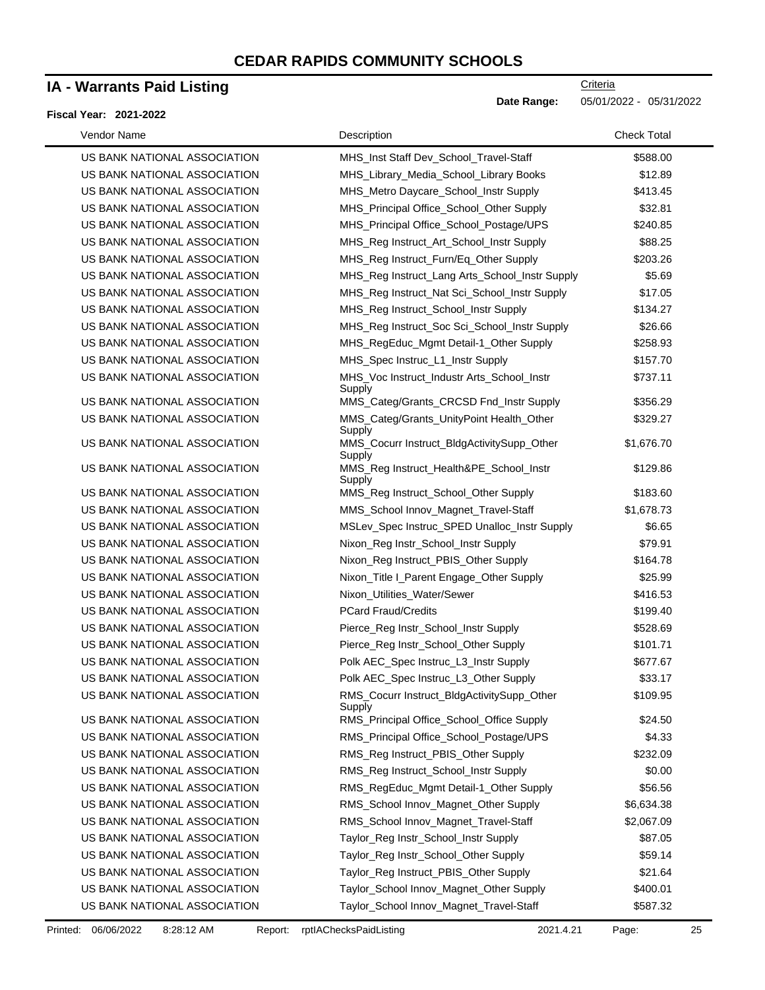### **IA - Warrants Paid Listing**

### **Fiscal Year: 2021-2022**

| Vendor Name                  | Description                                          | <b>Check Total</b> |
|------------------------------|------------------------------------------------------|--------------------|
| US BANK NATIONAL ASSOCIATION | MHS_Inst Staff Dev_School_Travel-Staff               | \$588.00           |
| US BANK NATIONAL ASSOCIATION | MHS_Library_Media_School_Library Books               | \$12.89            |
| US BANK NATIONAL ASSOCIATION | MHS_Metro Daycare_School_Instr Supply                | \$413.45           |
| US BANK NATIONAL ASSOCIATION | MHS_Principal Office_School_Other Supply             | \$32.81            |
| US BANK NATIONAL ASSOCIATION | MHS_Principal Office_School_Postage/UPS              | \$240.85           |
| US BANK NATIONAL ASSOCIATION | MHS_Reg Instruct_Art_School_Instr Supply             | \$88.25            |
| US BANK NATIONAL ASSOCIATION | MHS_Reg Instruct_Furn/Eq_Other Supply                | \$203.26           |
| US BANK NATIONAL ASSOCIATION | MHS_Reg Instruct_Lang Arts_School_Instr Supply       | \$5.69             |
| US BANK NATIONAL ASSOCIATION | MHS_Reg Instruct_Nat Sci_School_Instr Supply         | \$17.05            |
| US BANK NATIONAL ASSOCIATION | MHS_Reg Instruct_School_Instr Supply                 | \$134.27           |
| US BANK NATIONAL ASSOCIATION | MHS_Reg Instruct_Soc Sci_School_Instr Supply         | \$26.66            |
| US BANK NATIONAL ASSOCIATION | MHS_RegEduc_Mgmt Detail-1_Other Supply               | \$258.93           |
| US BANK NATIONAL ASSOCIATION | MHS_Spec Instruc_L1_Instr Supply                     | \$157.70           |
| US BANK NATIONAL ASSOCIATION | MHS_Voc Instruct_Industr Arts_School_Instr<br>Supply | \$737.11           |
| US BANK NATIONAL ASSOCIATION | MMS_Categ/Grants_CRCSD Fnd_Instr Supply              | \$356.29           |
| US BANK NATIONAL ASSOCIATION | MMS_Categ/Grants_UnityPoint Health_Other<br>Supply   | \$329.27           |
| US BANK NATIONAL ASSOCIATION | MMS_Cocurr Instruct_BldgActivitySupp_Other<br>Supply | \$1,676.70         |
| US BANK NATIONAL ASSOCIATION | MMS Reg Instruct Health&PE School Instr<br>Supply    | \$129.86           |
| US BANK NATIONAL ASSOCIATION | MMS_Reg Instruct_School_Other Supply                 | \$183.60           |
| US BANK NATIONAL ASSOCIATION | MMS_School Innov_Magnet_Travel-Staff                 | \$1,678.73         |
| US BANK NATIONAL ASSOCIATION | MSLev_Spec Instruc_SPED Unalloc_Instr Supply         | \$6.65             |
| US BANK NATIONAL ASSOCIATION | Nixon_Reg Instr_School_Instr Supply                  | \$79.91            |
| US BANK NATIONAL ASSOCIATION | Nixon_Reg Instruct_PBIS_Other Supply                 | \$164.78           |
| US BANK NATIONAL ASSOCIATION | Nixon_Title I_Parent Engage_Other Supply             | \$25.99            |
| US BANK NATIONAL ASSOCIATION | Nixon_Utilities_Water/Sewer                          | \$416.53           |
| US BANK NATIONAL ASSOCIATION | <b>PCard Fraud/Credits</b>                           | \$199.40           |
| US BANK NATIONAL ASSOCIATION | Pierce_Reg Instr_School_Instr Supply                 | \$528.69           |
| US BANK NATIONAL ASSOCIATION | Pierce_Reg Instr_School_Other Supply                 | \$101.71           |
| US BANK NATIONAL ASSOCIATION | Polk AEC_Spec Instruc_L3_Instr Supply                | \$677.67           |
| US BANK NATIONAL ASSOCIATION | Polk AEC_Spec Instruc_L3_Other Supply                | \$33.17            |
| US BANK NATIONAL ASSOCIATION | RMS Cocurr Instruct BldgActivitySupp Other<br>Supply | \$109.95           |
| US BANK NATIONAL ASSOCIATION | RMS_Principal Office_School_Office Supply            | \$24.50            |
| US BANK NATIONAL ASSOCIATION | RMS_Principal Office_School_Postage/UPS              | \$4.33             |
| US BANK NATIONAL ASSOCIATION | RMS_Reg Instruct_PBIS_Other Supply                   | \$232.09           |
| US BANK NATIONAL ASSOCIATION | RMS_Reg Instruct_School_Instr Supply                 | \$0.00             |
| US BANK NATIONAL ASSOCIATION | RMS_RegEduc_Mgmt Detail-1_Other Supply               | \$56.56            |
| US BANK NATIONAL ASSOCIATION | RMS_School Innov_Magnet_Other Supply                 | \$6,634.38         |
| US BANK NATIONAL ASSOCIATION | RMS_School Innov_Magnet_Travel-Staff                 | \$2,067.09         |
| US BANK NATIONAL ASSOCIATION | Taylor_Reg Instr_School_Instr Supply                 | \$87.05            |
| US BANK NATIONAL ASSOCIATION | Taylor_Reg Instr_School_Other Supply                 | \$59.14            |
| US BANK NATIONAL ASSOCIATION | Taylor_Reg Instruct_PBIS_Other Supply                | \$21.64            |
| US BANK NATIONAL ASSOCIATION | Taylor_School Innov_Magnet_Other Supply              | \$400.01           |
| US BANK NATIONAL ASSOCIATION | Taylor_School Innov_Magnet_Travel-Staff              | \$587.32           |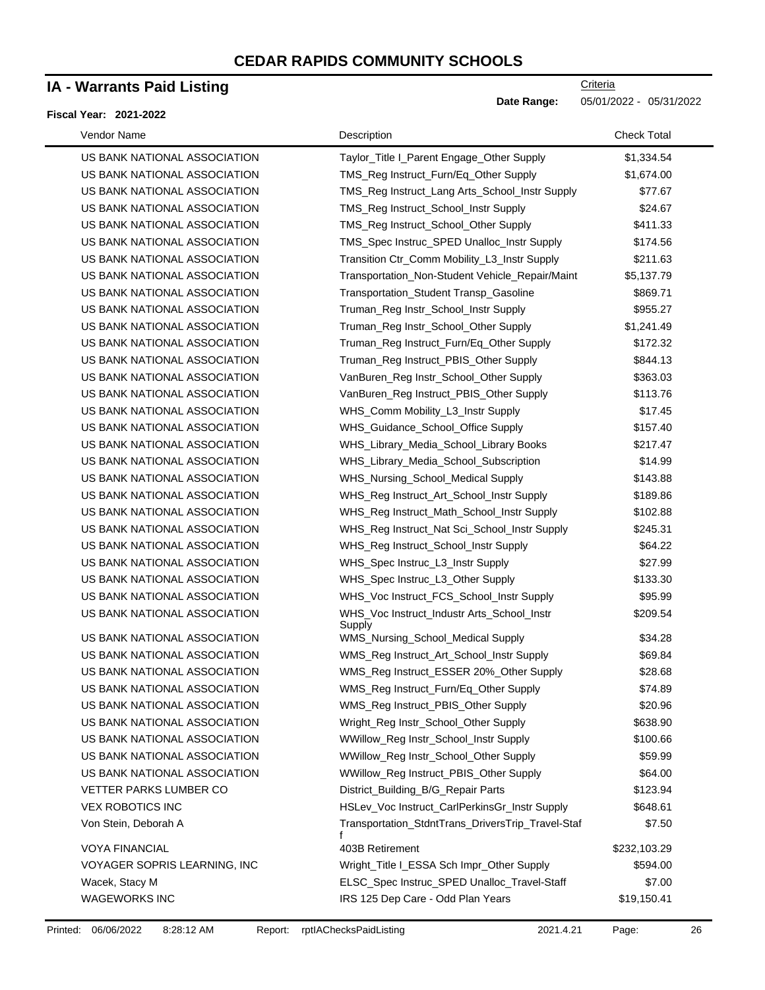### **IA - Warrants Paid Listing**

### **Fiscal Year: 2021-2022**

| Vendor Name                  | Description                                            | <b>Check Total</b> |
|------------------------------|--------------------------------------------------------|--------------------|
| US BANK NATIONAL ASSOCIATION | Taylor_Title I_Parent Engage_Other Supply              | \$1,334.54         |
| US BANK NATIONAL ASSOCIATION | TMS_Reg Instruct_Furn/Eq_Other Supply                  | \$1,674.00         |
| US BANK NATIONAL ASSOCIATION | TMS_Reg Instruct_Lang Arts_School_Instr Supply         | \$77.67            |
| US BANK NATIONAL ASSOCIATION | TMS_Reg Instruct_School_Instr Supply                   | \$24.67            |
| US BANK NATIONAL ASSOCIATION | TMS_Reg Instruct_School_Other Supply                   | \$411.33           |
| US BANK NATIONAL ASSOCIATION | TMS_Spec Instruc_SPED Unalloc_Instr Supply             | \$174.56           |
| US BANK NATIONAL ASSOCIATION | Transition Ctr_Comm Mobility_L3_Instr Supply           | \$211.63           |
| US BANK NATIONAL ASSOCIATION | Transportation_Non-Student Vehicle_Repair/Maint        | \$5,137.79         |
| US BANK NATIONAL ASSOCIATION | Transportation_Student Transp_Gasoline                 | \$869.71           |
| US BANK NATIONAL ASSOCIATION | Truman_Reg Instr_School_Instr Supply                   | \$955.27           |
| US BANK NATIONAL ASSOCIATION | Truman_Reg Instr_School_Other Supply                   | \$1,241.49         |
| US BANK NATIONAL ASSOCIATION | Truman_Reg Instruct_Furn/Eq_Other Supply               | \$172.32           |
| US BANK NATIONAL ASSOCIATION | Truman_Reg Instruct_PBIS_Other Supply                  | \$844.13           |
| US BANK NATIONAL ASSOCIATION | VanBuren_Reg Instr_School_Other Supply                 | \$363.03           |
| US BANK NATIONAL ASSOCIATION | VanBuren_Reg Instruct_PBIS_Other Supply                | \$113.76           |
| US BANK NATIONAL ASSOCIATION | WHS_Comm Mobility_L3_Instr Supply                      | \$17.45            |
| US BANK NATIONAL ASSOCIATION | WHS_Guidance_School_Office Supply                      | \$157.40           |
| US BANK NATIONAL ASSOCIATION | WHS_Library_Media_School_Library Books                 | \$217.47           |
| US BANK NATIONAL ASSOCIATION | WHS_Library_Media_School_Subscription                  | \$14.99            |
| US BANK NATIONAL ASSOCIATION | WHS_Nursing_School_Medical Supply                      | \$143.88           |
| US BANK NATIONAL ASSOCIATION | WHS_Reg Instruct_Art_School_Instr Supply               | \$189.86           |
| US BANK NATIONAL ASSOCIATION | WHS_Reg Instruct_Math_School_Instr Supply              | \$102.88           |
| US BANK NATIONAL ASSOCIATION | WHS_Reg Instruct_Nat Sci_School_Instr Supply           | \$245.31           |
| US BANK NATIONAL ASSOCIATION | WHS_Reg Instruct_School_Instr Supply                   | \$64.22            |
| US BANK NATIONAL ASSOCIATION | WHS_Spec Instruc_L3_Instr Supply                       | \$27.99            |
| US BANK NATIONAL ASSOCIATION | WHS_Spec Instruc_L3_Other Supply                       | \$133.30           |
| US BANK NATIONAL ASSOCIATION | WHS_Voc Instruct_FCS_School_Instr Supply               | \$95.99            |
| US BANK NATIONAL ASSOCIATION | WHS_Voc Instruct_Industr Arts_School_Instr<br>Supply   | \$209.54           |
| US BANK NATIONAL ASSOCIATION | WMS_Nursing_School_Medical Supply                      | \$34.28            |
| US BANK NATIONAL ASSOCIATION | WMS_Reg Instruct_Art_School_Instr Supply               | \$69.84            |
| US BANK NATIONAL ASSOCIATION | WMS_Reg Instruct_ESSER 20%_Other Supply                | \$28.68            |
| US BANK NATIONAL ASSOCIATION | WMS_Reg Instruct_Furn/Eq_Other Supply                  | \$74.89            |
| US BANK NATIONAL ASSOCIATION | WMS_Reg Instruct_PBIS_Other Supply                     | \$20.96            |
| US BANK NATIONAL ASSOCIATION | Wright_Reg Instr_School_Other Supply                   | \$638.90           |
| US BANK NATIONAL ASSOCIATION | WWillow_Reg Instr_School_Instr Supply                  | \$100.66           |
| US BANK NATIONAL ASSOCIATION | WWillow_Reg Instr_School_Other Supply                  | \$59.99            |
| US BANK NATIONAL ASSOCIATION | WWillow_Reg Instruct_PBIS_Other Supply                 | \$64.00            |
| VETTER PARKS LUMBER CO       | District_Building_B/G_Repair Parts                     | \$123.94           |
| <b>VEX ROBOTICS INC</b>      | HSLev_Voc Instruct_CarlPerkinsGr_Instr Supply          | \$648.61           |
| Von Stein, Deborah A         | Transportation_StdntTrans_DriversTrip_Travel-Staf<br>f | \$7.50             |
| <b>VOYA FINANCIAL</b>        | 403B Retirement                                        | \$232,103.29       |
| VOYAGER SOPRIS LEARNING, INC | Wright_Title I_ESSA Sch Impr_Other Supply              | \$594.00           |
| Wacek, Stacy M               | ELSC_Spec Instruc_SPED Unalloc_Travel-Staff            | \$7.00             |
| <b>WAGEWORKS INC</b>         | IRS 125 Dep Care - Odd Plan Years                      | \$19,150.41        |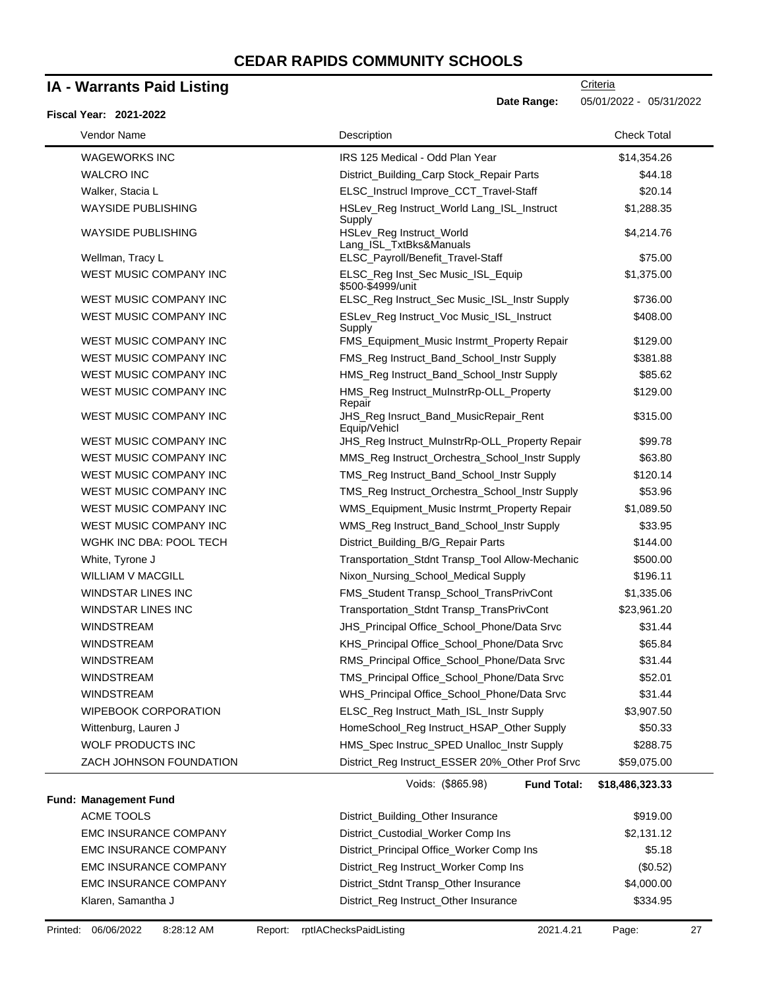# **IA - Warrants Paid Listing**

| Vendor Name                  | Description                                                             | <b>Check Total</b> |
|------------------------------|-------------------------------------------------------------------------|--------------------|
| WAGEWORKS INC                | IRS 125 Medical - Odd Plan Year                                         | \$14,354.26        |
| <b>WALCRO INC</b>            | District_Building_Carp Stock_Repair Parts                               | \$44.18            |
| Walker, Stacia L             | ELSC_Instrucl Improve_CCT_Travel-Staff                                  | \$20.14            |
| <b>WAYSIDE PUBLISHING</b>    | HSLev_Reg Instruct_World Lang_ISL_Instruct<br>Supply                    | \$1,288.35         |
| <b>WAYSIDE PUBLISHING</b>    | HSLev_Reg Instruct_World<br>Lang_ISL_TxtBks&Manuals                     | \$4,214.76         |
| Wellman, Tracy L             | ELSC_Payroll/Benefit_Travel-Staff                                       | \$75.00            |
| WEST MUSIC COMPANY INC       | ELSC_Reg Inst_Sec Music_ISL_Equip<br>\$500-\$4999/unit                  | \$1,375.00         |
| WEST MUSIC COMPANY INC       | ELSC_Reg Instruct_Sec Music_ISL_Instr Supply                            | \$736.00           |
| WEST MUSIC COMPANY INC       | ESLev_Reg Instruct_Voc Music_ISL_Instruct<br>Supply                     | \$408.00           |
| WEST MUSIC COMPANY INC       | FMS_Equipment_Music Instrmt_Property Repair                             | \$129.00           |
| WEST MUSIC COMPANY INC       | FMS_Reg Instruct_Band_School_Instr Supply                               | \$381.88           |
| WEST MUSIC COMPANY INC       | HMS_Reg Instruct_Band_School_Instr Supply                               | \$85.62            |
| WEST MUSIC COMPANY INC       | HMS_Reg Instruct_MuInstrRp-OLL_Property<br>Repair                       | \$129.00           |
| WEST MUSIC COMPANY INC       | JHS_Reg Insruct_Band_MusicRepair_Rent<br>Equip/Vehicl                   | \$315.00           |
| WEST MUSIC COMPANY INC       | JHS_Reg Instruct_MuInstrRp-OLL_Property Repair                          | \$99.78            |
| WEST MUSIC COMPANY INC       | MMS_Reg Instruct_Orchestra_School_Instr Supply                          | \$63.80            |
| WEST MUSIC COMPANY INC       | TMS_Reg Instruct_Band_School_Instr Supply                               | \$120.14           |
| WEST MUSIC COMPANY INC       | TMS_Reg Instruct_Orchestra_School_Instr Supply                          | \$53.96            |
| WEST MUSIC COMPANY INC       | WMS_Equipment_Music Instrmt_Property Repair                             | \$1,089.50         |
| WEST MUSIC COMPANY INC       | WMS_Reg Instruct_Band_School_Instr Supply                               | \$33.95            |
| WGHK INC DBA: POOL TECH      | District_Building_B/G_Repair Parts                                      | \$144.00           |
| White, Tyrone J              | Transportation_Stdnt Transp_Tool Allow-Mechanic                         | \$500.00           |
| <b>WILLIAM V MACGILL</b>     | Nixon_Nursing_School_Medical Supply                                     | \$196.11           |
| WINDSTAR LINES INC           | FMS_Student Transp_School_TransPrivCont                                 | \$1,335.06         |
| <b>WINDSTAR LINES INC</b>    | Transportation_Stdnt Transp_TransPrivCont                               | \$23,961.20        |
| <b>WINDSTREAM</b>            | JHS_Principal Office_School_Phone/Data Srvc                             | \$31.44            |
| <b>WINDSTREAM</b>            | KHS_Principal Office_School_Phone/Data Srvc                             | \$65.84            |
| <b>WINDSTREAM</b>            | RMS_Principal Office_School_Phone/Data Srvc                             | \$31.44            |
| <b>WINDSTREAM</b>            | TMS_Principal Office_School_Phone/Data Srvc                             | \$52.01            |
| <b>WINDSTREAM</b>            | WHS_Principal Office_School_Phone/Data Srvc                             | \$31.44            |
| <b>WIPEBOOK CORPORATION</b>  | ELSC_Reg Instruct_Math_ISL_Instr Supply                                 | \$3,907.50         |
| Wittenburg, Lauren J         | HomeSchool_Reg Instruct_HSAP_Other Supply                               | \$50.33            |
| <b>WOLF PRODUCTS INC</b>     | HMS_Spec Instruc_SPED Unalloc_Instr Supply                              | \$288.75           |
| ZACH JOHNSON FOUNDATION      | District_Reg Instruct_ESSER 20%_Other Prof Srvc                         | \$59,075.00        |
| Fund: Management Fund        | Voids: (\$865.98)<br><b>Fund Total:</b>                                 | \$18,486,323.33    |
| <b>ACME TOOLS</b>            |                                                                         | \$919.00           |
| EMC INSURANCE COMPANY        | District_Building_Other Insurance<br>District_Custodial_Worker Comp Ins |                    |
|                              |                                                                         | \$2,131.12         |
| <b>EMC INSURANCE COMPANY</b> | District_Principal Office_Worker Comp Ins                               | \$5.18             |
| EMC INSURANCE COMPANY        | District_Reg Instruct_Worker Comp Ins                                   | (\$0.52)           |
| EMC INSURANCE COMPANY        | District_Stdnt Transp_Other Insurance                                   | \$4,000.00         |
| Klaren, Samantha J           | District_Reg Instruct_Other Insurance                                   | \$334.95           |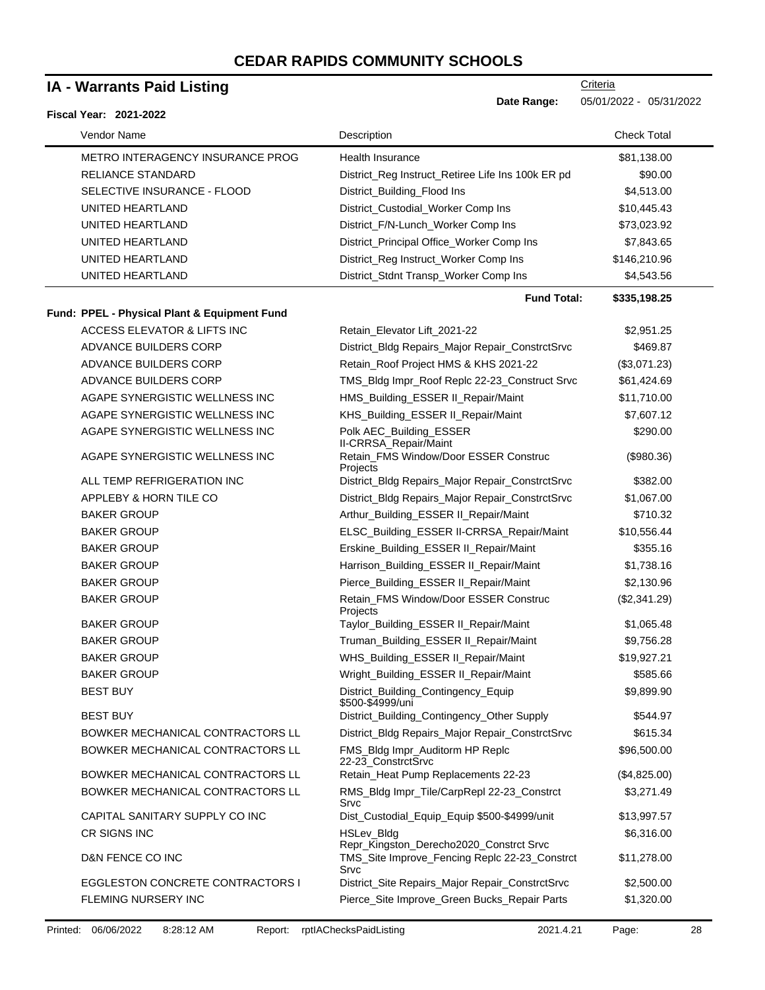# **IA - Warrants Paid Listing**

| <b>IA - Warrants Paid Listing</b>            |                                                                                           | Criteria                  |  |
|----------------------------------------------|-------------------------------------------------------------------------------------------|---------------------------|--|
| <b>Fiscal Year: 2021-2022</b>                | Date Range:                                                                               | 05/01/2022 - 05/31/2022   |  |
| Vendor Name                                  | Description                                                                               | <b>Check Total</b>        |  |
| METRO INTERAGENCY INSURANCE PROG             | <b>Health Insurance</b>                                                                   | \$81,138.00               |  |
| <b>RELIANCE STANDARD</b>                     | District_Reg Instruct_Retiree Life Ins 100k ER pd                                         | \$90.00                   |  |
| SELECTIVE INSURANCE - FLOOD                  | District_Building_Flood Ins                                                               | \$4,513.00                |  |
| UNITED HEARTLAND                             | District_Custodial_Worker Comp Ins                                                        | \$10,445.43               |  |
| UNITED HEARTLAND                             | District_F/N-Lunch_Worker Comp Ins                                                        | \$73,023.92               |  |
| UNITED HEARTLAND                             | District_Principal Office_Worker Comp Ins                                                 | \$7,843.65                |  |
| UNITED HEARTLAND                             | District_Reg Instruct_Worker Comp Ins                                                     | \$146,210.96              |  |
| UNITED HEARTLAND                             | District_Stdnt Transp_Worker Comp Ins                                                     | \$4,543.56                |  |
| Fund: PPEL - Physical Plant & Equipment Fund | <b>Fund Total:</b>                                                                        | \$335,198.25              |  |
| ACCESS ELEVATOR & LIFTS INC                  | Retain_Elevator Lift_2021-22                                                              | \$2,951.25                |  |
| ADVANCE BUILDERS CORP                        | District_Bldg Repairs_Major Repair_ConstrctSrvc                                           | \$469.87                  |  |
| ADVANCE BUILDERS CORP                        |                                                                                           |                           |  |
| ADVANCE BUILDERS CORP                        | Retain_Roof Project HMS & KHS 2021-22                                                     | (\$3,071.23)              |  |
| AGAPE SYNERGISTIC WELLNESS INC               | TMS_Bldg Impr_Roof Replc 22-23_Construct Srvc                                             | \$61,424.69               |  |
| AGAPE SYNERGISTIC WELLNESS INC               | HMS_Building_ESSER II_Repair/Maint                                                        | \$11,710.00<br>\$7,607.12 |  |
| AGAPE SYNERGISTIC WELLNESS INC               | KHS_Building_ESSER II_Repair/Maint                                                        |                           |  |
| AGAPE SYNERGISTIC WELLNESS INC               | Polk AEC_Building_ESSER<br>II-CRRSA_Repair/Maint<br>Retain_FMS Window/Door ESSER Construc | \$290.00<br>(\$980.36)    |  |
|                                              | Projects                                                                                  |                           |  |
| ALL TEMP REFRIGERATION INC                   | District_Bldg Repairs_Major Repair_ConstrctSrvc                                           | \$382.00                  |  |
| APPLEBY & HORN TILE CO                       | District_Bldg Repairs_Major Repair_ConstrctSrvc                                           | \$1,067.00                |  |
| <b>BAKER GROUP</b>                           | Arthur_Building_ESSER II_Repair/Maint                                                     | \$710.32                  |  |
| <b>BAKER GROUP</b>                           | ELSC_Building_ESSER II-CRRSA_Repair/Maint                                                 | \$10,556.44               |  |
| <b>BAKER GROUP</b>                           | Erskine_Building_ESSER II_Repair/Maint                                                    | \$355.16                  |  |
| <b>BAKER GROUP</b>                           | Harrison_Building_ESSER II_Repair/Maint                                                   | \$1,738.16                |  |
| <b>BAKER GROUP</b>                           | Pierce_Building_ESSER II_Repair/Maint                                                     | \$2,130.96                |  |
| <b>BAKER GROUP</b>                           | Retain FMS Window/Door ESSER Construc<br>Projects                                         | (\$2,341.29)              |  |
| <b>BAKER GROUP</b>                           | Taylor_Building_ESSER II_Repair/Maint                                                     | \$1,065.48                |  |
| <b>BAKER GROUP</b>                           | Truman_Building_ESSER II_Repair/Maint                                                     | \$9,756.28                |  |
| <b>BAKER GROUP</b>                           | WHS_Building_ESSER II_Repair/Maint                                                        | \$19,927.21               |  |
| <b>BAKER GROUP</b>                           | Wright_Building_ESSER II_Repair/Maint                                                     | \$585.66                  |  |
| <b>BEST BUY</b>                              | District_Building_Contingency_Equip<br>\$500-\$4999/uni                                   | \$9,899.90                |  |
| <b>BEST BUY</b>                              | District_Building_Contingency_Other Supply                                                | \$544.97                  |  |
| BOWKER MECHANICAL CONTRACTORS LL             | District_Bldg Repairs_Major Repair_ConstrctSrvc                                           | \$615.34                  |  |
| BOWKER MECHANICAL CONTRACTORS LL             | FMS_Bldg Impr_Auditorm HP Replc<br>22-23_ConstrctSrvc                                     | \$96,500.00               |  |
| BOWKER MECHANICAL CONTRACTORS LL             | Retain_Heat Pump Replacements 22-23                                                       | (\$4,825.00)              |  |
| BOWKER MECHANICAL CONTRACTORS LL             | RMS_Bldg Impr_Tile/CarpRepl 22-23_Constrct<br>Srvc                                        | \$3,271.49                |  |
| CAPITAL SANITARY SUPPLY CO INC               | Dist_Custodial_Equip_Equip \$500-\$4999/unit                                              | \$13,997.57               |  |
| CR SIGNS INC                                 | HSLev_Bldg<br>Repr_Kingston_Derecho2020_Constrct Srvc                                     | \$6,316.00                |  |
| D&N FENCE CO INC                             | TMS_Site Improve_Fencing Replc 22-23_Constrct<br>Srvc                                     | \$11,278.00               |  |
| <b>EGGLESTON CONCRETE CONTRACTORS I</b>      | District_Site Repairs_Major Repair_ConstrctSrvc                                           | \$2,500.00                |  |
| FLEMING NURSERY INC                          | Pierce_Site Improve_Green Bucks_Repair Parts                                              | \$1,320.00                |  |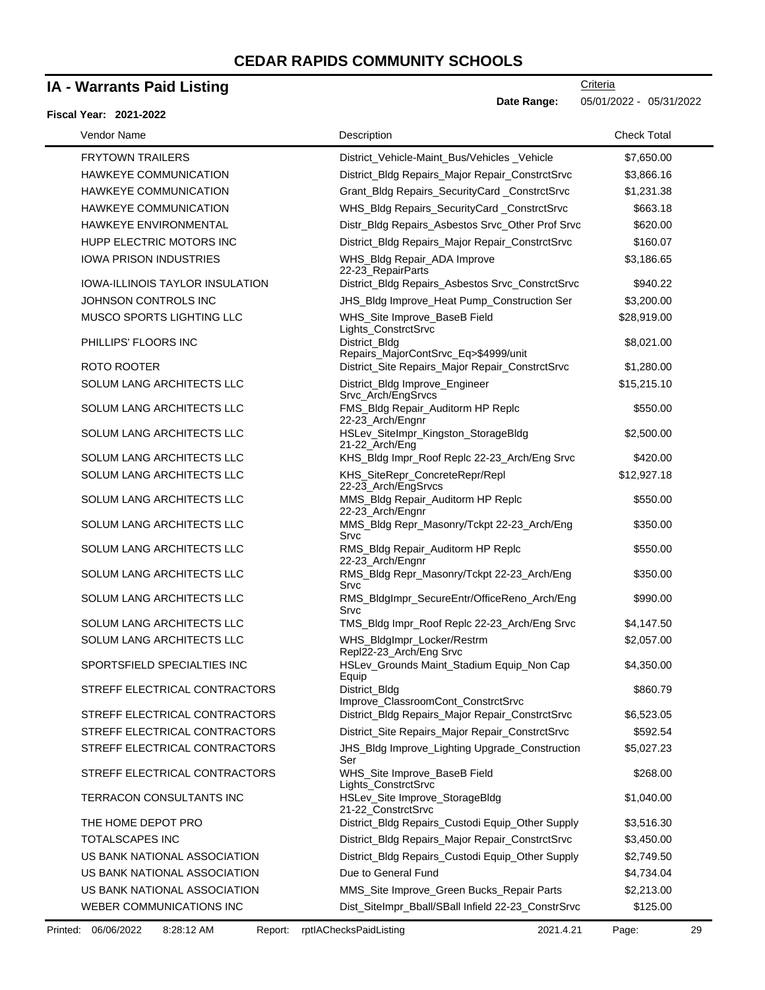### **IA - Warrants Paid Listing**

#### **Fiscal Year: 2021-2022**

| Vendor Name                            | Description                                           | <b>Check Total</b> |
|----------------------------------------|-------------------------------------------------------|--------------------|
| <b>FRYTOWN TRAILERS</b>                | District_Vehicle-Maint_Bus/Vehicles_Vehicle           | \$7,650.00         |
| <b>HAWKEYE COMMUNICATION</b>           | District_Bldg Repairs_Major Repair_ConstrctSrvc       | \$3,866.16         |
| HAWKEYE COMMUNICATION                  | Grant_Bldg Repairs_SecurityCard _ConstrctSrvc         | \$1,231.38         |
| <b>HAWKEYE COMMUNICATION</b>           | WHS_Bldg Repairs_SecurityCard _ConstrctSrvc           | \$663.18           |
| <b>HAWKEYE ENVIRONMENTAL</b>           | Distr_Bldg Repairs_Asbestos Srvc_Other Prof Srvc      | \$620.00           |
| HUPP ELECTRIC MOTORS INC               | District_Bldg Repairs_Major Repair_ConstrctSrvc       | \$160.07           |
| <b>IOWA PRISON INDUSTRIES</b>          | WHS_Bldg Repair_ADA Improve<br>22-23 RepairParts      | \$3,186.65         |
| <b>IOWA-ILLINOIS TAYLOR INSULATION</b> | District_Bldg Repairs_Asbestos Srvc_ConstrctSrvc      | \$940.22           |
| JOHNSON CONTROLS INC                   | JHS_Bldg Improve_Heat Pump_Construction Ser           | \$3,200.00         |
| MUSCO SPORTS LIGHTING LLC              | WHS_Site Improve_BaseB Field<br>Lights_ConstrctSrvc   | \$28,919.00        |
| PHILLIPS' FLOORS INC                   | District_Bldg<br>Repairs_MajorContSrvc_Eq>\$4999/unit | \$8,021.00         |
| ROTO ROOTER                            | District_Site Repairs_Major Repair_ConstrctSrvc       | \$1,280.00         |
| SOLUM LANG ARCHITECTS LLC              | District_Bldg Improve_Engineer<br>Srvc_Arch/EngSrvcs  | \$15,215.10        |
| SOLUM LANG ARCHITECTS LLC              | FMS_Bldg Repair_Auditorm HP Replc<br>22-23_Arch/Engnr | \$550.00           |
| SOLUM LANG ARCHITECTS LLC              | HSLev_SiteImpr_Kingston_StorageBldg<br>21-22_Arch/Eng | \$2,500.00         |
| SOLUM LANG ARCHITECTS LLC              | KHS_Bldg Impr_Roof Replc 22-23_Arch/Eng Srvc          | \$420.00           |
| SOLUM LANG ARCHITECTS LLC              | KHS_SiteRepr_ConcreteRepr/Repl<br>22-23_Arch/EngSrvcs | \$12,927.18        |
| SOLUM LANG ARCHITECTS LLC              | MMS_Bldg Repair_Auditorm HP Replc<br>22-23_Arch/Engnr | \$550.00           |
| SOLUM LANG ARCHITECTS LLC              | MMS_Bldg Repr_Masonry/Tckpt 22-23_Arch/Eng<br>Srvc    | \$350.00           |
| SOLUM LANG ARCHITECTS LLC              | RMS_Bldg Repair_Auditorm HP Replc<br>22-23_Arch/Engnr | \$550.00           |
| SOLUM LANG ARCHITECTS LLC              | RMS_Bldg Repr_Masonry/Tckpt 22-23_Arch/Eng<br>Srvc    | \$350.00           |
| SOLUM LANG ARCHITECTS LLC              | RMS_BldgImpr_SecureEntr/OfficeReno_Arch/Eng<br>Srvc   | \$990.00           |
| SOLUM LANG ARCHITECTS LLC              | TMS_Bldg Impr_Roof Replc 22-23_Arch/Eng Srvc          | \$4,147.50         |
| SOLUM LANG ARCHITECTS LLC              | WHS_BldgImpr_Locker/Restrm<br>Repl22-23_Arch/Eng Srvc | \$2,057.00         |
| SPORTSFIELD SPECIALTIES INC            | HSLev_Grounds Maint_Stadium Equip_Non Cap<br>Equip    | \$4,350.00         |
| STREFF ELECTRICAL CONTRACTORS          | District_Bldg<br>Improve ClassroomCont ConstrctSrvc   | \$860.79           |
| STREFF ELECTRICAL CONTRACTORS          | District_Bldg Repairs_Major Repair_ConstrctSrvc       | \$6,523.05         |
| STREFF ELECTRICAL CONTRACTORS          | District_Site Repairs_Major Repair_ConstrctSrvc       | \$592.54           |
| STREFF ELECTRICAL CONTRACTORS          | JHS_Bldg Improve_Lighting Upgrade_Construction<br>Ser | \$5,027.23         |
| STREFF ELECTRICAL CONTRACTORS          | WHS_Site Improve_BaseB Field<br>Lights_ConstrctSrvc   | \$268.00           |
| TERRACON CONSULTANTS INC               | HSLev_Site Improve_StorageBldg<br>21-22_ConstrctSrvc  | \$1,040.00         |
| THE HOME DEPOT PRO                     | District_Bldg Repairs_Custodi Equip_Other Supply      | \$3,516.30         |
| <b>TOTALSCAPES INC</b>                 | District_Bldg Repairs_Major Repair_ConstrctSrvc       | \$3,450.00         |
| US BANK NATIONAL ASSOCIATION           | District_Bldg Repairs_Custodi Equip_Other Supply      | \$2,749.50         |
| US BANK NATIONAL ASSOCIATION           | Due to General Fund                                   | \$4,734.04         |
| US BANK NATIONAL ASSOCIATION           | MMS_Site Improve_Green Bucks_Repair Parts             | \$2,213.00         |
| WEBER COMMUNICATIONS INC               | Dist_SiteImpr_Bball/SBall Infield 22-23_ConstrSrvc    | \$125.00           |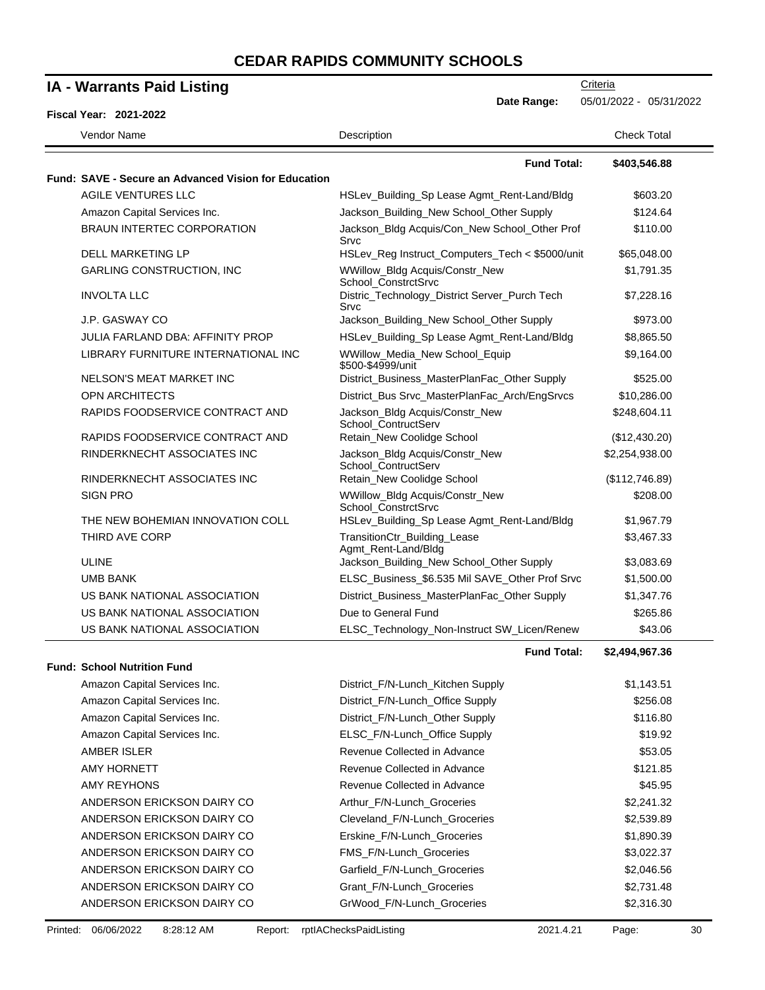| <b>IA - Warrants Paid Listing</b>                           |                                                                              | Criteria                |
|-------------------------------------------------------------|------------------------------------------------------------------------------|-------------------------|
| Fiscal Year: 2021-2022                                      | Date Range:                                                                  | 05/01/2022 - 05/31/2022 |
| Vendor Name                                                 | Description                                                                  | <b>Check Total</b>      |
|                                                             |                                                                              |                         |
| <b>Fund: SAVE - Secure an Advanced Vision for Education</b> | <b>Fund Total:</b>                                                           | \$403,546.88            |
| AGILE VENTURES LLC                                          | HSLev_Building_Sp Lease Agmt_Rent-Land/Bldg                                  | \$603.20                |
| Amazon Capital Services Inc.                                | Jackson_Building_New School_Other Supply                                     | \$124.64                |
| <b>BRAUN INTERTEC CORPORATION</b>                           | Jackson_Bldg Acquis/Con_New School_Other Prof<br>Srvc                        | \$110.00                |
| <b>DELL MARKETING LP</b>                                    | HSLev_Reg Instruct_Computers_Tech < \$5000/unit                              | \$65,048.00             |
| <b>GARLING CONSTRUCTION, INC</b>                            | WWillow_Bldg Acquis/Constr_New                                               | \$1,791.35              |
| <b>INVOLTA LLC</b>                                          | School_ConstrctSrvc<br>Distric_Technology_District Server_Purch Tech<br>Srvc | \$7,228.16              |
| J.P. GASWAY CO                                              | Jackson_Building_New School_Other Supply                                     | \$973.00                |
| <b>JULIA FARLAND DBA: AFFINITY PROP</b>                     | HSLev_Building_Sp Lease Agmt_Rent-Land/Bldg                                  | \$8,865.50              |
| LIBRARY FURNITURE INTERNATIONAL INC                         | WWillow_Media_New School_Equip                                               | \$9,164.00              |
| NELSON'S MEAT MARKET INC                                    | \$500-\$4999/unit<br>District_Business_MasterPlanFac_Other Supply            | \$525.00                |
| <b>OPN ARCHITECTS</b>                                       | District_Bus Srvc_MasterPlanFac_Arch/EngSrvcs                                | \$10,286.00             |
| RAPIDS FOODSERVICE CONTRACT AND                             | Jackson_Bldg Acquis/Constr_New<br>School_ContructServ                        | \$248,604.11            |
| RAPIDS FOODSERVICE CONTRACT AND                             | Retain_New Coolidge School                                                   | (\$12,430.20)           |
| RINDERKNECHT ASSOCIATES INC                                 | Jackson_Bldg Acquis/Constr_New<br>School_ContructServ                        | \$2,254,938.00          |
| RINDERKNECHT ASSOCIATES INC                                 | Retain_New Coolidge School                                                   | (\$112,746.89)          |
| <b>SIGN PRO</b>                                             | WWillow_Bldg Acquis/Constr_New<br>School_ConstrctSrvc                        | \$208.00                |
| THE NEW BOHEMIAN INNOVATION COLL                            | HSLev_Building_Sp Lease Agmt_Rent-Land/Bldg                                  | \$1,967.79              |
| THIRD AVE CORP                                              | TransitionCtr_Building_Lease<br>Agmt_Rent-Land/Bldg                          | \$3,467.33              |
| ULINE                                                       | Jackson_Building_New School_Other Supply                                     | \$3,083.69              |
| UMB BANK                                                    | ELSC_Business_\$6.535 Mil SAVE_Other Prof Srvc                               | \$1,500.00              |
| US BANK NATIONAL ASSOCIATION                                | District_Business_MasterPlanFac_Other Supply                                 | \$1,347.76              |
| US BANK NATIONAL ASSOCIATION                                | Due to General Fund                                                          | \$265.86                |
| US BANK NATIONAL ASSOCIATION                                | ELSC_Technology_Non-Instruct SW_Licen/Renew                                  | \$43.06                 |
| <b>Fund: School Nutrition Fund</b>                          | <b>Fund Total:</b>                                                           | \$2,494,967.36          |
| Amazon Capital Services Inc.                                | District_F/N-Lunch_Kitchen Supply                                            | \$1,143.51              |
| Amazon Capital Services Inc.                                | District_F/N-Lunch_Office Supply                                             | \$256.08                |
| Amazon Capital Services Inc.                                | District_F/N-Lunch_Other Supply                                              | \$116.80                |
| Amazon Capital Services Inc.                                | ELSC_F/N-Lunch_Office Supply                                                 | \$19.92                 |
| AMBER ISLER                                                 | Revenue Collected in Advance                                                 | \$53.05                 |
| <b>AMY HORNETT</b>                                          | Revenue Collected in Advance                                                 | \$121.85                |
| <b>AMY REYHONS</b>                                          | Revenue Collected in Advance                                                 | \$45.95                 |
| ANDERSON ERICKSON DAIRY CO                                  | Arthur_F/N-Lunch_Groceries                                                   | \$2,241.32              |
| ANDERSON ERICKSON DAIRY CO                                  | Cleveland_F/N-Lunch_Groceries                                                | \$2,539.89              |
| ANDERSON ERICKSON DAIRY CO                                  | Erskine_F/N-Lunch_Groceries                                                  | \$1,890.39              |
| ANDERSON ERICKSON DAIRY CO                                  | FMS_F/N-Lunch_Groceries                                                      | \$3,022.37              |
| ANDERSON ERICKSON DAIRY CO                                  | Garfield_F/N-Lunch_Groceries                                                 | \$2,046.56              |
| ANDERSON ERICKSON DAIRY CO                                  | Grant_F/N-Lunch_Groceries                                                    | \$2,731.48              |

ANDERSON ERICKSON DAIRY CO GrWood\_F/N-Lunch\_Groceries \$2,316.30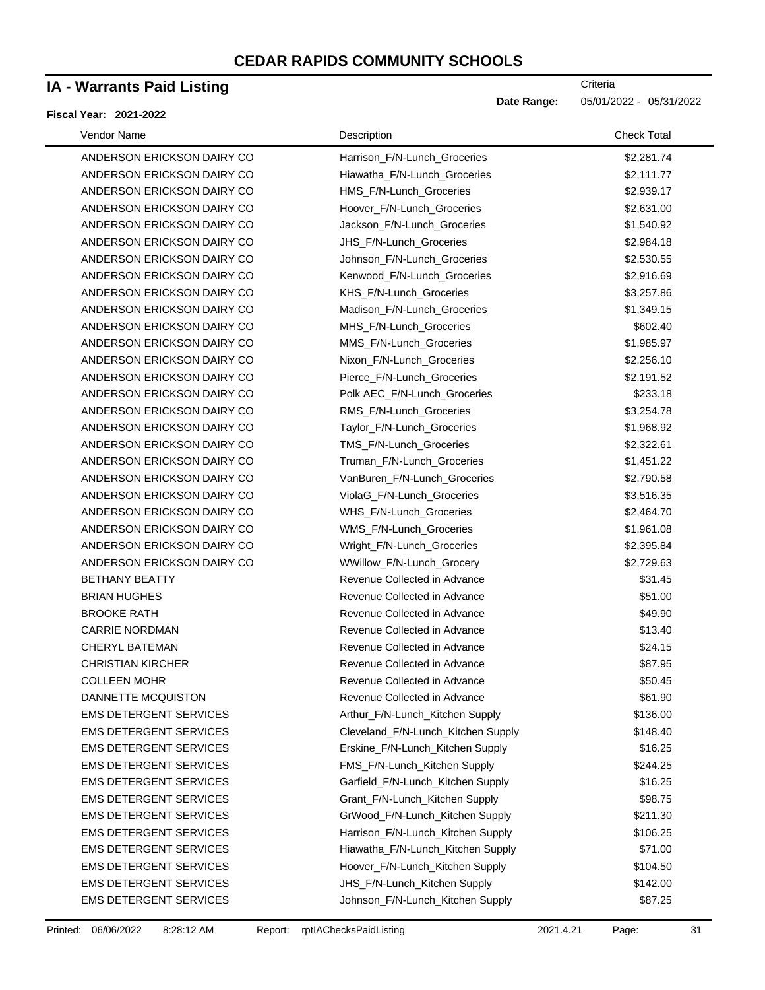### **IA - Warrants Paid Listing**

#### **Fiscal Year: 2021-2022**

| Vendor Name                   | Description                        | <b>Check Total</b> |
|-------------------------------|------------------------------------|--------------------|
| ANDERSON ERICKSON DAIRY CO    | Harrison_F/N-Lunch_Groceries       | \$2,281.74         |
| ANDERSON ERICKSON DAIRY CO    | Hiawatha_F/N-Lunch_Groceries       | \$2,111.77         |
| ANDERSON ERICKSON DAIRY CO    | HMS_F/N-Lunch_Groceries            | \$2,939.17         |
| ANDERSON ERICKSON DAIRY CO    | Hoover_F/N-Lunch_Groceries         | \$2,631.00         |
| ANDERSON ERICKSON DAIRY CO    | Jackson_F/N-Lunch_Groceries        | \$1,540.92         |
| ANDERSON ERICKSON DAIRY CO    | JHS_F/N-Lunch_Groceries            | \$2,984.18         |
| ANDERSON ERICKSON DAIRY CO    | Johnson F/N-Lunch Groceries        | \$2,530.55         |
| ANDERSON ERICKSON DAIRY CO    | Kenwood_F/N-Lunch_Groceries        | \$2,916.69         |
| ANDERSON ERICKSON DAIRY CO    | KHS F/N-Lunch Groceries            | \$3,257.86         |
| ANDERSON ERICKSON DAIRY CO    | Madison_F/N-Lunch_Groceries        | \$1,349.15         |
| ANDERSON ERICKSON DAIRY CO    | MHS_F/N-Lunch_Groceries            | \$602.40           |
| ANDERSON ERICKSON DAIRY CO    | MMS_F/N-Lunch_Groceries            | \$1,985.97         |
| ANDERSON ERICKSON DAIRY CO    | Nixon_F/N-Lunch_Groceries          | \$2,256.10         |
| ANDERSON ERICKSON DAIRY CO    | Pierce_F/N-Lunch_Groceries         | \$2,191.52         |
| ANDERSON ERICKSON DAIRY CO    | Polk AEC_F/N-Lunch_Groceries       | \$233.18           |
| ANDERSON ERICKSON DAIRY CO    | RMS_F/N-Lunch_Groceries            | \$3,254.78         |
| ANDERSON ERICKSON DAIRY CO    | Taylor_F/N-Lunch_Groceries         | \$1,968.92         |
| ANDERSON ERICKSON DAIRY CO    | TMS_F/N-Lunch_Groceries            | \$2,322.61         |
| ANDERSON ERICKSON DAIRY CO    | Truman_F/N-Lunch_Groceries         | \$1,451.22         |
| ANDERSON ERICKSON DAIRY CO    | VanBuren_F/N-Lunch_Groceries       | \$2,790.58         |
| ANDERSON ERICKSON DAIRY CO    | ViolaG_F/N-Lunch_Groceries         | \$3,516.35         |
| ANDERSON ERICKSON DAIRY CO    | WHS_F/N-Lunch_Groceries            | \$2,464.70         |
| ANDERSON ERICKSON DAIRY CO    | WMS_F/N-Lunch_Groceries            | \$1,961.08         |
| ANDERSON ERICKSON DAIRY CO    | Wright_F/N-Lunch_Groceries         | \$2,395.84         |
| ANDERSON ERICKSON DAIRY CO    | WWillow_F/N-Lunch_Grocery          | \$2,729.63         |
| <b>BETHANY BEATTY</b>         | Revenue Collected in Advance       | \$31.45            |
| <b>BRIAN HUGHES</b>           | Revenue Collected in Advance       | \$51.00            |
| <b>BROOKE RATH</b>            | Revenue Collected in Advance       | \$49.90            |
| <b>CARRIE NORDMAN</b>         | Revenue Collected in Advance       | \$13.40            |
| <b>CHERYL BATEMAN</b>         | Revenue Collected in Advance       | \$24.15            |
| <b>CHRISTIAN KIRCHER</b>      | Revenue Collected in Advance       | \$87.95            |
| <b>COLLEEN MOHR</b>           | Revenue Collected in Advance       | \$50.45            |
| DANNETTE MCQUISTON            | Revenue Collected in Advance       | \$61.90            |
| <b>EMS DETERGENT SERVICES</b> | Arthur_F/N-Lunch_Kitchen Supply    | \$136.00           |
| <b>EMS DETERGENT SERVICES</b> | Cleveland_F/N-Lunch_Kitchen Supply | \$148.40           |
| <b>EMS DETERGENT SERVICES</b> | Erskine_F/N-Lunch_Kitchen Supply   | \$16.25            |
| <b>EMS DETERGENT SERVICES</b> | FMS_F/N-Lunch_Kitchen Supply       | \$244.25           |
| <b>EMS DETERGENT SERVICES</b> | Garfield_F/N-Lunch_Kitchen Supply  | \$16.25            |
| <b>EMS DETERGENT SERVICES</b> | Grant_F/N-Lunch_Kitchen Supply     | \$98.75            |
| <b>EMS DETERGENT SERVICES</b> | GrWood_F/N-Lunch_Kitchen Supply    | \$211.30           |
| <b>EMS DETERGENT SERVICES</b> | Harrison_F/N-Lunch_Kitchen Supply  | \$106.25           |
| <b>EMS DETERGENT SERVICES</b> | Hiawatha_F/N-Lunch_Kitchen Supply  | \$71.00            |
| <b>EMS DETERGENT SERVICES</b> | Hoover_F/N-Lunch_Kitchen Supply    | \$104.50           |
| <b>EMS DETERGENT SERVICES</b> | JHS_F/N-Lunch_Kitchen Supply       | \$142.00           |
| <b>EMS DETERGENT SERVICES</b> | Johnson_F/N-Lunch_Kitchen Supply   | \$87.25            |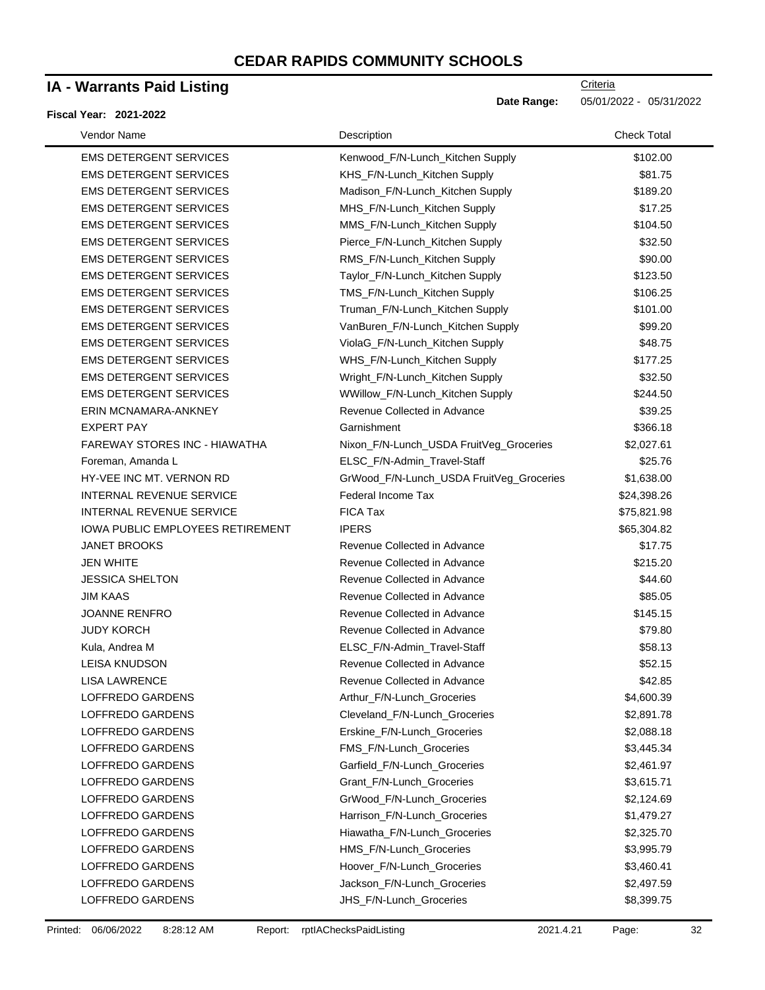### **IA - Warrants Paid Listing**

#### **Fiscal Year: 2021-2022**

| <b>Vendor Name</b>                      | Description                              | <b>Check Total</b> |
|-----------------------------------------|------------------------------------------|--------------------|
| <b>EMS DETERGENT SERVICES</b>           | Kenwood_F/N-Lunch_Kitchen Supply         | \$102.00           |
| <b>EMS DETERGENT SERVICES</b>           | KHS_F/N-Lunch_Kitchen Supply             | \$81.75            |
| <b>EMS DETERGENT SERVICES</b>           | Madison_F/N-Lunch_Kitchen Supply         | \$189.20           |
| <b>EMS DETERGENT SERVICES</b>           | MHS_F/N-Lunch_Kitchen Supply             | \$17.25            |
| <b>EMS DETERGENT SERVICES</b>           | MMS_F/N-Lunch_Kitchen Supply             | \$104.50           |
| <b>EMS DETERGENT SERVICES</b>           | Pierce_F/N-Lunch_Kitchen Supply          | \$32.50            |
| <b>EMS DETERGENT SERVICES</b>           | RMS_F/N-Lunch_Kitchen Supply             | \$90.00            |
| <b>EMS DETERGENT SERVICES</b>           | Taylor_F/N-Lunch_Kitchen Supply          | \$123.50           |
| <b>EMS DETERGENT SERVICES</b>           | TMS_F/N-Lunch_Kitchen Supply             | \$106.25           |
| <b>EMS DETERGENT SERVICES</b>           | Truman_F/N-Lunch_Kitchen Supply          | \$101.00           |
| <b>EMS DETERGENT SERVICES</b>           | VanBuren_F/N-Lunch_Kitchen Supply        | \$99.20            |
| <b>EMS DETERGENT SERVICES</b>           | ViolaG_F/N-Lunch_Kitchen Supply          | \$48.75            |
| <b>EMS DETERGENT SERVICES</b>           | WHS_F/N-Lunch_Kitchen Supply             | \$177.25           |
| <b>EMS DETERGENT SERVICES</b>           | Wright_F/N-Lunch_Kitchen Supply          | \$32.50            |
| <b>EMS DETERGENT SERVICES</b>           | WWillow_F/N-Lunch_Kitchen Supply         | \$244.50           |
| ERIN MCNAMARA-ANKNEY                    | Revenue Collected in Advance             | \$39.25            |
| <b>EXPERT PAY</b>                       | Garnishment                              | \$366.18           |
| FAREWAY STORES INC - HIAWATHA           | Nixon_F/N-Lunch_USDA FruitVeg_Groceries  | \$2,027.61         |
| Foreman, Amanda L                       | ELSC_F/N-Admin_Travel-Staff              | \$25.76            |
| HY-VEE INC MT. VERNON RD                | GrWood_F/N-Lunch_USDA FruitVeg_Groceries | \$1,638.00         |
| <b>INTERNAL REVENUE SERVICE</b>         | Federal Income Tax                       | \$24,398.26        |
| <b>INTERNAL REVENUE SERVICE</b>         | <b>FICA Tax</b>                          | \$75,821.98        |
| <b>IOWA PUBLIC EMPLOYEES RETIREMENT</b> | <b>IPERS</b>                             | \$65,304.82        |
| <b>JANET BROOKS</b>                     | Revenue Collected in Advance             | \$17.75            |
| <b>JEN WHITE</b>                        | Revenue Collected in Advance             | \$215.20           |
| <b>JESSICA SHELTON</b>                  | Revenue Collected in Advance             | \$44.60            |
| <b>JIM KAAS</b>                         | Revenue Collected in Advance             | \$85.05            |
| <b>JOANNE RENFRO</b>                    | Revenue Collected in Advance             | \$145.15           |
| <b>JUDY KORCH</b>                       | Revenue Collected in Advance             | \$79.80            |
| Kula, Andrea M                          | ELSC_F/N-Admin_Travel-Staff              | \$58.13            |
| <b>LEISA KNUDSON</b>                    | Revenue Collected in Advance             | \$52.15            |
| <b>LISA LAWRENCE</b>                    | Revenue Collected in Advance             | \$42.85            |
| LOFFREDO GARDENS                        | Arthur_F/N-Lunch_Groceries               | \$4,600.39         |
| LOFFREDO GARDENS                        | Cleveland_F/N-Lunch_Groceries            | \$2,891.78         |
| LOFFREDO GARDENS                        | Erskine_F/N-Lunch_Groceries              | \$2,088.18         |
| LOFFREDO GARDENS                        | FMS_F/N-Lunch_Groceries                  | \$3,445.34         |
| LOFFREDO GARDENS                        | Garfield_F/N-Lunch_Groceries             | \$2,461.97         |
| LOFFREDO GARDENS                        | Grant_F/N-Lunch_Groceries                | \$3,615.71         |
| LOFFREDO GARDENS                        | GrWood_F/N-Lunch_Groceries               | \$2,124.69         |
| <b>LOFFREDO GARDENS</b>                 | Harrison_F/N-Lunch_Groceries             | \$1,479.27         |
| LOFFREDO GARDENS                        | Hiawatha_F/N-Lunch_Groceries             | \$2,325.70         |
| LOFFREDO GARDENS                        | HMS_F/N-Lunch_Groceries                  | \$3,995.79         |
| LOFFREDO GARDENS                        | Hoover_F/N-Lunch_Groceries               | \$3,460.41         |
| LOFFREDO GARDENS                        | Jackson_F/N-Lunch_Groceries              | \$2,497.59         |
| LOFFREDO GARDENS                        | JHS_F/N-Lunch_Groceries                  | \$8,399.75         |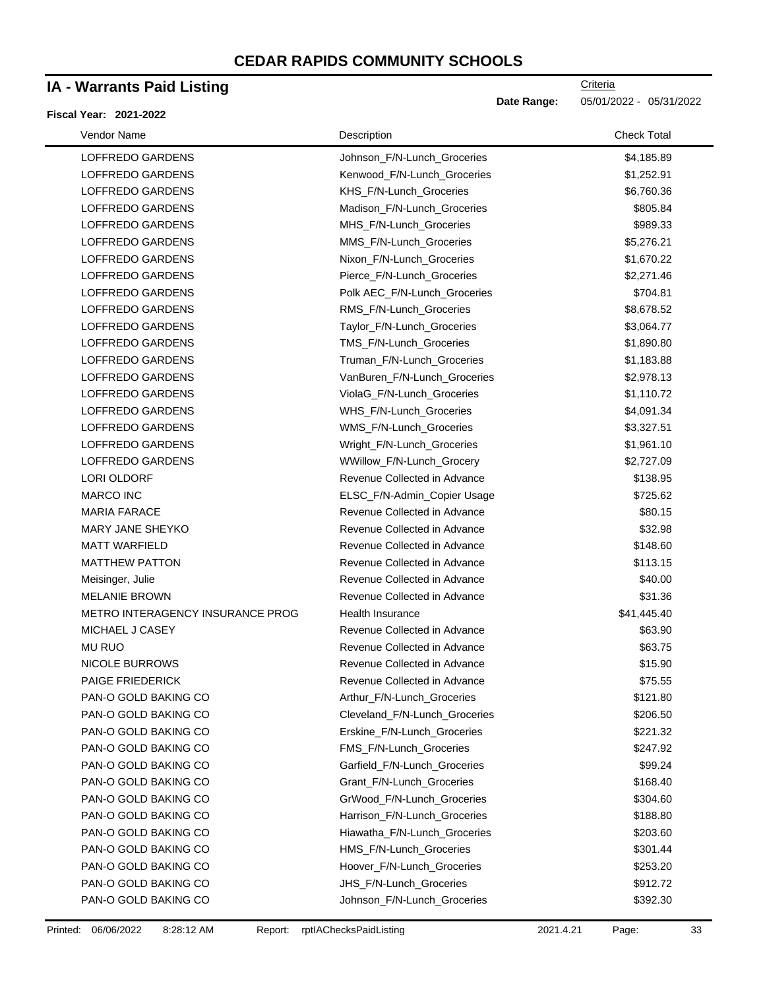### **IA - Warrants Paid Listing**

#### **Fiscal Year: 2021-2022**

| Vendor Name             |                                         | Description                   | <b>Check Total</b> |
|-------------------------|-----------------------------------------|-------------------------------|--------------------|
| LOFFREDO GARDENS        |                                         | Johnson_F/N-Lunch_Groceries   | \$4,185.89         |
| LOFFREDO GARDENS        |                                         | Kenwood_F/N-Lunch_Groceries   | \$1,252.91         |
| LOFFREDO GARDENS        |                                         | KHS_F/N-Lunch_Groceries       | \$6,760.36         |
| LOFFREDO GARDENS        |                                         | Madison_F/N-Lunch_Groceries   | \$805.84           |
| LOFFREDO GARDENS        |                                         | MHS_F/N-Lunch_Groceries       | \$989.33           |
| LOFFREDO GARDENS        |                                         | MMS_F/N-Lunch_Groceries       | \$5,276.21         |
| LOFFREDO GARDENS        |                                         | Nixon_F/N-Lunch_Groceries     | \$1,670.22         |
| LOFFREDO GARDENS        |                                         | Pierce_F/N-Lunch_Groceries    | \$2,271.46         |
| LOFFREDO GARDENS        |                                         | Polk AEC F/N-Lunch Groceries  | \$704.81           |
| LOFFREDO GARDENS        |                                         | RMS_F/N-Lunch_Groceries       | \$8,678.52         |
| LOFFREDO GARDENS        |                                         | Taylor_F/N-Lunch_Groceries    | \$3,064.77         |
| LOFFREDO GARDENS        |                                         | TMS_F/N-Lunch_Groceries       | \$1,890.80         |
| LOFFREDO GARDENS        |                                         | Truman_F/N-Lunch_Groceries    | \$1,183.88         |
| LOFFREDO GARDENS        |                                         | VanBuren_F/N-Lunch_Groceries  | \$2,978.13         |
| LOFFREDO GARDENS        |                                         | ViolaG_F/N-Lunch_Groceries    | \$1,110.72         |
| <b>LOFFREDO GARDENS</b> |                                         | WHS_F/N-Lunch_Groceries       | \$4,091.34         |
| LOFFREDO GARDENS        |                                         | WMS_F/N-Lunch_Groceries       | \$3,327.51         |
| LOFFREDO GARDENS        |                                         | Wright_F/N-Lunch_Groceries    | \$1,961.10         |
| LOFFREDO GARDENS        |                                         | WWillow_F/N-Lunch_Grocery     | \$2,727.09         |
| LORI OLDORF             |                                         | Revenue Collected in Advance  | \$138.95           |
| <b>MARCO INC</b>        |                                         | ELSC_F/N-Admin_Copier Usage   | \$725.62           |
| <b>MARIA FARACE</b>     |                                         | Revenue Collected in Advance  | \$80.15            |
| MARY JANE SHEYKO        |                                         | Revenue Collected in Advance  | \$32.98            |
| <b>MATT WARFIELD</b>    |                                         | Revenue Collected in Advance  | \$148.60           |
| <b>MATTHEW PATTON</b>   |                                         | Revenue Collected in Advance  | \$113.15           |
| Meisinger, Julie        |                                         | Revenue Collected in Advance  | \$40.00            |
| <b>MELANIE BROWN</b>    |                                         | Revenue Collected in Advance  | \$31.36            |
|                         | <b>METRO INTERAGENCY INSURANCE PROG</b> | Health Insurance              | \$41,445.40        |
| MICHAEL J CASEY         |                                         | Revenue Collected in Advance  | \$63.90            |
| <b>MU RUO</b>           |                                         | Revenue Collected in Advance  | \$63.75            |
| NICOLE BURROWS          |                                         | Revenue Collected in Advance  | \$15.90            |
| <b>PAIGE FRIEDERICK</b> |                                         | Revenue Collected in Advance  | \$75.55            |
| PAN-O GOLD BAKING CO    |                                         | Arthur_F/N-Lunch_Groceries    | \$121.80           |
| PAN-O GOLD BAKING CO    |                                         | Cleveland_F/N-Lunch_Groceries | \$206.50           |
| PAN-O GOLD BAKING CO    |                                         | Erskine F/N-Lunch Groceries   | \$221.32           |
| PAN-O GOLD BAKING CO    |                                         | FMS_F/N-Lunch_Groceries       | \$247.92           |
| PAN-O GOLD BAKING CO    |                                         | Garfield_F/N-Lunch_Groceries  | \$99.24            |
| PAN-O GOLD BAKING CO    |                                         | Grant_F/N-Lunch_Groceries     | \$168.40           |
| PAN-O GOLD BAKING CO    |                                         | GrWood_F/N-Lunch_Groceries    | \$304.60           |
| PAN-O GOLD BAKING CO    |                                         | Harrison_F/N-Lunch_Groceries  | \$188.80           |
| PAN-O GOLD BAKING CO    |                                         | Hiawatha_F/N-Lunch_Groceries  | \$203.60           |
| PAN-O GOLD BAKING CO    |                                         | HMS_F/N-Lunch_Groceries       | \$301.44           |
| PAN-O GOLD BAKING CO    |                                         | Hoover_F/N-Lunch_Groceries    | \$253.20           |
| PAN-O GOLD BAKING CO    |                                         | JHS_F/N-Lunch_Groceries       | \$912.72           |
| PAN-O GOLD BAKING CO    |                                         | Johnson_F/N-Lunch_Groceries   | \$392.30           |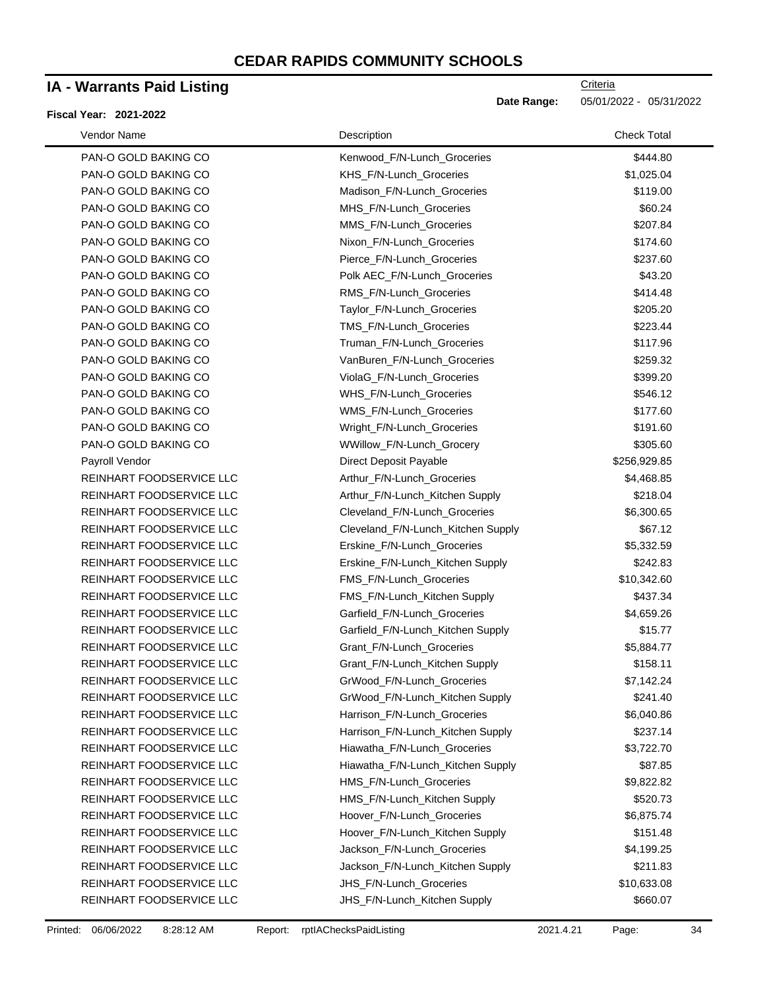### **IA - Warrants Paid Listing**

#### **Fiscal Year: 2021-2022**

| Vendor Name              | Description                        | <b>Check Total</b> |
|--------------------------|------------------------------------|--------------------|
| PAN-O GOLD BAKING CO     | Kenwood F/N-Lunch Groceries        | \$444.80           |
| PAN-O GOLD BAKING CO     | KHS_F/N-Lunch_Groceries            | \$1,025.04         |
| PAN-O GOLD BAKING CO     | Madison_F/N-Lunch_Groceries        | \$119.00           |
| PAN-O GOLD BAKING CO     | MHS_F/N-Lunch_Groceries            | \$60.24            |
| PAN-O GOLD BAKING CO     | MMS_F/N-Lunch_Groceries            | \$207.84           |
| PAN-O GOLD BAKING CO     | Nixon_F/N-Lunch_Groceries          | \$174.60           |
| PAN-O GOLD BAKING CO     | Pierce_F/N-Lunch_Groceries         | \$237.60           |
| PAN-O GOLD BAKING CO     | Polk AEC_F/N-Lunch_Groceries       | \$43.20            |
| PAN-O GOLD BAKING CO     | RMS_F/N-Lunch_Groceries            | \$414.48           |
| PAN-O GOLD BAKING CO     | Taylor_F/N-Lunch_Groceries         | \$205.20           |
| PAN-O GOLD BAKING CO     | TMS_F/N-Lunch_Groceries            | \$223.44           |
| PAN-O GOLD BAKING CO     | Truman_F/N-Lunch_Groceries         | \$117.96           |
| PAN-O GOLD BAKING CO     | VanBuren_F/N-Lunch_Groceries       | \$259.32           |
| PAN-O GOLD BAKING CO     | ViolaG_F/N-Lunch_Groceries         | \$399.20           |
| PAN-O GOLD BAKING CO     | WHS_F/N-Lunch_Groceries            | \$546.12           |
| PAN-O GOLD BAKING CO     | WMS_F/N-Lunch_Groceries            | \$177.60           |
| PAN-O GOLD BAKING CO     | Wright F/N-Lunch Groceries         | \$191.60           |
| PAN-O GOLD BAKING CO     | WWillow_F/N-Lunch_Grocery          | \$305.60           |
| Payroll Vendor           | <b>Direct Deposit Payable</b>      | \$256,929.85       |
| REINHART FOODSERVICE LLC | Arthur_F/N-Lunch_Groceries         | \$4,468.85         |
| REINHART FOODSERVICE LLC | Arthur_F/N-Lunch_Kitchen Supply    | \$218.04           |
| REINHART FOODSERVICE LLC | Cleveland_F/N-Lunch_Groceries      | \$6,300.65         |
| REINHART FOODSERVICE LLC | Cleveland_F/N-Lunch_Kitchen Supply | \$67.12            |
| REINHART FOODSERVICE LLC | Erskine_F/N-Lunch_Groceries        | \$5,332.59         |
| REINHART FOODSERVICE LLC | Erskine_F/N-Lunch_Kitchen Supply   | \$242.83           |
| REINHART FOODSERVICE LLC | FMS_F/N-Lunch_Groceries            | \$10,342.60        |
| REINHART FOODSERVICE LLC | FMS_F/N-Lunch_Kitchen Supply       | \$437.34           |
| REINHART FOODSERVICE LLC | Garfield_F/N-Lunch_Groceries       | \$4,659.26         |
| REINHART FOODSERVICE LLC | Garfield_F/N-Lunch_Kitchen Supply  | \$15.77            |
| REINHART FOODSERVICE LLC | Grant_F/N-Lunch_Groceries          | \$5,884.77         |
| REINHART FOODSERVICE LLC | Grant_F/N-Lunch_Kitchen Supply     | \$158.11           |
| REINHART FOODSERVICE LLC | GrWood F/N-Lunch Groceries         | \$7,142.24         |
| REINHART FOODSERVICE LLC | GrWood_F/N-Lunch_Kitchen Supply    | \$241.40           |
| REINHART FOODSERVICE LLC | Harrison_F/N-Lunch_Groceries       | \$6,040.86         |
| REINHART FOODSERVICE LLC | Harrison_F/N-Lunch_Kitchen Supply  | \$237.14           |
| REINHART FOODSERVICE LLC | Hiawatha_F/N-Lunch_Groceries       | \$3,722.70         |
| REINHART FOODSERVICE LLC | Hiawatha_F/N-Lunch_Kitchen Supply  | \$87.85            |
| REINHART FOODSERVICE LLC | HMS_F/N-Lunch_Groceries            | \$9,822.82         |
| REINHART FOODSERVICE LLC | HMS_F/N-Lunch_Kitchen Supply       | \$520.73           |
| REINHART FOODSERVICE LLC | Hoover_F/N-Lunch_Groceries         | \$6,875.74         |
| REINHART FOODSERVICE LLC | Hoover_F/N-Lunch_Kitchen Supply    | \$151.48           |
| REINHART FOODSERVICE LLC | Jackson_F/N-Lunch_Groceries        | \$4,199.25         |
| REINHART FOODSERVICE LLC | Jackson_F/N-Lunch_Kitchen Supply   | \$211.83           |
| REINHART FOODSERVICE LLC | JHS_F/N-Lunch_Groceries            | \$10,633.08        |
| REINHART FOODSERVICE LLC | JHS_F/N-Lunch_Kitchen Supply       | \$660.07           |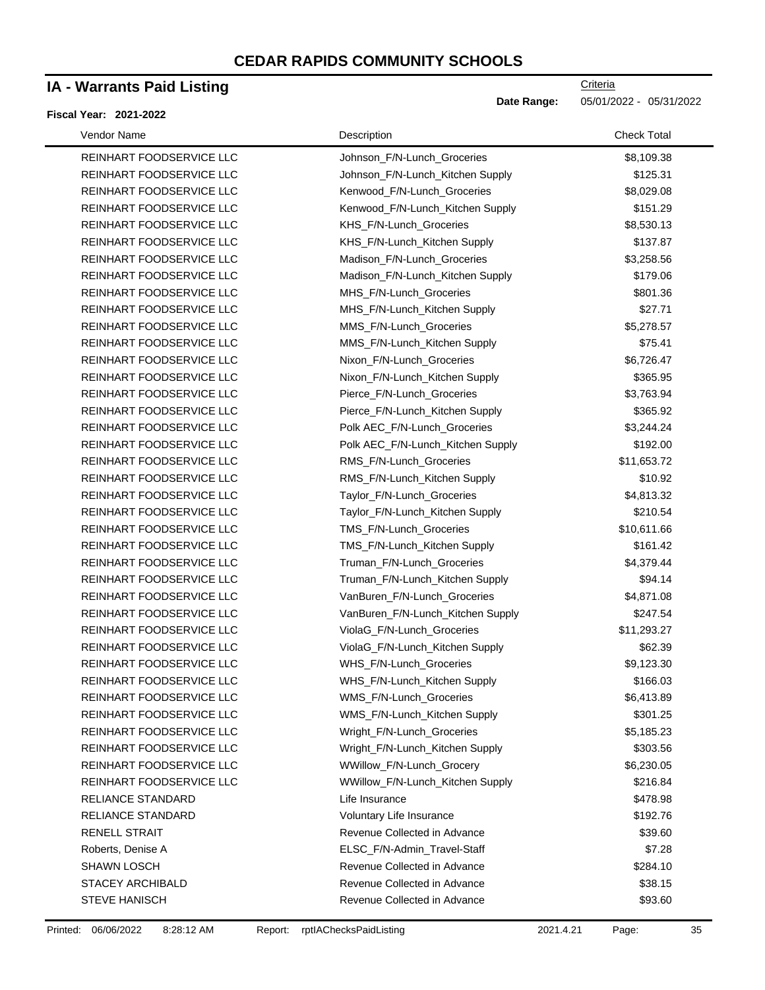### **IA - Warrants Paid Listing**

#### **Fiscal Year: 2021-2022**

**Criteria** 

**Date Range:** 05/01/2022 - 05/31/2022

| Vendor Name              | Description                       | <b>Check Total</b> |
|--------------------------|-----------------------------------|--------------------|
| REINHART FOODSERVICE LLC | Johnson_F/N-Lunch_Groceries       | \$8,109.38         |
| REINHART FOODSERVICE LLC | Johnson_F/N-Lunch_Kitchen Supply  | \$125.31           |
| REINHART FOODSERVICE LLC | Kenwood_F/N-Lunch_Groceries       | \$8,029.08         |
| REINHART FOODSERVICE LLC | Kenwood_F/N-Lunch_Kitchen Supply  | \$151.29           |
| REINHART FOODSERVICE LLC | KHS_F/N-Lunch_Groceries           | \$8,530.13         |
| REINHART FOODSERVICE LLC | KHS_F/N-Lunch_Kitchen Supply      | \$137.87           |
| REINHART FOODSERVICE LLC | Madison_F/N-Lunch_Groceries       | \$3,258.56         |
| REINHART FOODSERVICE LLC | Madison_F/N-Lunch_Kitchen Supply  | \$179.06           |
| REINHART FOODSERVICE LLC | MHS_F/N-Lunch_Groceries           | \$801.36           |
| REINHART FOODSERVICE LLC | MHS_F/N-Lunch_Kitchen Supply      | \$27.71            |
| REINHART FOODSERVICE LLC | MMS_F/N-Lunch_Groceries           | \$5,278.57         |
| REINHART FOODSERVICE LLC | MMS_F/N-Lunch_Kitchen Supply      | \$75.41            |
| REINHART FOODSERVICE LLC | Nixon_F/N-Lunch_Groceries         | \$6,726.47         |
| REINHART FOODSERVICE LLC | Nixon_F/N-Lunch_Kitchen Supply    | \$365.95           |
| REINHART FOODSERVICE LLC | Pierce_F/N-Lunch_Groceries        | \$3,763.94         |
| REINHART FOODSERVICE LLC | Pierce_F/N-Lunch_Kitchen Supply   | \$365.92           |
| REINHART FOODSERVICE LLC | Polk AEC_F/N-Lunch_Groceries      | \$3,244.24         |
| REINHART FOODSERVICE LLC | Polk AEC_F/N-Lunch_Kitchen Supply | \$192.00           |
| REINHART FOODSERVICE LLC | RMS_F/N-Lunch_Groceries           | \$11,653.72        |
| REINHART FOODSERVICE LLC | RMS_F/N-Lunch_Kitchen Supply      | \$10.92            |
| REINHART FOODSERVICE LLC | Taylor_F/N-Lunch_Groceries        | \$4,813.32         |
| REINHART FOODSERVICE LLC | Taylor_F/N-Lunch_Kitchen Supply   | \$210.54           |
| REINHART FOODSERVICE LLC | TMS_F/N-Lunch_Groceries           | \$10,611.66        |
| REINHART FOODSERVICE LLC | TMS_F/N-Lunch_Kitchen Supply      | \$161.42           |
| REINHART FOODSERVICE LLC | Truman_F/N-Lunch_Groceries        | \$4,379.44         |
| REINHART FOODSERVICE LLC | Truman_F/N-Lunch_Kitchen Supply   | \$94.14            |
| REINHART FOODSERVICE LLC | VanBuren_F/N-Lunch_Groceries      | \$4,871.08         |
| REINHART FOODSERVICE LLC | VanBuren_F/N-Lunch_Kitchen Supply | \$247.54           |
| REINHART FOODSERVICE LLC | ViolaG_F/N-Lunch_Groceries        | \$11,293.27        |
| REINHART FOODSERVICE LLC | ViolaG_F/N-Lunch_Kitchen Supply   | \$62.39            |
| REINHART FOODSERVICE LLC | WHS_F/N-Lunch_Groceries           | \$9,123.30         |
| REINHART FOODSERVICE LLC | WHS_F/N-Lunch_Kitchen Supply      | \$166.03           |
| REINHART FOODSERVICE LLC | WMS F/N-Lunch Groceries           | \$6,413.89         |
| REINHART FOODSERVICE LLC | WMS_F/N-Lunch_Kitchen Supply      | \$301.25           |
| REINHART FOODSERVICE LLC | Wright_F/N-Lunch_Groceries        | \$5,185.23         |
| REINHART FOODSERVICE LLC | Wright_F/N-Lunch_Kitchen Supply   | \$303.56           |
| REINHART FOODSERVICE LLC | WWillow_F/N-Lunch_Grocery         | \$6,230.05         |
| REINHART FOODSERVICE LLC | WWillow_F/N-Lunch_Kitchen Supply  | \$216.84           |
| <b>RELIANCE STANDARD</b> | Life Insurance                    | \$478.98           |
| RELIANCE STANDARD        | Voluntary Life Insurance          | \$192.76           |
| <b>RENELL STRAIT</b>     | Revenue Collected in Advance      | \$39.60            |
| Roberts, Denise A        | ELSC_F/N-Admin_Travel-Staff       | \$7.28             |
| <b>SHAWN LOSCH</b>       | Revenue Collected in Advance      | \$284.10           |
| <b>STACEY ARCHIBALD</b>  | Revenue Collected in Advance      | \$38.15            |
| <b>STEVE HANISCH</b>     | Revenue Collected in Advance      | \$93.60            |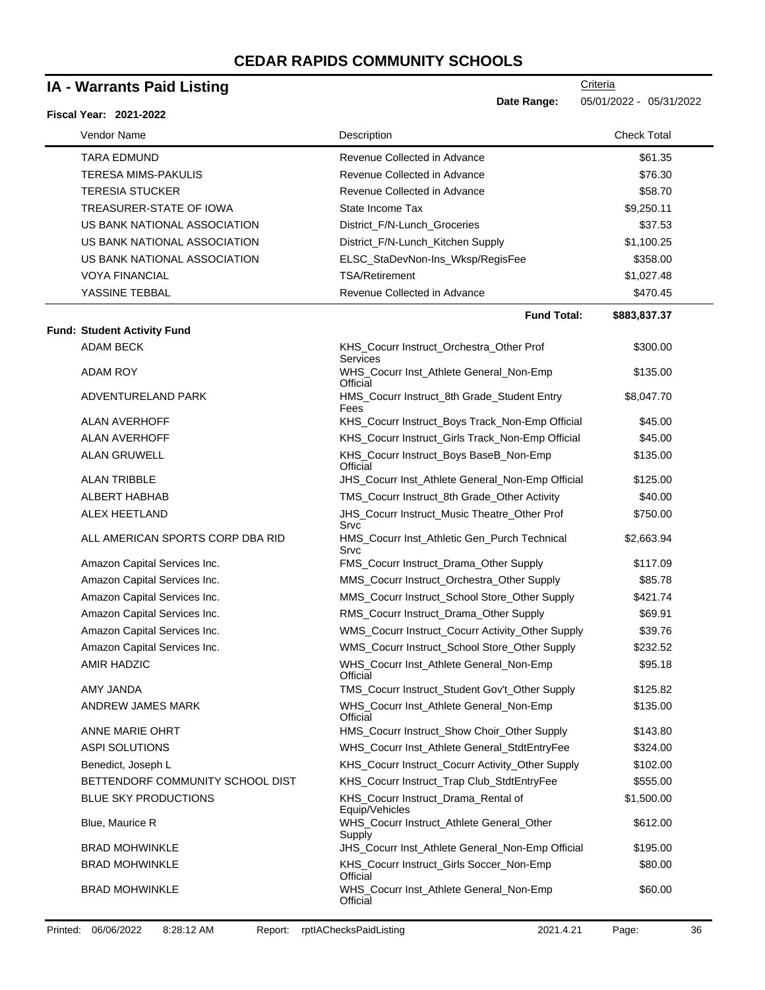| <b>IA - Warrants Paid Listing</b>  |                                                       | <b>Criteria</b>         |  |
|------------------------------------|-------------------------------------------------------|-------------------------|--|
| Fiscal Year: 2021-2022             | Date Range:                                           | 05/01/2022 - 05/31/2022 |  |
| Vendor Name                        | Description                                           | <b>Check Total</b>      |  |
| <b>TARA EDMUND</b>                 | Revenue Collected in Advance                          | \$61.35                 |  |
| <b>TERESA MIMS-PAKULIS</b>         | Revenue Collected in Advance                          | \$76.30                 |  |
| <b>TERESIA STUCKER</b>             | Revenue Collected in Advance                          | \$58.70                 |  |
| TREASURER-STATE OF IOWA            | State Income Tax                                      | \$9,250.11              |  |
| US BANK NATIONAL ASSOCIATION       | District_F/N-Lunch_Groceries                          | \$37.53                 |  |
| US BANK NATIONAL ASSOCIATION       | District_F/N-Lunch_Kitchen Supply                     | \$1,100.25              |  |
| US BANK NATIONAL ASSOCIATION       | ELSC_StaDevNon-Ins_Wksp/RegisFee                      | \$358.00                |  |
| <b>VOYA FINANCIAL</b>              | <b>TSA/Retirement</b>                                 | \$1,027.48              |  |
| YASSINE TEBBAL                     | Revenue Collected in Advance                          | \$470.45                |  |
|                                    | <b>Fund Total:</b>                                    | \$883,837.37            |  |
| <b>Fund: Student Activity Fund</b> |                                                       |                         |  |
| <b>ADAM BECK</b>                   | KHS_Cocurr Instruct_Orchestra_Other Prof<br>Services  | \$300.00                |  |
| ADAM ROY                           | WHS_Cocurr Inst_Athlete General_Non-Emp<br>Official   | \$135.00                |  |
| ADVENTURELAND PARK                 | HMS_Cocurr Instruct_8th Grade_Student Entry<br>Fees   | \$8,047.70              |  |
| <b>ALAN AVERHOFF</b>               | KHS_Cocurr Instruct_Boys Track_Non-Emp Official       | \$45.00                 |  |
| <b>ALAN AVERHOFF</b>               | KHS_Cocurr Instruct_Girls Track_Non-Emp Official      | \$45.00                 |  |
| <b>ALAN GRUWELL</b>                | KHS_Cocurr Instruct_Boys BaseB_Non-Emp<br>Official    | \$135.00                |  |
| <b>ALAN TRIBBLE</b>                | JHS_Cocurr Inst_Athlete General_Non-Emp Official      | \$125.00                |  |
| ALBERT HABHAB                      | TMS_Cocurr Instruct_8th Grade_Other Activity          | \$40.00                 |  |
| <b>ALEX HEETLAND</b>               | JHS_Cocurr Instruct_Music Theatre_Other Prof<br>Srvc  | \$750.00                |  |
| ALL AMERICAN SPORTS CORP DBA RID   | HMS_Cocurr Inst_Athletic Gen_Purch Technical<br>Srvc  | \$2,663.94              |  |
| Amazon Capital Services Inc.       | FMS_Cocurr Instruct_Drama_Other Supply                | \$117.09                |  |
| Amazon Capital Services Inc.       | MMS_Cocurr Instruct_Orchestra_Other Supply            | \$85.78                 |  |
| Amazon Capital Services Inc.       | MMS_Cocurr Instruct_School Store_Other Supply         | \$421.74                |  |
| Amazon Capital Services Inc.       | RMS_Cocurr Instruct_Drama_Other Supply                | \$69.91                 |  |
| Amazon Capital Services Inc.       | WMS_Cocurr Instruct_Cocurr Activity_Other Supply      | \$39.76                 |  |
| Amazon Capital Services Inc.       | WMS_Cocurr Instruct_School Store_Other Supply         | \$232.52                |  |
| <b>AMIR HADZIC</b>                 | WHS_Cocurr Inst_Athlete General_Non-Emp<br>Official   | \$95.18                 |  |
| <b>AMY JANDA</b>                   | TMS_Cocurr Instruct_Student Gov't_Other Supply        | \$125.82                |  |
| ANDREW JAMES MARK                  | WHS_Cocurr Inst_Athlete General_Non-Emp<br>Official   | \$135.00                |  |
| ANNE MARIE OHRT                    | HMS_Cocurr Instruct_Show Choir_Other Supply           | \$143.80                |  |
| <b>ASPI SOLUTIONS</b>              | WHS_Cocurr Inst_Athlete General_StdtEntryFee          | \$324.00                |  |
| Benedict, Joseph L                 | KHS_Cocurr Instruct_Cocurr Activity_Other Supply      | \$102.00                |  |
| BETTENDORF COMMUNITY SCHOOL DIST   | KHS_Cocurr Instruct_Trap Club_StdtEntryFee            | \$555.00                |  |
| <b>BLUE SKY PRODUCTIONS</b>        | KHS_Cocurr Instruct_Drama_Rental of<br>Equip/Vehicles | \$1,500.00              |  |
| Blue, Maurice R                    | WHS_Cocurr Instruct_Athlete General_Other<br>Supply   | \$612.00                |  |
| <b>BRAD MOHWINKLE</b>              | JHS_Cocurr Inst_Athlete General_Non-Emp Official      | \$195.00                |  |
| <b>BRAD MOHWINKLE</b>              | KHS_Cocurr Instruct_Girls Soccer_Non-Emp<br>Official  | \$80.00                 |  |
| <b>BRAD MOHWINKLE</b>              | WHS_Cocurr Inst_Athlete General_Non-Emp<br>Official   | \$60.00                 |  |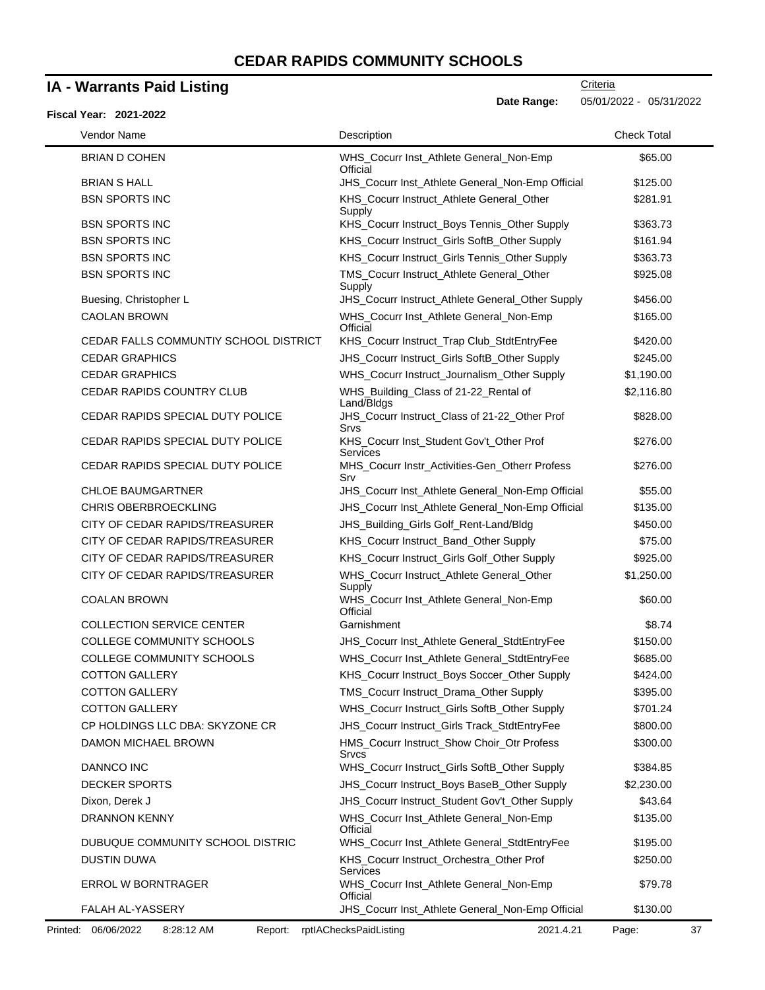### **IA - Warrants Paid Listing**

#### **Fiscal Year: 2021-2022**

**Date Range:** 05/01/2022 - 05/31/2022

| Vendor Name                           | Description                                           | <b>Check Total</b> |
|---------------------------------------|-------------------------------------------------------|--------------------|
| <b>BRIAN D COHEN</b>                  | WHS_Cocurr Inst_Athlete General_Non-Emp<br>Official   | \$65.00            |
| <b>BRIAN S HALL</b>                   | JHS_Cocurr Inst_Athlete General_Non-Emp Official      | \$125.00           |
| <b>BSN SPORTS INC</b>                 | KHS_Cocurr Instruct_Athlete General_Other<br>Supply   | \$281.91           |
| <b>BSN SPORTS INC</b>                 | KHS_Cocurr Instruct_Boys Tennis_Other Supply          | \$363.73           |
| <b>BSN SPORTS INC</b>                 | KHS_Cocurr Instruct_Girls SoftB_Other Supply          | \$161.94           |
| <b>BSN SPORTS INC</b>                 | KHS_Cocurr Instruct_Girls Tennis_Other Supply         | \$363.73           |
| <b>BSN SPORTS INC</b>                 | TMS_Cocurr Instruct_Athlete General_Other<br>Supply   | \$925.08           |
| Buesing, Christopher L                | JHS_Cocurr Instruct_Athlete General_Other Supply      | \$456.00           |
| <b>CAOLAN BROWN</b>                   | WHS_Cocurr Inst_Athlete General_Non-Emp<br>Official   | \$165.00           |
| CEDAR FALLS COMMUNTIY SCHOOL DISTRICT | KHS_Cocurr Instruct_Trap Club_StdtEntryFee            | \$420.00           |
| <b>CEDAR GRAPHICS</b>                 | JHS_Cocurr Instruct_Girls SoftB_Other Supply          | \$245.00           |
| <b>CEDAR GRAPHICS</b>                 | WHS_Cocurr Instruct_Journalism_Other Supply           | \$1,190.00         |
| CEDAR RAPIDS COUNTRY CLUB             | WHS_Building_Class of 21-22_Rental of<br>Land/Bldgs   | \$2,116.80         |
| CEDAR RAPIDS SPECIAL DUTY POLICE      | JHS_Cocurr Instruct_Class of 21-22_Other Prof<br>Srvs | \$828.00           |
| CEDAR RAPIDS SPECIAL DUTY POLICE      | KHS_Cocurr Inst_Student Gov't_Other Prof<br>Services  | \$276.00           |
| CEDAR RAPIDS SPECIAL DUTY POLICE      | MHS_Cocurr Instr_Activities-Gen_Otherr Profess<br>Srv | \$276.00           |
| <b>CHLOE BAUMGARTNER</b>              | JHS_Cocurr Inst_Athlete General_Non-Emp Official      | \$55.00            |
| <b>CHRIS OBERBROECKLING</b>           | JHS_Cocurr Inst_Athlete General_Non-Emp Official      | \$135.00           |
| CITY OF CEDAR RAPIDS/TREASURER        | JHS_Building_Girls Golf_Rent-Land/Bldg                | \$450.00           |
| CITY OF CEDAR RAPIDS/TREASURER        | KHS_Cocurr Instruct_Band_Other Supply                 | \$75.00            |
| CITY OF CEDAR RAPIDS/TREASURER        | KHS_Cocurr Instruct_Girls Golf_Other Supply           | \$925.00           |
| CITY OF CEDAR RAPIDS/TREASURER        | WHS_Cocurr Instruct_Athlete General_Other<br>Supply   | \$1,250.00         |
| <b>COALAN BROWN</b>                   | WHS_Cocurr Inst_Athlete General_Non-Emp<br>Official   | \$60.00            |
| <b>COLLECTION SERVICE CENTER</b>      | Garnishment                                           | \$8.74             |
| COLLEGE COMMUNITY SCHOOLS             | JHS_Cocurr Inst_Athlete General_StdtEntryFee          | \$150.00           |
| COLLEGE COMMUNITY SCHOOLS             | WHS_Cocurr Inst_Athlete General_StdtEntryFee          | \$685.00           |
| <b>COTTON GALLERY</b>                 | KHS_Cocurr Instruct_Boys Soccer_Other Supply          | \$424.00           |
| <b>COTTON GALLERY</b>                 | TMS_Cocurr Instruct_Drama_Other Supply                | \$395.00           |
| <b>COTTON GALLERY</b>                 | WHS_Cocurr Instruct_Girls SoftB_Other Supply          | \$701.24           |
| CP HOLDINGS LLC DBA: SKYZONE CR       | JHS_Cocurr Instruct_Girls Track_StdtEntryFee          | \$800.00           |
| DAMON MICHAEL BROWN                   | HMS_Cocurr Instruct_Show Choir_Otr Profess<br>Srvcs   | \$300.00           |
| DANNCO INC                            | WHS_Cocurr Instruct_Girls SoftB_Other Supply          | \$384.85           |
| <b>DECKER SPORTS</b>                  | JHS_Cocurr Instruct_Boys BaseB_Other Supply           | \$2,230.00         |
| Dixon, Derek J                        | JHS_Cocurr Instruct_Student Gov't_Other Supply        | \$43.64            |
| <b>DRANNON KENNY</b>                  | WHS_Cocurr Inst_Athlete General_Non-Emp<br>Official   | \$135.00           |
| DUBUQUE COMMUNITY SCHOOL DISTRIC      | WHS_Cocurr Inst_Athlete General_StdtEntryFee          | \$195.00           |
| DUSTIN DUWA                           | KHS_Cocurr Instruct_Orchestra_Other Prof<br>Services  | \$250.00           |
| ERROL W BORNTRAGER                    | WHS_Cocurr Inst_Athlete General_Non-Emp<br>Official   | \$79.78            |
| FALAH AL-YASSERY                      | JHS_Cocurr Inst_Athlete General_Non-Emp Official      | \$130.00           |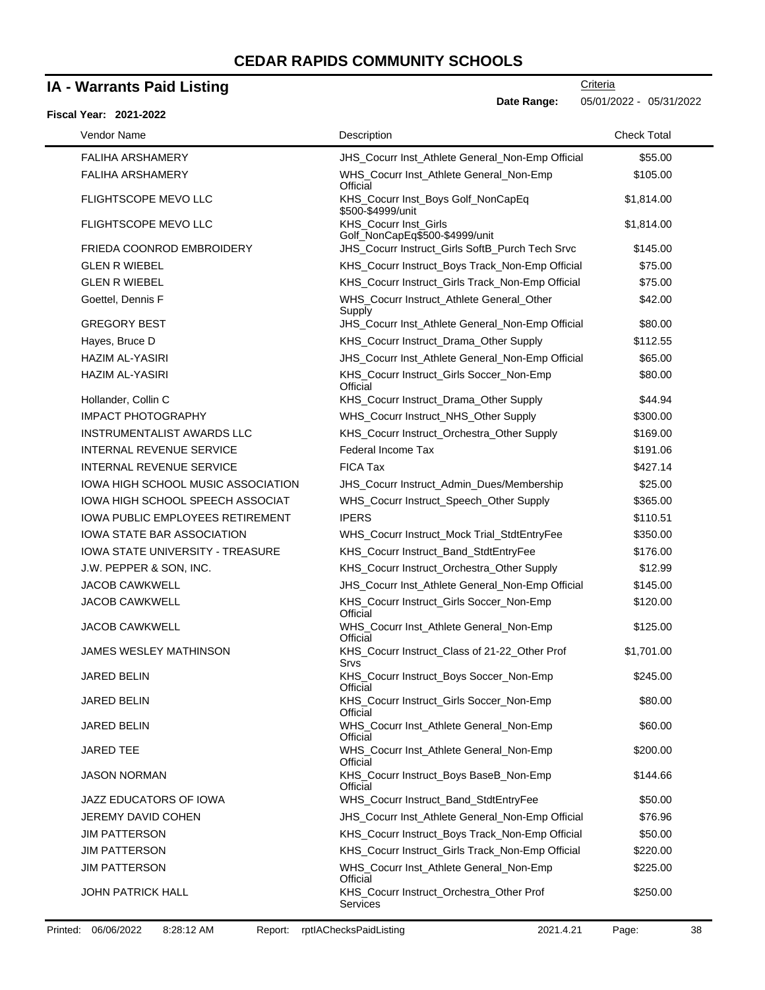### **IA - Warrants Paid Listing**

### **Fiscal Year: 2021-2022**

**Criteria** 

**Date Range:** 05/01/2022 - 05/31/2022

| Vendor Name                             | Description                                                 | <b>Check Total</b> |
|-----------------------------------------|-------------------------------------------------------------|--------------------|
| <b>FALIHA ARSHAMERY</b>                 | JHS_Cocurr Inst_Athlete General_Non-Emp Official            | \$55.00            |
| <b>FALIHA ARSHAMERY</b>                 | WHS_Cocurr Inst_Athlete General_Non-Emp<br>Official         | \$105.00           |
| FLIGHTSCOPE MEVO LLC                    | KHS_Cocurr Inst_Boys Golf_NonCapEq<br>\$500-\$4999/unit     | \$1,814.00         |
| FLIGHTSCOPE MEVO LLC                    | KHS_Cocurr Inst_Girls<br>Golf_NonCapEq\$500-\$4999/unit     | \$1,814.00         |
| <b>FRIEDA COONROD EMBROIDERY</b>        | JHS_Cocurr Instruct_Girls SoftB_Purch Tech Srvc             | \$145.00           |
| <b>GLEN R WIEBEL</b>                    | KHS_Cocurr Instruct_Boys Track_Non-Emp Official             | \$75.00            |
| <b>GLEN R WIEBEL</b>                    | KHS_Cocurr Instruct_Girls Track_Non-Emp Official            | \$75.00            |
| Goettel, Dennis F                       | WHS_Cocurr Instruct_Athlete General_Other<br>Supply         | \$42.00            |
| <b>GREGORY BEST</b>                     | JHS_Cocurr Inst_Athlete General_Non-Emp Official            | \$80.00            |
| Hayes, Bruce D                          | KHS_Cocurr Instruct_Drama_Other Supply                      | \$112.55           |
| <b>HAZIM AL-YASIRI</b>                  | JHS_Cocurr Inst_Athlete General_Non-Emp Official            | \$65.00            |
| <b>HAZIM AL-YASIRI</b>                  | KHS_Cocurr Instruct_Girls Soccer_Non-Emp<br>Official        | \$80.00            |
| Hollander, Collin C                     | KHS_Cocurr Instruct_Drama_Other Supply                      | \$44.94            |
| <b>IMPACT PHOTOGRAPHY</b>               | WHS_Cocurr Instruct_NHS_Other Supply                        | \$300.00           |
| <b>INSTRUMENTALIST AWARDS LLC</b>       | KHS_Cocurr Instruct_Orchestra_Other Supply                  | \$169.00           |
| <b>INTERNAL REVENUE SERVICE</b>         | Federal Income Tax                                          | \$191.06           |
| <b>INTERNAL REVENUE SERVICE</b>         | <b>FICA Tax</b>                                             | \$427.14           |
| IOWA HIGH SCHOOL MUSIC ASSOCIATION      | JHS_Cocurr Instruct_Admin_Dues/Membership                   | \$25.00            |
| IOWA HIGH SCHOOL SPEECH ASSOCIAT        | WHS_Cocurr Instruct_Speech_Other Supply                     | \$365.00           |
| <b>IOWA PUBLIC EMPLOYEES RETIREMENT</b> | <b>IPERS</b>                                                | \$110.51           |
| IOWA STATE BAR ASSOCIATION              | WHS_Cocurr Instruct_Mock Trial_StdtEntryFee                 | \$350.00           |
| <b>IOWA STATE UNIVERSITY - TREASURE</b> | KHS_Cocurr Instruct_Band_StdtEntryFee                       | \$176.00           |
| J.W. PEPPER & SON, INC.                 | KHS_Cocurr Instruct_Orchestra_Other Supply                  | \$12.99            |
| <b>JACOB CAWKWELL</b>                   | JHS_Cocurr Inst_Athlete General_Non-Emp Official            | \$145.00           |
| <b>JACOB CAWKWELL</b>                   | KHS_Cocurr Instruct_Girls Soccer_Non-Emp<br>Official        | \$120.00           |
| <b>JACOB CAWKWELL</b>                   | WHS_Cocurr Inst_Athlete General_Non-Emp<br>Official         | \$125.00           |
| <b>JAMES WESLEY MATHINSON</b>           | KHS_Cocurr Instruct_Class of 21-22_Other Prof<br>Srvs       | \$1,701.00         |
| JARED BELIN                             | KHS_Cocurr Instruct_Boys Soccer_Non-Emp<br>Official         | \$245.00           |
| JARED BELIN                             | KHS_Cocurr Instruct_Girls Soccer_Non-Emp<br>Official        | \$80.00            |
| JARED BELIN                             | WHS_Cocurr Inst_Athlete General_Non-Emp<br>Official         | \$60.00            |
| <b>JARED TEE</b>                        | WHS_Cocurr Inst_Athlete General_Non-Emp<br>Official         | \$200.00           |
| JASON NORMAN                            | KHS_Cocurr Instruct_Boys BaseB_Non-Emp<br>Official          | \$144.66           |
| JAZZ EDUCATORS OF IOWA                  | WHS_Cocurr Instruct_Band_StdtEntryFee                       | \$50.00            |
| JEREMY DAVID COHEN                      | JHS_Cocurr Inst_Athlete General_Non-Emp Official            | \$76.96            |
| JIM PATTERSON                           | KHS_Cocurr Instruct_Boys Track_Non-Emp Official             | \$50.00            |
| <b>JIM PATTERSON</b>                    | KHS_Cocurr Instruct_Girls Track_Non-Emp Official            | \$220.00           |
| <b>JIM PATTERSON</b>                    | WHS_Cocurr Inst_Athlete General_Non-Emp<br>Official         | \$225.00           |
| <b>JOHN PATRICK HALL</b>                | KHS_Cocurr Instruct_Orchestra_Other Prof<br><b>Services</b> | \$250.00           |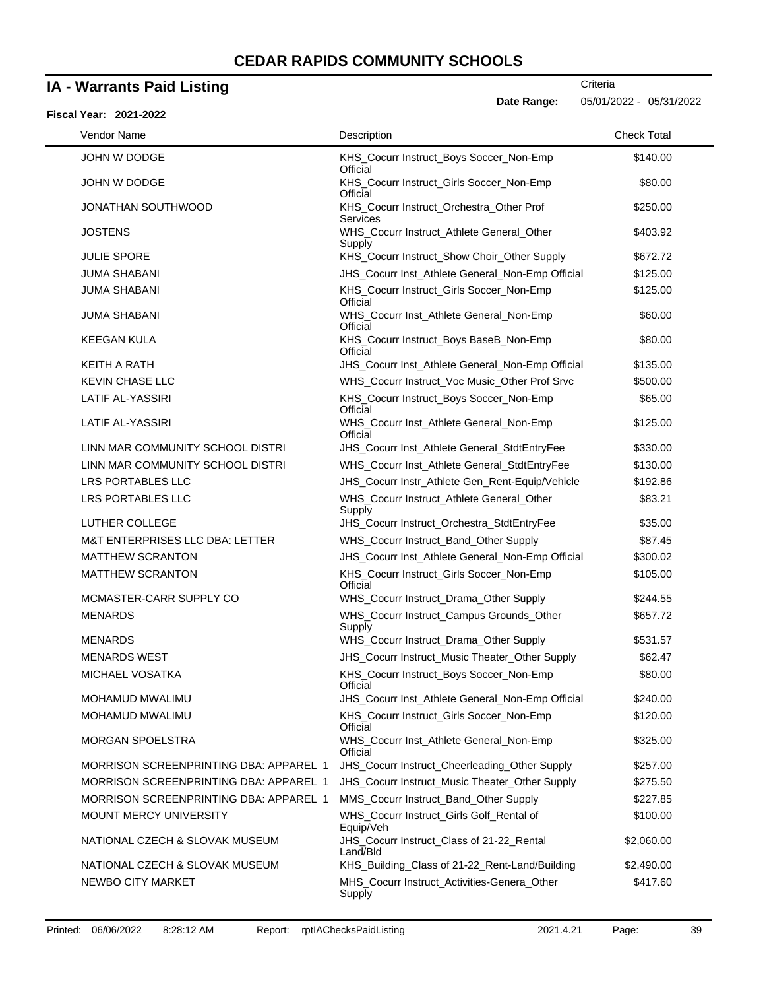### **IA - Warrants Paid Listing**

**Date Range:** 05/01/2022 - 05/31/2022

| <b>Fiscal Year: 2021-2022</b>                 |                                                       |                    |
|-----------------------------------------------|-------------------------------------------------------|--------------------|
| Vendor Name                                   | Description                                           | <b>Check Total</b> |
| JOHN W DODGE                                  | KHS_Cocurr Instruct_Boys Soccer_Non-Emp<br>Official   | \$140.00           |
| JOHN W DODGE                                  | KHS_Cocurr Instruct_Girls Soccer_Non-Emp<br>Official  | \$80.00            |
| JONATHAN SOUTHWOOD                            | KHS_Cocurr Instruct_Orchestra_Other Prof<br>Services  | \$250.00           |
| <b>JOSTENS</b>                                | WHS_Cocurr Instruct_Athlete General_Other<br>Supply   | \$403.92           |
| <b>JULIE SPORE</b>                            | KHS_Cocurr Instruct_Show Choir_Other Supply           | \$672.72           |
| <b>JUMA SHABANI</b>                           | JHS_Cocurr Inst_Athlete General_Non-Emp Official      | \$125.00           |
| <b>JUMA SHABANI</b>                           | KHS_Cocurr Instruct_Girls Soccer_Non-Emp<br>Official  | \$125.00           |
| <b>JUMA SHABANI</b>                           | WHS_Cocurr Inst_Athlete General_Non-Emp<br>Official   | \$60.00            |
| <b>KEEGAN KULA</b>                            | KHS_Cocurr Instruct_Boys BaseB_Non-Emp<br>Official    | \$80.00            |
| <b>KEITH A RATH</b>                           | JHS_Cocurr Inst_Athlete General_Non-Emp Official      | \$135.00           |
| <b>KEVIN CHASE LLC</b>                        | WHS_Cocurr Instruct_Voc Music_Other Prof Srvc         | \$500.00           |
| <b>LATIF AL-YASSIRI</b>                       | KHS_Cocurr Instruct_Boys Soccer_Non-Emp<br>Official   | \$65.00            |
| LATIF AL-YASSIRI                              | WHS_Cocurr Inst_Athlete General_Non-Emp<br>Official   | \$125.00           |
| LINN MAR COMMUNITY SCHOOL DISTRI              | JHS_Cocurr Inst_Athlete General_StdtEntryFee          | \$330.00           |
| LINN MAR COMMUNITY SCHOOL DISTRI              | WHS_Cocurr Inst_Athlete General_StdtEntryFee          | \$130.00           |
| LRS PORTABLES LLC                             | JHS_Cocurr Instr_Athlete Gen_Rent-Equip/Vehicle       | \$192.86           |
| LRS PORTABLES LLC                             | WHS_Cocurr Instruct_Athlete General_Other<br>Supply   | \$83.21            |
| LUTHER COLLEGE                                | JHS_Cocurr Instruct_Orchestra_StdtEntryFee            | \$35.00            |
| <b>M&amp;T ENTERPRISES LLC DBA: LETTER</b>    | WHS_Cocurr Instruct_Band_Other Supply                 | \$87.45            |
| <b>MATTHEW SCRANTON</b>                       | JHS_Cocurr Inst_Athlete General_Non-Emp Official      | \$300.02           |
| <b>MATTHEW SCRANTON</b>                       | KHS_Cocurr Instruct_Girls Soccer_Non-Emp<br>Official  | \$105.00           |
| MCMASTER-CARR SUPPLY CO                       | WHS_Cocurr Instruct_Drama_Other Supply                | \$244.55           |
| <b>MENARDS</b>                                | WHS_Cocurr Instruct_Campus Grounds_Other<br>Supply    | \$657.72           |
| <b>MENARDS</b>                                | WHS_Cocurr Instruct_Drama_Other Supply                | \$531.57           |
| <b>MENARDS WEST</b>                           | JHS_Cocurr Instruct_Music Theater_Other Supply        | \$62.47            |
| MICHAEL VOSATKA                               | KHS_Cocurr Instruct_Boys Soccer_Non-Emp<br>Official   | \$80.00            |
| <b>MOHAMUD MWALIMU</b>                        | JHS_Cocurr Inst_Athlete General_Non-Emp Official      | \$240.00           |
| MOHAMUD MWALIMU                               | KHS_Cocurr Instruct_Girls Soccer_Non-Emp<br>Official  | \$120.00           |
| <b>MORGAN SPOELSTRA</b>                       | WHS_Cocurr Inst_Athlete General_Non-Emp<br>Official   | \$325.00           |
| <b>MORRISON SCREENPRINTING DBA: APPAREL 1</b> | JHS_Cocurr Instruct_Cheerleading_Other Supply         | \$257.00           |
| <b>MORRISON SCREENPRINTING DBA: APPAREL 1</b> | JHS_Cocurr Instruct_Music Theater_Other Supply        | \$275.50           |
| <b>MORRISON SCREENPRINTING DBA: APPAREL 1</b> | MMS_Cocurr Instruct_Band_Other Supply                 | \$227.85           |
| MOUNT MERCY UNIVERSITY                        | WHS_Cocurr Instruct_Girls Golf_Rental of<br>Equip/Veh | \$100.00           |
| NATIONAL CZECH & SLOVAK MUSEUM                | JHS_Cocurr Instruct_Class of 21-22_Rental<br>Land/Bld | \$2,060.00         |
| NATIONAL CZECH & SLOVAK MUSEUM                | KHS_Building_Class of 21-22_Rent-Land/Building        | \$2,490.00         |
| NEWBO CITY MARKET                             | MHS_Cocurr Instruct_Activities-Genera_Other<br>Supply | \$417.60           |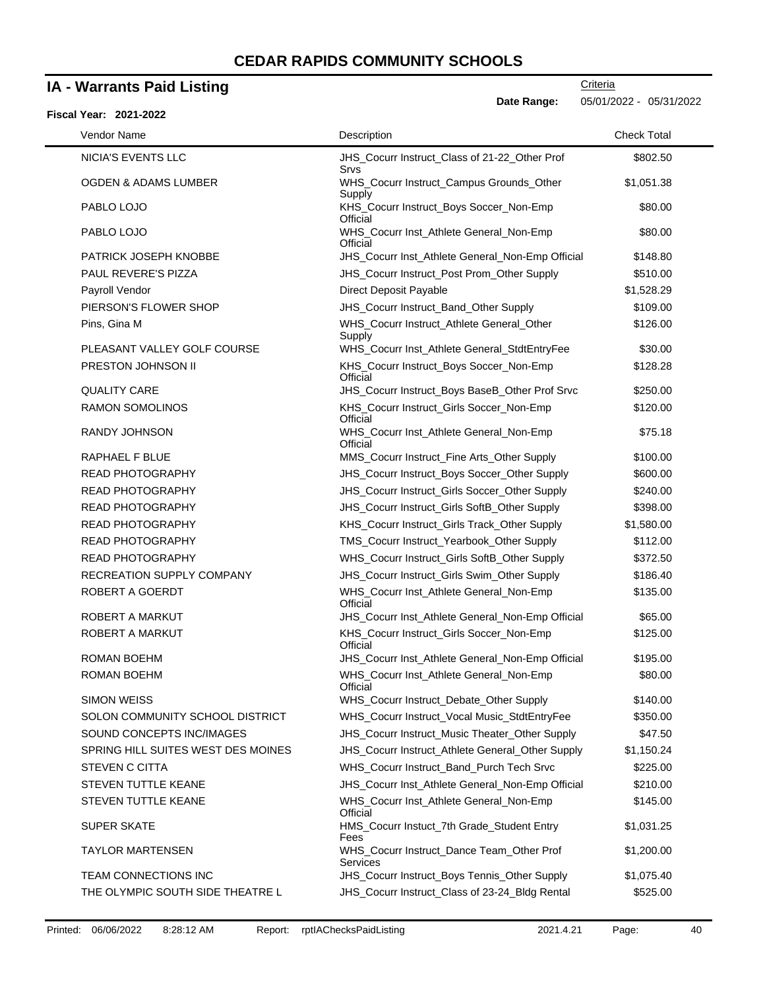### **IA - Warrants Paid Listing**

| Fiscal Year: 2021-2022             | Date Range:                                           | 05/01/2022 - 05/31/2022 |
|------------------------------------|-------------------------------------------------------|-------------------------|
| Vendor Name                        | Description                                           | <b>Check Total</b>      |
| <b>NICIA'S EVENTS LLC</b>          | JHS_Cocurr Instruct_Class of 21-22_Other Prof<br>Srvs | \$802.50                |
| <b>OGDEN &amp; ADAMS LUMBER</b>    | WHS_Cocurr Instruct_Campus Grounds_Other<br>Supply    | \$1,051.38              |
| PABLO LOJO                         | KHS_Cocurr Instruct_Boys Soccer_Non-Emp<br>Official   | \$80.00                 |
| PABLO LOJO                         | WHS_Cocurr Inst_Athlete General_Non-Emp<br>Official   | \$80.00                 |
| PATRICK JOSEPH KNOBBE              | JHS_Cocurr Inst_Athlete General_Non-Emp Official      | \$148.80                |
| <b>PAUL REVERE'S PIZZA</b>         | JHS_Cocurr Instruct_Post Prom_Other Supply            | \$510.00                |
| Payroll Vendor                     | Direct Deposit Payable                                | \$1,528.29              |
| PIERSON'S FLOWER SHOP              | JHS_Cocurr Instruct_Band_Other Supply                 | \$109.00                |
| Pins, Gina M                       | WHS_Cocurr Instruct_Athlete General_Other<br>Supply   | \$126.00                |
| PLEASANT VALLEY GOLF COURSE        | WHS_Cocurr Inst_Athlete General_StdtEntryFee          | \$30.00                 |
| PRESTON JOHNSON II                 | KHS_Cocurr Instruct_Boys Soccer_Non-Emp<br>Official   | \$128.28                |
| <b>QUALITY CARE</b>                | JHS_Cocurr Instruct_Boys BaseB_Other Prof Srvc        | \$250.00                |
| <b>RAMON SOMOLINOS</b>             | KHS_Cocurr Instruct_Girls Soccer_Non-Emp<br>Official  | \$120.00                |
| RANDY JOHNSON                      | WHS_Cocurr Inst_Athlete General_Non-Emp<br>Official   | \$75.18                 |
| RAPHAEL F BLUE                     | MMS_Cocurr Instruct_Fine Arts_Other Supply            | \$100.00                |
| <b>READ PHOTOGRAPHY</b>            | JHS_Cocurr Instruct_Boys Soccer_Other Supply          | \$600.00                |
| <b>READ PHOTOGRAPHY</b>            | JHS_Cocurr Instruct_Girls Soccer_Other Supply         | \$240.00                |
| <b>READ PHOTOGRAPHY</b>            | JHS_Cocurr Instruct_Girls SoftB_Other Supply          | \$398.00                |
| <b>READ PHOTOGRAPHY</b>            | KHS_Cocurr Instruct_Girls Track_Other Supply          | \$1,580.00              |
| <b>READ PHOTOGRAPHY</b>            | TMS_Cocurr Instruct_Yearbook_Other Supply             | \$112.00                |
| <b>READ PHOTOGRAPHY</b>            | WHS_Cocurr Instruct_Girls SoftB_Other Supply          | \$372.50                |
| RECREATION SUPPLY COMPANY          | JHS_Cocurr Instruct_Girls Swim_Other Supply           | \$186.40                |
| ROBERT A GOERDT                    | WHS_Cocurr Inst_Athlete General_Non-Emp<br>Official   | \$135.00                |
| ROBERT A MARKUT                    | JHS_Cocurr Inst_Athlete General_Non-Emp Official      | \$65.00                 |
| <b>ROBERT A MARKUT</b>             | KHS_Cocurr Instruct_Girls Soccer_Non-Emp<br>Official  | \$125.00                |
| ROMAN BOEHM                        | JHS_Cocurr Inst_Athlete General_Non-Emp Official      | \$195.00                |
| <b>ROMAN BOEHM</b>                 | WHS_Cocurr Inst_Athlete General_Non-Emp<br>Official   | \$80.00                 |
| <b>SIMON WEISS</b>                 | WHS_Cocurr Instruct_Debate_Other Supply               | \$140.00                |
| SOLON COMMUNITY SCHOOL DISTRICT    | WHS_Cocurr Instruct_Vocal Music_StdtEntryFee          | \$350.00                |
| SOUND CONCEPTS INC/IMAGES          | JHS_Cocurr Instruct_Music Theater_Other Supply        | \$47.50                 |
| SPRING HILL SUITES WEST DES MOINES | JHS_Cocurr Instruct_Athlete General_Other Supply      | \$1,150.24              |
| STEVEN C CITTA                     | WHS_Cocurr Instruct_Band_Purch Tech Srvc              | \$225.00                |
| <b>STEVEN TUTTLE KEANE</b>         | JHS_Cocurr Inst_Athlete General_Non-Emp Official      | \$210.00                |
| STEVEN TUTTLE KEANE                | WHS_Cocurr Inst_Athlete General_Non-Emp<br>Official   | \$145.00                |
| SUPER SKATE                        | HMS_Cocurr Instuct_7th Grade_Student Entry<br>Fees    | \$1,031.25              |
| TAYLOR MARTENSEN                   | WHS_Cocurr Instruct_Dance Team_Other Prof<br>Services | \$1,200.00              |
| TEAM CONNECTIONS INC               | JHS_Cocurr Instruct_Boys Tennis_Other Supply          | \$1,075.40              |
| THE OLYMPIC SOUTH SIDE THEATRE L   | JHS_Cocurr Instruct_Class of 23-24_Bldg Rental        | \$525.00                |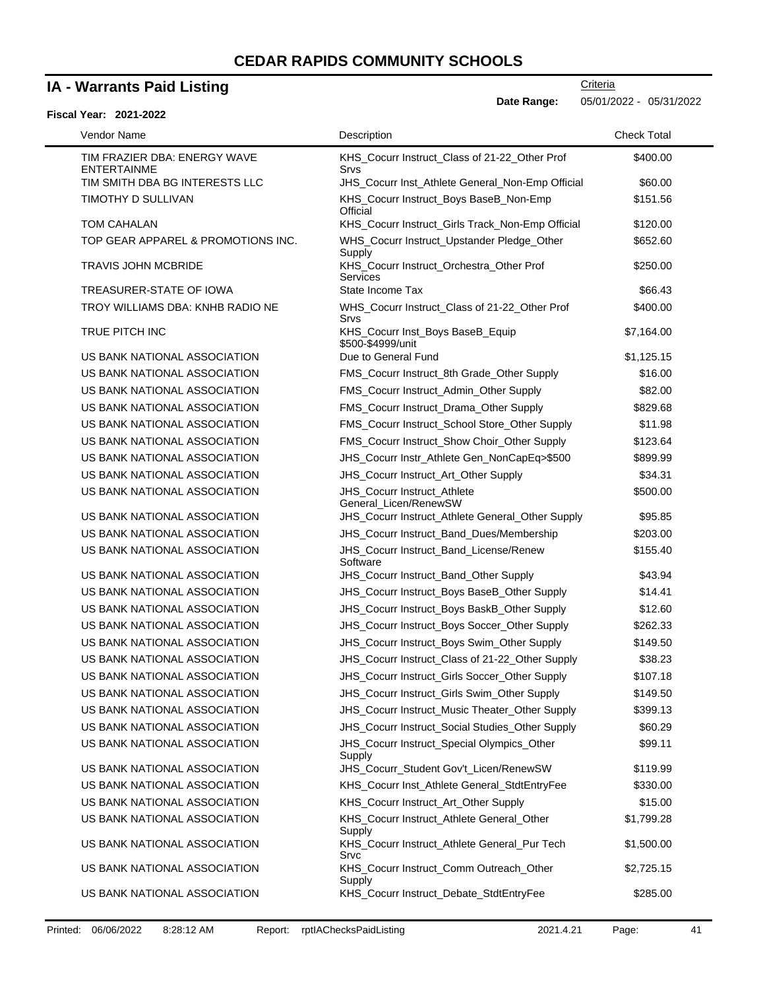### **IA - Warrants Paid Listing**

### **Fiscal Year: 2021-2022**

**Date Range:** 05/01/2022 - 05/31/2022

| Vendor Name                                        | Description                                           | <b>Check Total</b> |
|----------------------------------------------------|-------------------------------------------------------|--------------------|
| TIM FRAZIER DBA: ENERGY WAVE<br><b>ENTERTAINME</b> | KHS_Cocurr Instruct_Class of 21-22_Other Prof<br>Srvs | \$400.00           |
| TIM SMITH DBA BG INTERESTS LLC                     | JHS_Cocurr Inst_Athlete General_Non-Emp Official      | \$60.00            |
| TIMOTHY D SULLIVAN                                 | KHS_Cocurr Instruct_Boys BaseB_Non-Emp<br>Official    | \$151.56           |
| TOM CAHALAN                                        | KHS_Cocurr Instruct_Girls Track_Non-Emp Official      | \$120.00           |
| TOP GEAR APPAREL & PROMOTIONS INC.                 | WHS_Cocurr Instruct_Upstander Pledge_Other<br>Supply  | \$652.60           |
| <b>TRAVIS JOHN MCBRIDE</b>                         | KHS_Cocurr Instruct_Orchestra_Other Prof<br>Services  | \$250.00           |
| TREASURER-STATE OF IOWA                            | State Income Tax                                      | \$66.43            |
| TROY WILLIAMS DBA: KNHB RADIO NE                   | WHS_Cocurr Instruct_Class of 21-22_Other Prof<br>Srvs | \$400.00           |
| TRUE PITCH INC                                     | KHS_Cocurr Inst_Boys BaseB_Equip<br>\$500-\$4999/unit | \$7,164.00         |
| US BANK NATIONAL ASSOCIATION                       | Due to General Fund                                   | \$1,125.15         |
| US BANK NATIONAL ASSOCIATION                       | FMS_Cocurr Instruct_8th Grade_Other Supply            | \$16.00            |
| US BANK NATIONAL ASSOCIATION                       | FMS_Cocurr Instruct_Admin_Other Supply                | \$82.00            |
| US BANK NATIONAL ASSOCIATION                       | FMS_Cocurr Instruct_Drama_Other Supply                | \$829.68           |
| US BANK NATIONAL ASSOCIATION                       | FMS_Cocurr Instruct_School Store_Other Supply         | \$11.98            |
| US BANK NATIONAL ASSOCIATION                       | FMS_Cocurr Instruct_Show Choir_Other Supply           | \$123.64           |
| US BANK NATIONAL ASSOCIATION                       | JHS_Cocurr Instr_Athlete Gen_NonCapEq>\$500           | \$899.99           |
| US BANK NATIONAL ASSOCIATION                       | JHS_Cocurr Instruct_Art_Other Supply                  | \$34.31            |
| US BANK NATIONAL ASSOCIATION                       | JHS_Cocurr Instruct_Athlete<br>General_Licen/RenewSW  | \$500.00           |
| US BANK NATIONAL ASSOCIATION                       | JHS_Cocurr Instruct_Athlete General_Other Supply      | \$95.85            |
| US BANK NATIONAL ASSOCIATION                       | JHS_Cocurr Instruct_Band_Dues/Membership              | \$203.00           |
| US BANK NATIONAL ASSOCIATION                       | JHS_Cocurr Instruct_Band_License/Renew<br>Software    | \$155.40           |
| US BANK NATIONAL ASSOCIATION                       | <b>JHS_Cocurr Instruct_Band_Other Supply</b>          | \$43.94            |
| US BANK NATIONAL ASSOCIATION                       | JHS_Cocurr Instruct_Boys BaseB_Other Supply           | \$14.41            |
| US BANK NATIONAL ASSOCIATION                       | JHS_Cocurr Instruct_Boys BaskB_Other Supply           | \$12.60            |
| US BANK NATIONAL ASSOCIATION                       | JHS_Cocurr Instruct_Boys Soccer_Other Supply          | \$262.33           |
| US BANK NATIONAL ASSOCIATION                       | JHS_Cocurr Instruct_Boys Swim_Other Supply            | \$149.50           |
| US BANK NATIONAL ASSOCIATION                       | JHS_Cocurr Instruct_Class of 21-22_Other Supply       | \$38.23            |
| US BANK NATIONAL ASSOCIATION                       | JHS_Cocurr Instruct_Girls Soccer_Other Supply         | \$107.18           |
| US BANK NATIONAL ASSOCIATION                       | JHS_Cocurr Instruct_Girls Swim_Other Supply           | \$149.50           |
| US BANK NATIONAL ASSOCIATION                       | JHS_Cocurr Instruct_Music Theater_Other Supply        | \$399.13           |
| US BANK NATIONAL ASSOCIATION                       | JHS_Cocurr Instruct_Social Studies_Other Supply       | \$60.29            |
| US BANK NATIONAL ASSOCIATION                       | JHS_Cocurr Instruct_Special Olympics_Other<br>Supply  | \$99.11            |
| US BANK NATIONAL ASSOCIATION                       | JHS_Cocurr_Student Gov't_Licen/RenewSW                | \$119.99           |
| US BANK NATIONAL ASSOCIATION                       | KHS_Cocurr Inst_Athlete General_StdtEntryFee          | \$330.00           |
| US BANK NATIONAL ASSOCIATION                       | KHS_Cocurr Instruct_Art_Other Supply                  | \$15.00            |
| US BANK NATIONAL ASSOCIATION                       | KHS_Cocurr Instruct_Athlete General_Other<br>Supply   | \$1,799.28         |
| US BANK NATIONAL ASSOCIATION                       | KHS_Cocurr Instruct_Athlete General_Pur Tech<br>Srvc  | \$1,500.00         |
| US BANK NATIONAL ASSOCIATION                       | KHS_Cocurr Instruct_Comm Outreach_Other<br>Supply     | \$2,725.15         |
| US BANK NATIONAL ASSOCIATION                       | KHS_Cocurr Instruct_Debate_StdtEntryFee               | \$285.00           |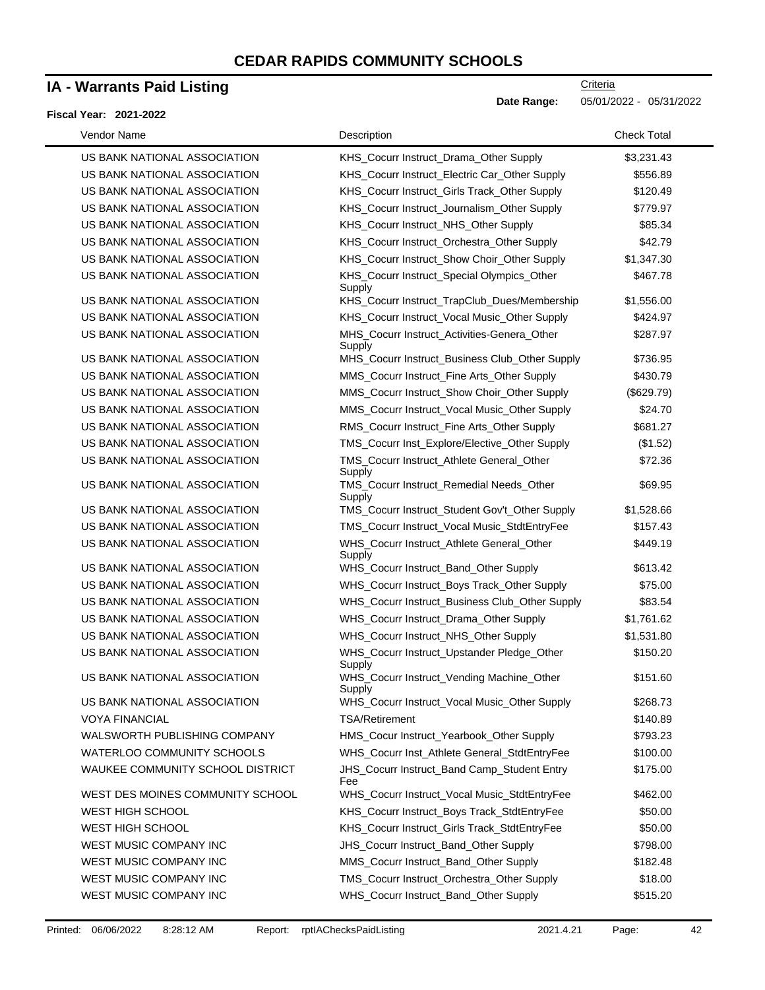### **IA - Warrants Paid Listing**

#### **Fiscal Year: 2021-2022**

| Vendor Name                      | Description                                           | <b>Check Total</b> |
|----------------------------------|-------------------------------------------------------|--------------------|
| US BANK NATIONAL ASSOCIATION     | KHS_Cocurr Instruct_Drama_Other Supply                | \$3,231.43         |
| US BANK NATIONAL ASSOCIATION     | KHS_Cocurr Instruct_Electric Car_Other Supply         | \$556.89           |
| US BANK NATIONAL ASSOCIATION     | KHS_Cocurr Instruct_Girls Track_Other Supply          | \$120.49           |
| US BANK NATIONAL ASSOCIATION     | KHS_Cocurr Instruct_Journalism_Other Supply           | \$779.97           |
| US BANK NATIONAL ASSOCIATION     | KHS_Cocurr Instruct_NHS_Other Supply                  | \$85.34            |
| US BANK NATIONAL ASSOCIATION     | KHS_Cocurr Instruct_Orchestra_Other Supply            | \$42.79            |
| US BANK NATIONAL ASSOCIATION     | KHS_Cocurr Instruct_Show Choir_Other Supply           | \$1,347.30         |
| US BANK NATIONAL ASSOCIATION     | KHS_Cocurr Instruct_Special Olympics_Other<br>Supply  | \$467.78           |
| US BANK NATIONAL ASSOCIATION     | KHS_Cocurr Instruct_TrapClub_Dues/Membership          | \$1,556.00         |
| US BANK NATIONAL ASSOCIATION     | KHS_Cocurr Instruct_Vocal Music_Other Supply          | \$424.97           |
| US BANK NATIONAL ASSOCIATION     | MHS_Cocurr Instruct_Activities-Genera_Other<br>Supply | \$287.97           |
| US BANK NATIONAL ASSOCIATION     | MHS_Cocurr Instruct_Business Club_Other Supply        | \$736.95           |
| US BANK NATIONAL ASSOCIATION     | MMS_Cocurr Instruct_Fine Arts_Other Supply            | \$430.79           |
| US BANK NATIONAL ASSOCIATION     | MMS_Cocurr Instruct_Show Choir_Other Supply           | (\$629.79)         |
| US BANK NATIONAL ASSOCIATION     | MMS_Cocurr Instruct_Vocal Music_Other Supply          | \$24.70            |
| US BANK NATIONAL ASSOCIATION     | RMS_Cocurr Instruct_Fine Arts_Other Supply            | \$681.27           |
| US BANK NATIONAL ASSOCIATION     | TMS_Cocurr Inst_Explore/Elective_Other Supply         | (\$1.52)           |
| US BANK NATIONAL ASSOCIATION     | TMS_Cocurr Instruct_Athlete General_Other<br>Supply   | \$72.36            |
| US BANK NATIONAL ASSOCIATION     | TMS_Cocurr Instruct_Remedial Needs_Other<br>Supply    | \$69.95            |
| US BANK NATIONAL ASSOCIATION     | TMS_Cocurr Instruct_Student Gov't_Other Supply        | \$1,528.66         |
| US BANK NATIONAL ASSOCIATION     | TMS_Cocurr Instruct_Vocal Music_StdtEntryFee          | \$157.43           |
| US BANK NATIONAL ASSOCIATION     | WHS_Cocurr Instruct_Athlete General_Other<br>Supply   | \$449.19           |
| US BANK NATIONAL ASSOCIATION     | WHS_Cocurr Instruct_Band_Other Supply                 | \$613.42           |
| US BANK NATIONAL ASSOCIATION     | WHS_Cocurr Instruct_Boys Track_Other Supply           | \$75.00            |
| US BANK NATIONAL ASSOCIATION     | WHS_Cocurr Instruct_Business Club_Other Supply        | \$83.54            |
| US BANK NATIONAL ASSOCIATION     | WHS_Cocurr Instruct_Drama_Other Supply                | \$1,761.62         |
| US BANK NATIONAL ASSOCIATION     | WHS_Cocurr Instruct_NHS_Other Supply                  | \$1,531.80         |
| US BANK NATIONAL ASSOCIATION     | WHS_Cocurr Instruct_Upstander Pledge_Other<br>Supply  | \$150.20           |
| US BANK NATIONAL ASSOCIATION     | WHS_Cocurr Instruct_Vending Machine_Other<br>Supply   | \$151.60           |
| US BANK NATIONAL ASSOCIATION     | WHS_Cocurr Instruct_Vocal Music_Other Supply          | \$268.73           |
| <b>VOYA FINANCIAL</b>            | <b>TSA/Retirement</b>                                 | \$140.89           |
| WALSWORTH PUBLISHING COMPANY     | HMS_Cocur Instruct_Yearbook_Other Supply              | \$793.23           |
| WATERLOO COMMUNITY SCHOOLS       | WHS_Cocurr Inst_Athlete General_StdtEntryFee          | \$100.00           |
| WAUKEE COMMUNITY SCHOOL DISTRICT | JHS_Cocurr Instruct_Band Camp_Student Entry<br>Fee    | \$175.00           |
| WEST DES MOINES COMMUNITY SCHOOL | WHS_Cocurr Instruct_Vocal Music_StdtEntryFee          | \$462.00           |
| <b>WEST HIGH SCHOOL</b>          | KHS_Cocurr Instruct_Boys Track_StdtEntryFee           | \$50.00            |
| <b>WEST HIGH SCHOOL</b>          | KHS_Cocurr Instruct_Girls Track_StdtEntryFee          | \$50.00            |
| WEST MUSIC COMPANY INC           | JHS_Cocurr Instruct_Band_Other Supply                 | \$798.00           |
| WEST MUSIC COMPANY INC           | MMS_Cocurr Instruct_Band_Other Supply                 | \$182.48           |
| WEST MUSIC COMPANY INC           | TMS_Cocurr Instruct_Orchestra_Other Supply            | \$18.00            |
| WEST MUSIC COMPANY INC           | WHS_Cocurr Instruct_Band_Other Supply                 | \$515.20           |